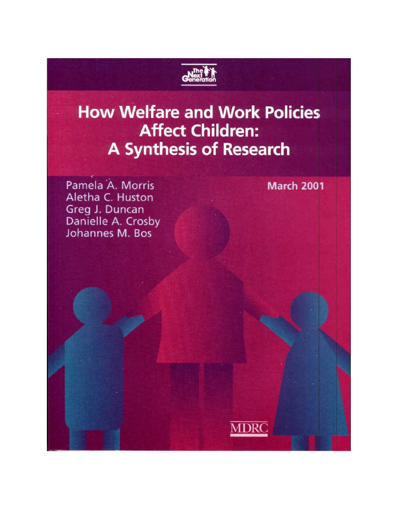

# **How Welfare and Work Policies Affect Children: A Synthesis of Research**

Pamela A. Morris Aletha C. Huston Greg J. Duncan Danielle A. Crosby Johannes M. Bos

**March 2001** 

**MDRC**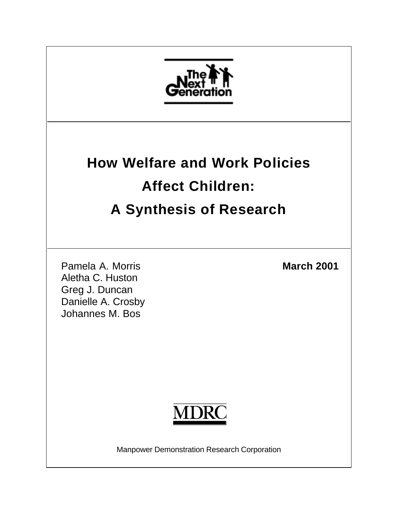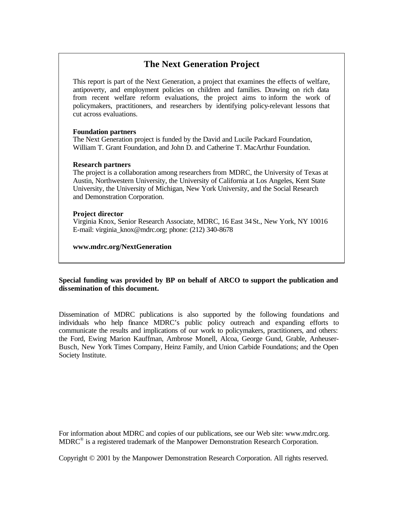# **The Next Generation Project**

This report is part of the Next Generation, a project that examines the effects of welfare, antipoverty, and employment policies on children and families. Drawing on rich data from recent welfare reform evaluations, the project aims to inform the work of policymakers, practitioners, and researchers by identifying policy-relevant lessons that cut across evaluations.

#### **Foundation partners**

The Next Generation project is funded by the David and Lucile Packard Foundation, William T. Grant Foundation, and John D. and Catherine T. MacArthur Foundation.

#### **Research partners**

The project is a collaboration among researchers from MDRC, the University of Texas at Austin, Northwestern University, the University of California at Los Angeles, Kent State University, the University of Michigan, New York University, and the Social Research and Demonstration Corporation.

#### **Project director**

Virginia Knox, Senior Research Associate, MDRC, 16 East 34St., New York, NY 10016 E-mail: virginia\_knox@mdrc.org; phone: (212) 340-8678

**www.mdrc.org/NextGeneration**

#### **Special funding was provided by BP on behalf of ARCO to support the publication and dissemination of this document.**

Dissemination of MDRC publications is also supported by the following foundations and individuals who help finance MDRC's public policy outreach and expanding efforts to communicate the results and implications of our work to policymakers, practitioners, and others: the Ford, Ewing Marion Kauffman, Ambrose Monell, Alcoa, George Gund, Grable, Anheuser-Busch, New York Times Company, Heinz Family, and Union Carbide Foundations; and the Open Society Institute.

For information about MDRC and copies of our publications, see our Web site: www.mdrc.org. MDRC® is a registered trademark of the Manpower Demonstration Research Corporation.

Copyright © 2001 by the Manpower Demonstration Research Corporation. All rights reserved.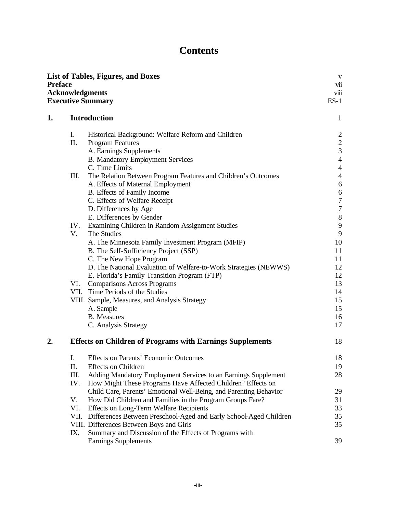# **Contents**

| <b>Preface</b><br><b>Acknowledgments</b><br><b>Executive Summary</b> |                                                                                                                   | vii<br>viii<br>$ES-1$                |
|----------------------------------------------------------------------|-------------------------------------------------------------------------------------------------------------------|--------------------------------------|
| <b>Introduction</b><br>1.                                            |                                                                                                                   | $\mathbf{1}$                         |
| Ι.                                                                   | Historical Background: Welfare Reform and Children                                                                | $\overline{c}$                       |
| Π.                                                                   | <b>Program Features</b>                                                                                           | $\frac{2}{3}$                        |
|                                                                      | A. Earnings Supplements                                                                                           |                                      |
|                                                                      | <b>B. Mandatory Employment Services</b>                                                                           | $\overline{4}$                       |
|                                                                      | C. Time Limits                                                                                                    | $\overline{4}$                       |
| III.                                                                 | The Relation Between Program Features and Children's Outcomes                                                     | $\overline{4}$                       |
|                                                                      | A. Effects of Maternal Employment<br>B. Effects of Family Income                                                  | $\boldsymbol{6}$<br>$\boldsymbol{6}$ |
|                                                                      | C. Effects of Welfare Receipt                                                                                     | $\boldsymbol{7}$                     |
|                                                                      | D. Differences by Age                                                                                             | $\boldsymbol{7}$                     |
|                                                                      | E. Differences by Gender                                                                                          | $8\,$                                |
| IV.                                                                  | Examining Children in Random Assignment Studies                                                                   | 9                                    |
| V.<br>The Studies                                                    |                                                                                                                   | 9                                    |
|                                                                      | A. The Minnesota Family Investment Program (MFIP)                                                                 | 10                                   |
|                                                                      | B. The Self-Sufficiency Project (SSP)                                                                             | 11                                   |
|                                                                      | C. The New Hope Program                                                                                           | 11                                   |
|                                                                      | D. The National Evaluation of Welfare-to-Work Strategies (NEWWS)                                                  | 12                                   |
| VI.                                                                  | E. Florida's Family Transition Program (FTP)                                                                      | 12<br>13                             |
|                                                                      | <b>Comparisons Across Programs</b><br>VII. Time Periods of the Studies                                            | 14                                   |
|                                                                      | VIII. Sample, Measures, and Analysis Strategy                                                                     | 15                                   |
| A. Sample                                                            |                                                                                                                   | 15                                   |
|                                                                      | <b>B.</b> Measures                                                                                                | 16                                   |
|                                                                      | C. Analysis Strategy                                                                                              | 17                                   |
| 2.                                                                   | <b>Effects on Children of Programs with Earnings Supplements</b>                                                  | 18                                   |
| I.                                                                   | <b>Effects on Parents' Economic Outcomes</b>                                                                      | 18                                   |
| П.                                                                   | <b>Effects</b> on Children                                                                                        | 19                                   |
| Ш.                                                                   | Adding Mandatory Employment Services to an Earnings Supplement                                                    | 28                                   |
| IV.                                                                  | How Might These Programs Have Affected Children? Effects on                                                       |                                      |
|                                                                      | Child Care, Parents' Emotional Well-Being, and Parenting Behavior                                                 | 29                                   |
| V.                                                                   | How Did Children and Families in the Program Groups Fare?                                                         | 31                                   |
| VI.                                                                  | Effects on Long-Term Welfare Recipients<br>VII. Differences Between Preschool-Aged and Early School-Aged Children | 33<br>35                             |
|                                                                      | VIII. Differences Between Boys and Girls                                                                          | 35                                   |
| IX.                                                                  | Summary and Discussion of the Effects of Programs with                                                            |                                      |
|                                                                      | Earnings Supplements                                                                                              | 39                                   |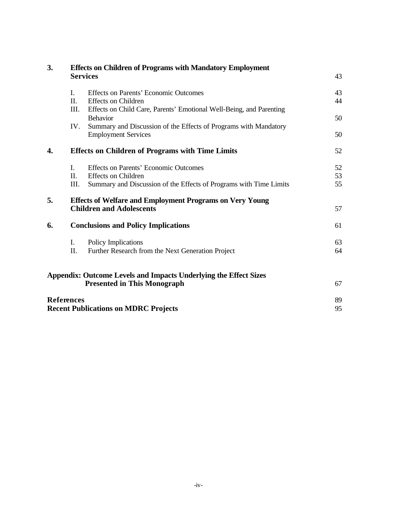| 3.<br><b>Services</b> |                | <b>Effects on Children of Programs with Mandatory Employment</b>                               | 43 |  |
|-----------------------|----------------|------------------------------------------------------------------------------------------------|----|--|
|                       |                |                                                                                                |    |  |
|                       | I.             | Effects on Parents' Economic Outcomes                                                          | 43 |  |
|                       | $\Pi$ .        | <b>Effects on Children</b>                                                                     | 44 |  |
|                       | Ш.             | Effects on Child Care, Parents' Emotional Well-Being, and Parenting                            |    |  |
|                       |                | <b>Behavior</b>                                                                                | 50 |  |
|                       | IV.            | Summary and Discussion of the Effects of Programs with Mandatory<br><b>Employment Services</b> | 50 |  |
| 4.                    |                | <b>Effects on Children of Programs with Time Limits</b>                                        | 52 |  |
|                       | $\mathbf{I}$ . | Effects on Parents' Economic Outcomes                                                          | 52 |  |
|                       | $\Pi$ .        | <b>Effects on Children</b>                                                                     | 53 |  |
|                       | III.           | Summary and Discussion of the Effects of Programs with Time Limits                             | 55 |  |
| 5.                    |                | <b>Effects of Welfare and Employment Programs on Very Young</b>                                |    |  |
|                       |                | <b>Children and Adolescents</b>                                                                | 57 |  |
| 6.                    |                | <b>Conclusions and Policy Implications</b>                                                     | 61 |  |
|                       | I.             | Policy Implications                                                                            | 63 |  |
|                       | Π.             | Further Research from the Next Generation Project                                              | 64 |  |
|                       |                | <b>Appendix: Outcome Levels and Impacts Underlying the Effect Sizes</b>                        |    |  |
|                       |                | <b>Presented in This Monograph</b>                                                             | 67 |  |
| <b>References</b>     |                |                                                                                                | 89 |  |
|                       |                | <b>Recent Publications on MDRC Projects</b>                                                    | 95 |  |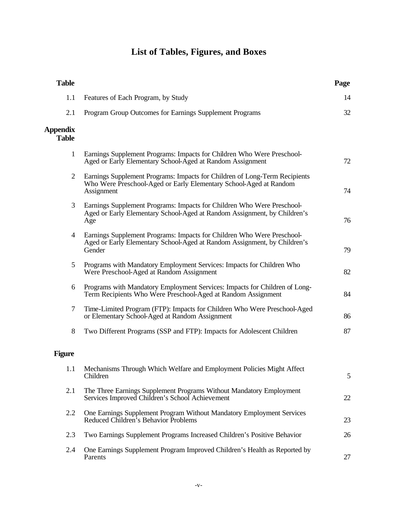# **List of Tables, Figures, and Boxes**

| <b>Table</b>                    |                                                                                                                                                               | Page |
|---------------------------------|---------------------------------------------------------------------------------------------------------------------------------------------------------------|------|
| 1.1                             | Features of Each Program, by Study                                                                                                                            | 14   |
| 2.1                             | Program Group Outcomes for Earnings Supplement Programs                                                                                                       | 32   |
| <b>Appendix</b><br><b>Table</b> |                                                                                                                                                               |      |
| $\mathbf{1}$                    | Earnings Supplement Programs: Impacts for Children Who Were Preschool-<br>Aged or Early Elementary School-Aged at Random Assignment                           | 72   |
| $\overline{2}$                  | Earnings Supplement Programs: Impacts for Children of Long-Term Recipients<br>Who Were Preschool-Aged or Early Elementary School-Aged at Random<br>Assignment | 74   |
| 3                               | Earnings Supplement Programs: Impacts for Children Who Were Preschool-<br>Aged or Early Elementary School-Aged at Random Assignment, by Children's<br>Age     | 76   |
| 4                               | Earnings Supplement Programs: Impacts for Children Who Were Preschool-<br>Aged or Early Elementary School-Aged at Random Assignment, by Children's<br>Gender  | 79   |
| 5                               | Programs with Mandatory Employment Services: Impacts for Children Who<br>Were Preschool-Aged at Random Assignment                                             | 82   |
| 6                               | Programs with Mandatory Employment Services: Impacts for Children of Long-<br>Term Recipients Who Were Preschool-Aged at Random Assignment                    | 84   |
| 7                               | Time-Limited Program (FTP): Impacts for Children Who Were Preschool-Aged<br>or Elementary School-Aged at Random Assignment                                    | 86   |
| 8                               | Two Different Programs (SSP and FTP): Impacts for Adolescent Children                                                                                         | 87   |
| <b>Figure</b>                   |                                                                                                                                                               |      |
| 1.1                             | Mechanisms Through Which Welfare and Employment Policies Might Affect<br>Children                                                                             | 5    |
| 2.1                             | The Three Earnings Supplement Programs Without Mandatory Employment<br>Services Improved Children's School Achievement                                        | 22   |
| 2.2                             | One Earnings Supplement Program Without Mandatory Employment Services<br>Reduced Children's Behavior Problems                                                 | 23   |
| 2.3                             | Two Earnings Supplement Programs Increased Children's Positive Behavior                                                                                       | 26   |
| 2.4                             | One Earnings Supplement Program Improved Children's Health as Reported by<br>Parents                                                                          | 27   |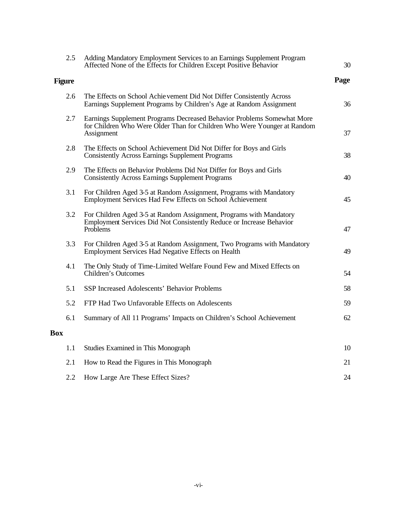|            | 2.5                                                                                                                                                                     | Adding Mandatory Employment Services to an Earnings Supplement Program<br>Affected None of the Effects for Children Except Positive Behavior            | 30   |
|------------|-------------------------------------------------------------------------------------------------------------------------------------------------------------------------|---------------------------------------------------------------------------------------------------------------------------------------------------------|------|
|            | <b>Figure</b>                                                                                                                                                           |                                                                                                                                                         | Page |
|            | 2.6                                                                                                                                                                     | The Effects on School Achie vement Did Not Differ Consistently Across<br>Earnings Supplement Programs by Children's Age at Random Assignment            | 36   |
|            | Earnings Supplement Programs Decreased Behavior Problems Somewhat More<br>2.7<br>for Children Who Were Older Than for Children Who Were Younger at Random<br>Assignment |                                                                                                                                                         | 37   |
|            | 2.8                                                                                                                                                                     | The Effects on School Achievement Did Not Differ for Boys and Girls<br><b>Consistently Across Earnings Supplement Programs</b>                          | 38   |
|            | 2.9                                                                                                                                                                     | The Effects on Behavior Problems Did Not Differ for Boys and Girls<br><b>Consistently Across Earnings Supplement Programs</b>                           | 40   |
|            | 3.1                                                                                                                                                                     | For Children Aged 3-5 at Random Assignment, Programs with Mandatory<br>Employment Services Had Few Effects on School Achievement                        | 45   |
|            | 3.2                                                                                                                                                                     | For Children Aged 3-5 at Random Assignment, Programs with Mandatory<br>Employment Services Did Not Consistently Reduce or Increase Behavior<br>Problems | 47   |
|            | 3.3                                                                                                                                                                     | For Children Aged 3-5 at Random Assignment, Two Programs with Mandatory<br>Employment Services Had Negative Effects on Health                           | 49   |
|            | 4.1                                                                                                                                                                     | The Only Study of Time-Limited Welfare Found Few and Mixed Effects on<br>Children's Outcomes                                                            | 54   |
|            | 5.1                                                                                                                                                                     | SSP Increased Adolescents' Behavior Problems                                                                                                            | 58   |
|            | 5.2                                                                                                                                                                     | FTP Had Two Unfavorable Effects on Adolescents                                                                                                          | 59   |
|            | 6.1                                                                                                                                                                     | Summary of All 11 Programs' Impacts on Children's School Achievement                                                                                    | 62   |
| <b>Box</b> |                                                                                                                                                                         |                                                                                                                                                         |      |
|            | 1.1                                                                                                                                                                     | Studies Examined in This Monograph                                                                                                                      | 10   |
|            | 2.1                                                                                                                                                                     | How to Read the Figures in This Monograph                                                                                                               | 21   |
|            | 2.2                                                                                                                                                                     | How Large Are These Effect Sizes?                                                                                                                       | 24   |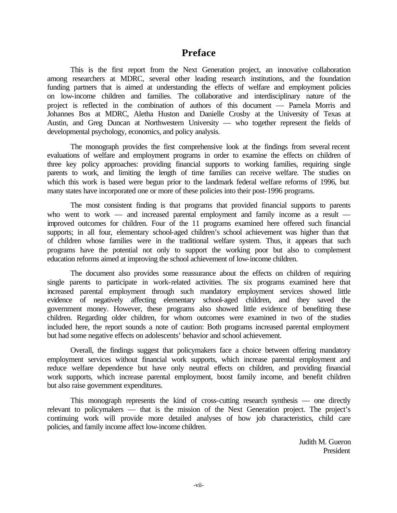# **Preface**

This is the first report from the Next Generation project, an innovative collaboration among researchers at MDRC, several other leading research institutions, and the foundation funding partners that is aimed at understanding the effects of welfare and employment policies on low-income children and families. The collaborative and interdisciplinary nature of the project is reflected in the combination of authors of this document — Pamela Morris and Johannes Bos at MDRC, Aletha Huston and Danielle Crosby at the University of Texas at Austin, and Greg Duncan at Northwestern University — who together represent the fields of developmental psychology, economics, and policy analysis.

The monograph provides the first comprehensive look at the findings from several recent evaluations of welfare and employment programs in order to examine the effects on children of three key policy approaches: providing financial supports to working families, requiring single parents to work, and limiting the length of time families can receive welfare. The studies on which this work is based were begun prior to the landmark federal welfare reforms of 1996, but many states have incorporated one or more of these policies into their post-1996 programs.

The most consistent finding is that programs that provided financial supports to parents who went to work — and increased parental employment and family income as a result improved outcomes for children. Four of the 11 programs examined here offered such financial supports; in all four, elementary school-aged children's school achievement was higher than that of children whose families were in the traditional welfare system. Thus, it appears that such programs have the potential not only to support the working poor but also to complement education reforms aimed at improving the school achievement of low-income children.

The document also provides some reassurance about the effects on children of requiring single parents to participate in work-related activities. The six programs examined here that increased parental employment through such mandatory employment services showed little evidence of negatively affecting elementary school-aged children, and they saved the government money. However, these programs also showed little evidence of benefiting these children. Regarding older children, for whom outcomes were examined in two of the studies included here, the report sounds a note of caution: Both programs increased parental employment but had some negative effects on adolescents' behavior and school achievement.

Overall, the findings suggest that policymakers face a choice between offering mandatory employment services without financial work supports, which increase parental employment and reduce welfare dependence but have only neutral effects on children, and providing financial work supports, which increase parental employment, boost family income, and benefit children but also raise government expenditures.

This monograph represents the kind of cross-cutting research synthesis — one directly relevant to policymakers — that is the mission of the Next Generation project. The project's continuing work will provide more detailed analyses of how job characteristics, child care policies, and family income affect low-income children.

> Judith M. Gueron President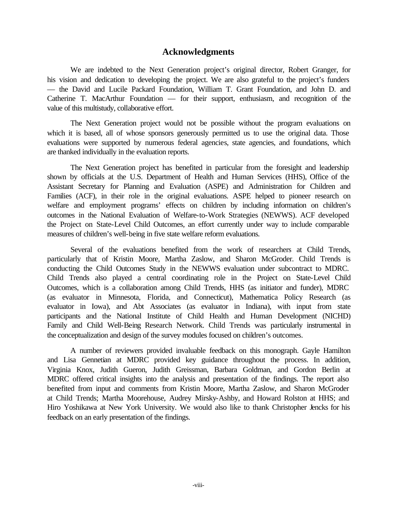### **Acknowledgments**

We are indebted to the Next Generation project's original director, Robert Granger, for his vision and dedication to developing the project. We are also grateful to the project's funders — the David and Lucile Packard Foundation, William T. Grant Foundation, and John D. and Catherine T. MacArthur Foundation — for their support, enthusiasm, and recognition of the value of this multistudy, collaborative effort.

The Next Generation project would not be possible without the program evaluations on which it is based, all of whose sponsors generously permitted us to use the original data. Those evaluations were supported by numerous federal agencies, state agencies, and foundations, which are thanked individually in the evaluation reports.

The Next Generation project has benefited in particular from the foresight and leadership shown by officials at the U.S. Department of Health and Human Services (HHS), Office of the Assistant Secretary for Planning and Evaluation (ASPE) and Administration for Children and Families (ACF), in their role in the original evaluations. ASPE helped to pioneer research on welfare and employment programs' effects on children by including information on children's outcomes in the National Evaluation of Welfare-to-Work Strategies (NEWWS). ACF developed the Project on State-Level Child Outcomes, an effort currently under way to include comparable measures of children's well-being in five state welfare reform evaluations.

Several of the evaluations benefited from the work of researchers at Child Trends, particularly that of Kristin Moore, Martha Zaslow, and Sharon McGroder. Child Trends is conducting the Child Outcomes Study in the NEWWS evaluation under subcontract to MDRC. Child Trends also played a central coordinating role in the Project on State-Level Child Outcomes, which is a collaboration among Child Trends, HHS (as initiator and funder), MDRC (as evaluator in Minnesota, Florida, and Connecticut), Mathematica Policy Research (as evaluator in Iowa), and Abt Associates (as evaluator in Indiana), with input from state participants and the National Institute of Child Health and Human Development (NICHD) Family and Child Well-Being Research Network. Child Trends was particularly instrumental in the conceptualization and design of the survey modules focused on children's outcomes.

A number of reviewers provided invaluable feedback on this monograph. Gayle Hamilton and Lisa Gennetian at MDRC provided key guidance throughout the process. In addition, Virginia Knox, Judith Gueron, Judith Greissman, Barbara Goldman, and Gordon Berlin at MDRC offered critical insights into the analysis and presentation of the findings. The report also benefited from input and comments from Kristin Moore, Martha Zaslow, and Sharon McGroder at Child Trends; Martha Moorehouse, Audrey Mirsky-Ashby, and Howard Rolston at HHS; and Hiro Yoshikawa at New York University. We would also like to thank Christopher Jencks for his feedback on an early presentation of the findings.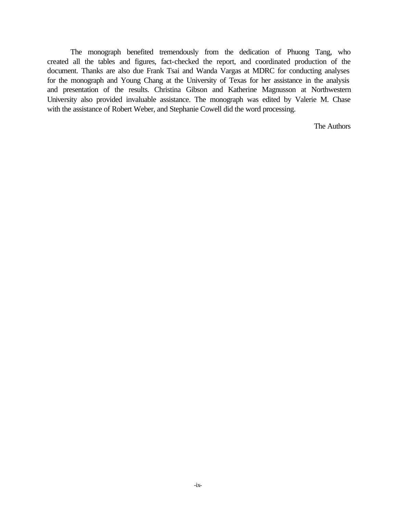The monograph benefited tremendously from the dedication of Phuong Tang, who created all the tables and figures, fact-checked the report, and coordinated production of the document. Thanks are also due Frank Tsai and Wanda Vargas at MDRC for conducting analyses for the monograph and Young Chang at the University of Texas for her assistance in the analysis and presentation of the results. Christina Gibson and Katherine Magnusson at Northwestern University also provided invaluable assistance. The monograph was edited by Valerie M. Chase with the assistance of Robert Weber, and Stephanie Cowell did the word processing.

The Authors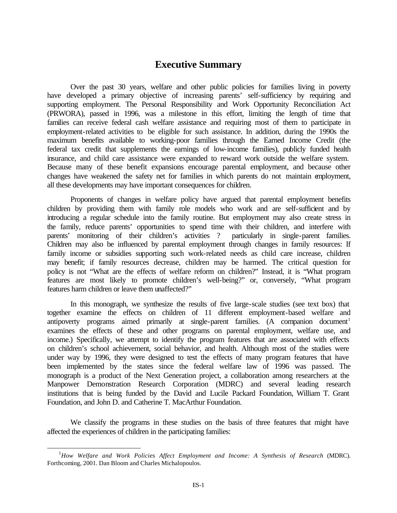# **Executive Summary**

Over the past 30 years, welfare and other public policies for families living in poverty have developed a primary objective of increasing parents' self-sufficiency by requiring and supporting employment. The Personal Responsibility and Work Opportunity Reconciliation Act (PRWORA), passed in 1996, was a milestone in this effort, limiting the length of time that families can receive federal cash welfare assistance and requiring most of them to participate in employment-related activities to be eligible for such assistance. In addition, during the 1990s the maximum benefits available to working-poor families through the Earned Income Credit (the federal tax credit that supplements the earnings of low-income families), publicly funded health insurance, and child care assistance were expanded to reward work outside the welfare system. Because many of these benefit expansions encourage parental employment, and because other changes have weakened the safety net for families in which parents do not maintain employment, all these developments may have important consequences for children.

Proponents of changes in welfare policy have argued that parental employment benefits children by providing them with family role models who work and are self-sufficient and by introducing a regular schedule into the family routine. But employment may also create stress in the family, reduce parents' opportunities to spend time with their children, and interfere with parents' monitoring of their children's activities ? particularly in single-parent families. Children may also be influenced by parental employment through changes in family resources: If family income or subsidies supporting such work-related needs as child care increase, children may benefit; if family resources decrease, children may be harmed. The critical question for policy is not "What are the effects of welfare reform on children?" Instead, it is "What program features are most likely to promote children's well-being?" or, conversely, "What program features harm children or leave them unaffected?"

In this monograph, we synthesize the results of five large-scale studies (see text box) that together examine the effects on children of 11 different employment-based welfare and antipoverty programs aimed primarily at single-parent families. (A companion document<sup>1</sup> examines the effects of these and other programs on parental employment, welfare use, and income.) Specifically, we attempt to identify the program features that are associated with effects on children's school achievement, social behavior, and health. Although most of the studies were under way by 1996, they were designed to test the effects of many program features that have been implemented by the states since the federal welfare law of 1996 was passed. The monograph is a product of the Next Generation project, a collaboration among researchers at the Manpower Demonstration Research Corporation (MDRC) and several leading research institutions that is being funded by the David and Lucile Packard Foundation, William T. Grant Foundation, and John D. and Catherine T. MacArthur Foundation.

We classify the programs in these studies on the basis of three features that might have affected the experiences of children in the participating families:

<sup>1</sup>*How Welfare and Work Policies Affect Employment and Income: A Synthesis of Research* (MDRC). Forthcoming, 2001. Dan Bloom and Charles Michalopoulos.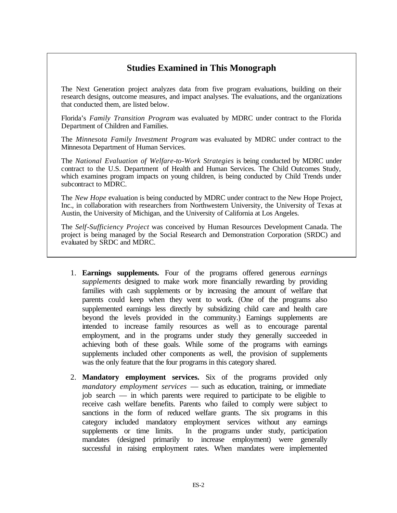# **Studies Examined in This Monograph**

The Next Generation project analyzes data from five program evaluations, building on their research designs, outcome measures, and impact analyses. The evaluations, and the organizations that conducted them, are listed below.

Florida's *Family Transition Program* was evaluated by MDRC under contract to the Florida Department of Children and Families.

The *Minnesota Family Investment Program* was evaluated by MDRC under contract to the Minnesota Department of Human Services.

The *National Evaluation of Welfare-to-Work Strategies* is being conducted by MDRC under contract to the U.S. Department of Health and Human Services. The Child Outcomes Study, which examines program impacts on young children, is being conducted by Child Trends under subcontract to MDRC.

The *New Hope* evaluation is being conducted by MDRC under contract to the New Hope Project, Inc., in collaboration with researchers from Northwestern University, the University of Texas at Austin, the University of Michigan, and the University of California at Los Angeles.

The *Self-Sufficiency Project* was conceived by Human Resources Development Canada. The project is being managed by the Social Research and Demonstration Corporation (SRDC) and evaluated by SRDC and MDRC.

- 1. **Earnings supplements.** Four of the programs offered generous *earnings supplements* designed to make work more financially rewarding by providing families with cash supplements or by increasing the amount of welfare that parents could keep when they went to work. (One of the programs also supplemented earnings less directly by subsidizing child care and health care beyond the levels provided in the community.) Earnings supplements are intended to increase family resources as well as to encourage parental employment, and in the programs under study they generally succeeded in achieving both of these goals. While some of the programs with earnings supplements included other components as well, the provision of supplements was the only feature that the four programs in this category shared.
- 2. **Mandatory employment services.** Six of the programs provided only *mandatory employment services* — such as education, training, or immediate job search — in which parents were required to participate to be eligible to receive cash welfare benefits. Parents who failed to comply were subject to sanctions in the form of reduced welfare grants. The six programs in this category included mandatory employment services without any earnings supplements or time limits. In the programs under study, participation mandates (designed primarily to increase employment) were generally successful in raising employment rates. When mandates were implemented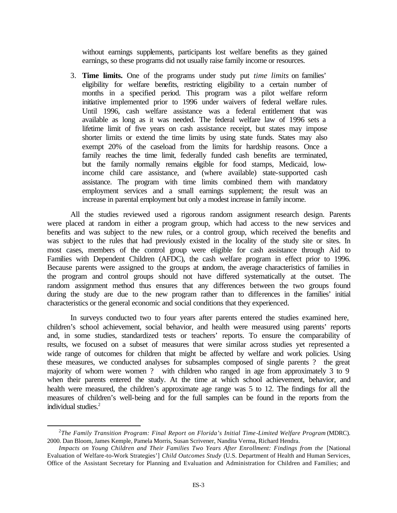without earnings supplements, participants lost welfare benefits as they gained earnings, so these programs did not usually raise family income or resources.

3. **Time limits.** One of the programs under study put *time limits* on families' eligibility for welfare benefits, restricting eligibility to a certain number of months in a specified period. This program was a pilot welfare reform initiative implemented prior to 1996 under waivers of federal welfare rules. Until 1996, cash welfare assistance was a federal entitlement that was available as long as it was needed. The federal welfare law of 1996 sets a lifetime limit of five years on cash assistance receipt, but states may impose shorter limits or extend the time limits by using state funds. States may also exempt 20% of the caseload from the limits for hardship reasons. Once a family reaches the time limit, federally funded cash benefits are terminated, but the family normally remains eligible for food stamps, Medicaid, lowincome child care assistance, and (where available) state-supported cash assistance. The program with time limits combined them with mandatory employment services and a small earnings supplement; the result was an increase in parental employment but only a modest increase in family income.

All the studies reviewed used a rigorous random assignment research design. Parents were placed at random in either a program group, which had access to the new services and benefits and was subject to the new rules, or a control group, which received the benefits and was subject to the rules that had previously existed in the locality of the study site or sites. In most cases, members of the control group were eligible for cash assistance through Aid to Families with Dependent Children (AFDC), the cash welfare program in effect prior to 1996. Because parents were assigned to the groups at random, the average characteristics of families in the program and control groups should not have differed systematically at the outset. The random assignment method thus ensures that any differences between the two groups found during the study are due to the new program rather than to differences in the families' initial characteristics or the general economic and social conditions that they experienced.

In surveys conducted two to four years after parents entered the studies examined here, children's school achievement, social behavior, and health were measured using parents' reports and, in some studies, standardized tests or teachers' reports. To ensure the comparability of results, we focused on a subset of measures that were similar across studies yet represented a wide range of outcomes for children that might be affected by welfare and work policies. Using these measures, we conducted analyses for subsamples composed of single parents ? the great majority of whom were women ? with children who ranged in age from approximately 3 to 9 when their parents entered the study. At the time at which school achievement, behavior, and health were measured, the children's approximate age range was 5 to 12. The findings for all the measures of children's well-being and for the full samples can be found in the reports from the individual studies.<sup>2</sup>

<sup>2</sup> *The Family Transition Program: Final Report on Florida's Initial Time-Limited Welfare Program* (MDRC). 2000. Dan Bloom, James Kemple, Pamela Morris, Susan Scrivener, Nandita Verma, Richard Hendra.

*Impacts on Young Children and Their Families Two Years After Enrollment: Findings from the* [National Evaluation of Welfare-to-Work Strategies'] *Child Outcomes Study* (U.S. Department of Health and Human Services, Office of the Assistant Secretary for Planning and Evaluation and Administration for Children and Families; and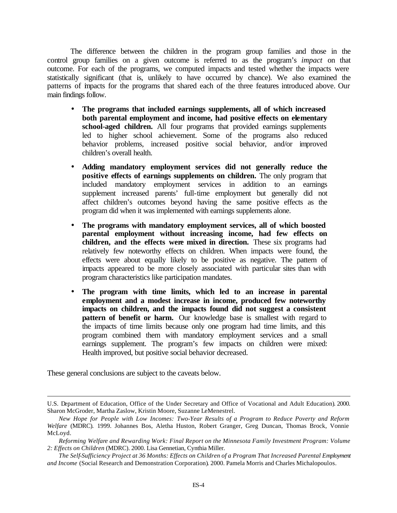The difference between the children in the program group families and those in the control group families on a given outcome is referred to as the program's *impact* on that outcome. For each of the programs, we computed impacts and tested whether the impacts were statistically significant (that is, unlikely to have occurred by chance). We also examined the patterns of impacts for the programs that shared each of the three features introduced above. Our main findings follow.

- **The programs that included earnings supplements, all of which increased both parental employment and income, had positive effects on elementary school-aged children.** All four programs that provided earnings supplements led to higher school achievement. Some of the programs also reduced behavior problems, increased positive social behavior, and/or improved children's overall health.
- **Adding mandatory employment services did not generally reduce the positive effects of earnings supplements on children.** The only program that included mandatory employment services in addition to an earnings supplement increased parents' full-time employment but generally did not affect children's outcomes beyond having the same positive effects as the program did when it was implemented with earnings supplements alone.
- **The programs with mandatory employment services, all of which boosted parental employment without increasing income, had few effects on children, and the effects were mixed in direction.** These six programs had relatively few noteworthy effects on children. When impacts were found, the effects were about equally likely to be positive as negative. The pattern of impacts appeared to be more closely associated with particular sites than with program characteristics like participation mandates.
- **The program with time limits, which led to an increase in parental employment and a modest increase in income, produced few noteworthy impacts on children, and the impacts found did not suggest a consistent pattern of benefit or harm.** Our knowledge base is smallest with regard to the impacts of time limits because only one program had time limits, and this program combined them with mandatory employment services and a small earnings supplement. The program's few impacts on children were mixed: Health improved, but positive social behavior decreased.

These general conclusions are subject to the caveats below.

U.S. Department of Education, Office of the Under Secretary and Office of Vocational and Adult Education). 2000. Sharon McGroder, Martha Zaslow, Kristin Moore, Suzanne LeMenestrel.

*New Hope for People with Low Incomes: Two-Year Results of a Program to Reduce Poverty and Reform Welfare* (MDRC)*.* 1999. Johannes Bos, Aletha Huston, Robert Granger, Greg Duncan, Thomas Brock, Vonnie McLoyd.

*Reforming Welfare and Rewarding Work: Final Report on the Minnesota Family Investment Program: Volume 2: Effects on Children* (MDRC). 2000. Lisa Gennetian, Cynthia Miller.

*The Self-Sufficiency Project at 36 Months: Effects on Children of a Program That Increased Parental Employment and Income* (Social Research and Demonstration Corporation)*.* 2000. Pamela Morris and Charles Michalopoulos.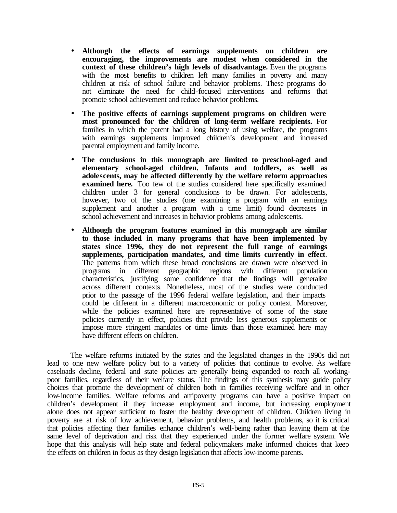- **Although the effects of earnings supplements on children are encouraging, the improvements are modest when considered in the context of these children's high levels of disadvantage.** Even the programs with the most benefits to children left many families in poverty and many children at risk of school failure and behavior problems. These programs do not eliminate the need for child-focused interventions and reforms that promote school achievement and reduce behavior problems.
- **The positive effects of earnings supplement programs on children were most pronounced for the children of long-term welfare recipients.** For families in which the parent had a long history of using welfare, the programs with earnings supplements improved children's development and increased parental employment and family income.
- **The conclusions in this monograph are limited to preschool-aged and elementary school-aged children. Infants and toddlers, as well as adolescents, may be affected differently by the welfare reform approaches examined here.** Too few of the studies considered here specifically examined children under 3 for general conclusions to be drawn. For adolescents, however, two of the studies (one examining a program with an earnings supplement and another a program with a time limit) found decreases in school achievement and increases in behavior problems among adolescents.
- **Although the program features examined in this monograph are similar to those included in many programs that have been implemented by states since 1996, they do not represent the full range of earnings supplements, participation mandates, and time limits currently in effect**. The patterns from which these broad conclusions are drawn were observed in programs in different geographic regions with different population programs in different geographic regions with different population characteristics, justifying some confidence that the findings will generalize across different contexts. Nonetheless, most of the studies were conducted prior to the passage of the 1996 federal welfare legislation, and their impacts could be different in a different macroeconomic or policy context. Moreover, while the policies examined here are representative of some of the state policies currently in effect, policies that provide less generous supplements or impose more stringent mandates or time limits than those examined here may have different effects on children.

The welfare reforms initiated by the states and the legislated changes in the 1990s did not lead to one new welfare policy but to a variety of policies that continue to evolve. As welfare caseloads decline, federal and state policies are generally being expanded to reach all workingpoor families, regardless of their welfare status. The findings of this synthesis may guide policy choices that promote the development of children both in families receiving welfare and in other low-income families. Welfare reforms and antipoverty programs can have a positive impact on children's development if they increase employment and income, but increasing employment alone does not appear sufficient to foster the healthy development of children. Children living in poverty are at risk of low achievement, behavior problems, and health problems, so it is critical that policies affecting their families enhance children's well-being rather than leaving them at the same level of deprivation and risk that they experienced under the former welfare system. We hope that this analysis will help state and federal policymakers make informed choices that keep the effects on children in focus as they design legislation that affects low-income parents.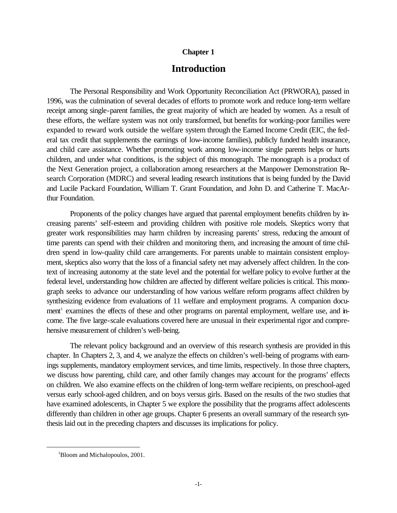#### **Chapter 1**

# **Introduction**

The Personal Responsibility and Work Opportunity Reconciliation Act (PRWORA), passed in 1996, was the culmination of several decades of efforts to promote work and reduce long-term welfare receipt among single-parent families, the great majority of which are headed by women. As a result of these efforts, the welfare system was not only transformed, but benefits for working-poor families were expanded to reward work outside the welfare system through the Earned Income Credit (EIC, the federal tax credit that supplements the earnings of low-income families), publicly funded health insurance, and child care assistance. Whether promoting work among low-income single parents helps or hurts children, and under what conditions, is the subject of this monograph. The monograph is a product of the Next Generation project, a collaboration among researchers at the Manpower Demonstration Research Corporation (MDRC) and several leading research institutions that is being funded by the David and Lucile Packard Foundation, William T. Grant Foundation, and John D. and Catherine T. MacArthur Foundation.

Proponents of the policy changes have argued that parental employment benefits children by increasing parents' self-esteem and providing children with positive role models. Skeptics worry that greater work responsibilities may harm children by increasing parents' stress, reducing the amount of time parents can spend with their children and monitoring them, and increasing the amount of time children spend in low-quality child care arrangements. For parents unable to maintain consistent employment, skeptics also worry that the loss of a financial safety net may adversely affect children. In the context of increasing autonomy at the state level and the potential for welfare policy to evolve further at the federal level, understanding how children are affected by different welfare policies is critical. This monograph seeks to advance our understanding of how various welfare reform programs affect children by synthesizing evidence from evaluations of 11 welfare and employment programs. A companion document<sup>1</sup> examines the effects of these and other programs on parental employment, welfare use, and income. The five large-scale evaluations covered here are unusual in their experimental rigor and comprehensive measurement of children's well-being.

The relevant policy background and an overview of this research synthesis are provided in this chapter. In Chapters 2, 3, and 4, we analyze the effects on children's well-being of programs with earnings supplements, mandatory employment services, and time limits, respectively. In those three chapters, we discuss how parenting, child care, and other family changes may account for the programs' effects on children. We also examine effects on the children of long-term welfare recipients, on preschool-aged versus early school-aged children, and on boys versus girls. Based on the results of the two studies that have examined adolescents, in Chapter 5 we explore the possibility that the programs affect adolescents differently than children in other age groups. Chapter 6 presents an overall summary of the research synthesis laid out in the preceding chapters and discusses its implications for policy.

<sup>&</sup>lt;sup>1</sup>Bloom and Michalopoulos, 2001.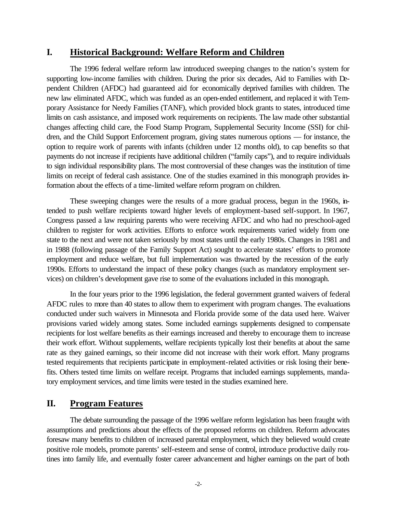# **I. Historical Background: Welfare Reform and Children**

The 1996 federal welfare reform law introduced sweeping changes to the nation's system for supporting low-income families with children. During the prior six decades, Aid to Families with Dependent Children (AFDC) had guaranteed aid for economically deprived families with children. The new law eliminated AFDC, which was funded as an open-ended entitlement, and replaced it with Temporary Assistance for Needy Families (TANF), which provided block grants to states, introduced time limits on cash assistance, and imposed work requirements on recipients. The law made other substantial changes affecting child care, the Food Stamp Program, Supplemental Security Income (SSI) for children, and the Child Support Enforcement program, giving states numerous options — for instance, the option to require work of parents with infants (children under 12 months old), to cap benefits so that payments do not increase if recipients have additional children ("family caps"), and to require individuals to sign individual responsibility plans. The most controversial of these changes was the institution of time limits on receipt of federal cash assistance. One of the studies examined in this monograph provides information about the effects of a time-limited welfare reform program on children.

These sweeping changes were the results of a more gradual process, begun in the 1960s, intended to push welfare recipients toward higher levels of employment-based self-support. In 1967, Congress passed a law requiring parents who were receiving AFDC and who had no preschool-aged children to register for work activities. Efforts to enforce work requirements varied widely from one state to the next and were not taken seriously by most states until the early 1980s. Changes in 1981 and in 1988 (following passage of the Family Support Act) sought to accelerate states' efforts to promote employment and reduce welfare, but full implementation was thwarted by the recession of the early 1990s. Efforts to understand the impact of these policy changes (such as mandatory employment services) on children's development gave rise to some of the evaluations included in this monograph.

In the four years prior to the 1996 legislation, the federal government granted waivers of federal AFDC rules to more than 40 states to allow them to experiment with program changes. The evaluations conducted under such waivers in Minnesota and Florida provide some of the data used here. Waiver provisions varied widely among states. Some included earnings supplements designed to compensate recipients for lost welfare benefits as their earnings increased and thereby to encourage them to increase their work effort. Without supplements, welfare recipients typically lost their benefits at about the same rate as they gained earnings, so their income did not increase with their work effort. Many programs tested requirements that recipients participate in employment-related activities or risk losing their benefits. Others tested time limits on welfare receipt. Programs that included earnings supplements, mandatory employment services, and time limits were tested in the studies examined here.

# **II. Program Features**

The debate surrounding the passage of the 1996 welfare reform legislation has been fraught with assumptions and predictions about the effects of the proposed reforms on children. Reform advocates foresaw many benefits to children of increased parental employment, which they believed would create positive role models, promote parents' self-esteem and sense of control, introduce productive daily routines into family life, and eventually foster career advancement and higher earnings on the part of both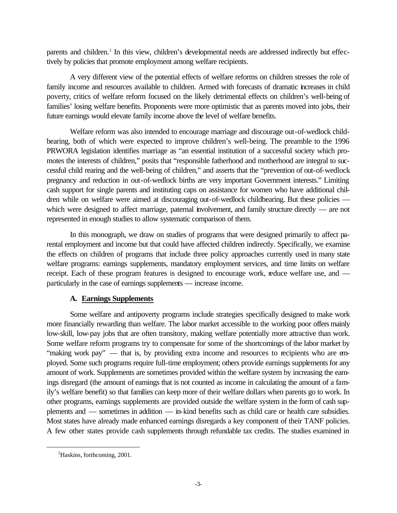parents and children.<sup>2</sup> In this view, children's developmental needs are addressed indirectly but effectively by policies that promote employment among welfare recipients.

A very different view of the potential effects of welfare reforms on children stresses the role of family income and resources available to children. Armed with forecasts of dramatic increases in child poverty, critics of welfare reform focused on the likely detrimental effects on children's well-being of families' losing welfare benefits. Proponents were more optimistic that as parents moved into jobs, their future earnings would elevate family income above the level of welfare benefits.

Welfare reform was also intended to encourage marriage and discourage out-of-wedlock childbearing, both of which were expected to improve children's well-being. The preamble to the 1996 PRWORA legislation identifies marriage as "an essential institution of a successful society which promotes the interests of children," posits that "responsible fatherhood and motherhood are integral to successful child rearing and the well-being of children," and asserts that the "prevention of out-of-wedlock pregnancy and reduction in out-of-wedlock births are very important Government interests." Limiting cash support for single parents and instituting caps on assistance for women who have additional children while on welfare were aimed at discouraging out-of-wedlock childbearing. But these policies which were designed to affect marriage, paternal involvement, and family structure directly — are not represented in enough studies to allow systematic comparison of them.

In this monograph, we draw on studies of programs that were designed primarily to affect parental employment and income but that could have affected children indirectly. Specifically, we examine the effects on children of programs that include three policy approaches currently used in many state welfare programs: earnings supplements, mandatory employment services, and time limits on welfare receipt. Each of these program features is designed to encourage work, reduce welfare use, and particularly in the case of earnings supplements — increase income.

### **A. Earnings Supplements**

Some welfare and antipoverty programs include strategies specifically designed to make work more financially rewarding than welfare. The labor market accessible to the working poor offers mainly low-skill, low-pay jobs that are often transitory, making welfare potentially more attractive than work. Some welfare reform programs try to compensate for some of the shortcomings of the labor market by "making work pay" — that is, by providing extra income and resources to recipients who are employed. Some such programs require full-time employment; others provide earnings supplements for any amount of work. Supplements are sometimes provided within the welfare system by increasing the earnings disregard (the amount of earnings that is not counted as income in calculating the amount of a family's welfare benefit) so that families can keep more of their welfare dollars when parents go to work. In other programs, earnings supplements are provided outside the welfare system in the form of cash supplements and — sometimes in addition — in-kind benefits such as child care or health care subsidies. Most states have already made enhanced earnings disregards a key component of their TANF policies. A few other states provide cash supplements through refundable tax credits. The studies examined in

<sup>&</sup>lt;sup>2</sup>Haskins, forthcoming, 2001.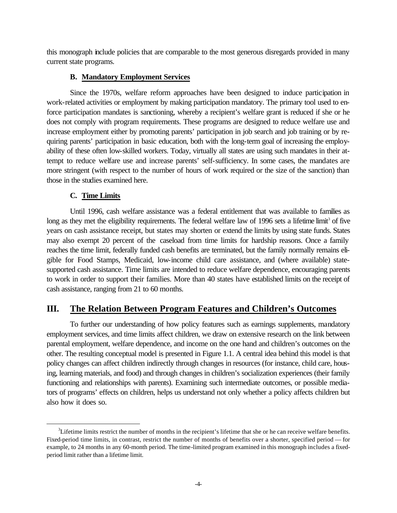this monograph include policies that are comparable to the most generous disregards provided in many current state programs.

### **B. Mandatory Employment Services**

Since the 1970s, welfare reform approaches have been designed to induce participation in work-related activities or employment by making participation mandatory. The primary tool used to enforce participation mandates is sanctioning, whereby a recipient's welfare grant is reduced if she or he does not comply with program requirements. These programs are designed to reduce welfare use and increase employment either by promoting parents' participation in job search and job training or by requiring parents' participation in basic education, both with the long-term goal of increasing the employability of these often low-skilled workers. Today, virtually all states are using such mandates in their attempt to reduce welfare use and increase parents' self-sufficiency. In some cases, the mandates are more stringent (with respect to the number of hours of work required or the size of the sanction) than those in the studies examined here.

### **C. Time Limits**

Until 1996, cash welfare assistance was a federal entitlement that was available to families as long as they met the eligibility requirements. The federal welfare law of 1996 sets a lifetime limit<sup>3</sup> of five years on cash assistance receipt, but states may shorten or extend the limits by using state funds. States may also exempt 20 percent of the caseload from time limits for hardship reasons. Once a family reaches the time limit, federally funded cash benefits are terminated, but the family normally remains eligible for Food Stamps, Medicaid, low-income child care assistance, and (where available) statesupported cash assistance. Time limits are intended to reduce welfare dependence, encouraging parents to work in order to support their families. More than 40 states have established limits on the receipt of cash assistance, ranging from 21 to 60 months.

# **III. The Relation Between Program Features and Children's Outcomes**

To further our understanding of how policy features such as earnings supplements, mandatory employment services, and time limits affect children, we draw on extensive research on the link between parental employment, welfare dependence, and income on the one hand and children's outcomes on the other. The resulting conceptual model is presented in Figure 1.1. A central idea behind this model is that policy changes can affect children indirectly through changes in resources (for instance, child care, housing, learning materials, and food) and through changes in children's socialization experiences (their family functioning and relationships with parents). Examining such intermediate outcomes, or possible mediators of programs' effects on children, helps us understand not only whether a policy affects children but also how it does so.

 <sup>3</sup>  ${}^{3}$ Lifetime limits restrict the number of months in the recipient's lifetime that she or he can receive welfare benefits. Fixed-period time limits, in contrast, restrict the number of months of benefits over a shorter, specified period — for example, to 24 months in any 60-month period. The time-limited program examined in this monograph includes a fixedperiod limit rather than a lifetime limit.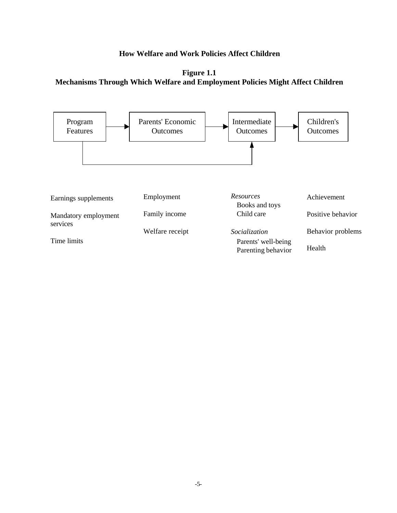# **How Welfare and Work Policies Affect Children**

**Figure 1.1 Mechanisms Through Which Welfare and Employment Policies Might Affect Children**

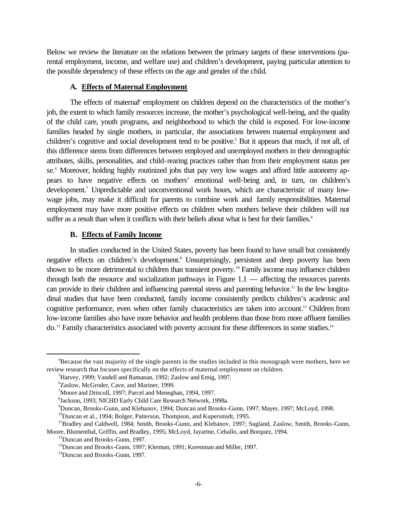Below we review the literature on the relations between the primary targets of these interventions (parental employment, income, and welfare use) and children's development, paying particular attention to the possible dependency of these effects on the age and gender of the child.

#### **A. Effects of Maternal Employment**

The effects of maternal<sup>4</sup> employment on children depend on the characteristics of the mother's job, the extent to which family resources increase, the mother's psychological well-being, and the quality of the child care, youth programs, and neighborhood to which the child is exposed. For low-income families headed by single mothers, in particular, the associations between maternal employment and children's cognitive and social development tend to be positive.<sup>5</sup> But it appears that much, if not all, of this difference stems from differences between employed and unemployed mothers in their demographic attributes, skills, personalities, and child-rearing practices rather than from their employment status per se.<sup>6</sup> Moreover, holding highly routinized jobs that pay very low wages and afford little autonomy appears to have negative effects on mothers' emotional well-being and, in turn, on children's development.<sup>7</sup> Unpredictable and unconventional work hours, which are characteristic of many lowwage jobs, may make it difficult for parents to combine work and family responsibilities. Maternal employment may have more positive effects on children when mothers believe their children will not suffer as a result than when it conflicts with their beliefs about what is best for their families.<sup>8</sup>

#### **B. Effects of Family Income**

In studies conducted in the United States, poverty has been found to have small but consistently negative effects on children's development.<sup>9</sup> Unsurprisingly, persistent and deep poverty has been shown to be more detrimental to children than transient poverty.<sup>10</sup> Family income may influence children through both the resource and socialization pathways in Figure 1.1 — affecting the resources parents can provide to their children and influencing parental stress and parenting behavior.<sup>11</sup> In the few longitudinal studies that have been conducted, family income consistently predicts children's academic and cognitive performance, even when other family characteristics are taken into account.<sup>12</sup> Children from low-income families also have more behavior and health problems than those from more affluent families do.<sup>13</sup> Family characteristics associated with poverty account for these differences in some studies.<sup>14</sup>

<sup>&</sup>lt;sup>4</sup>Because the vast majority of the single parents in the studies included in this monograph were mothers, here we review research that focuses specifically on the effects of maternal employment on children.

<sup>&</sup>lt;sup>5</sup>Harvey, 1999; Vandell and Ramanan, 1992; Zaslow and Emig, 1997.

<sup>6</sup> Zaslow, McGroder, Cave, and Mariner, 1999.

<sup>7</sup>Moore and Driscoll, 1997; Parcel and Meneghan, 1994, 1997.

<sup>8</sup> Jackson, 1993; NICHD Early Child Care Research Network, 1998a.

<sup>9</sup>Duncan, Brooks-Gunn, and Klebanov, 1994; Duncan and Brooks-Gunn, 1997; Mayer, 1997; McLoyd, 1998.

<sup>&</sup>lt;sup>10</sup>Duncan et al., 1994; Bolger, Patterson, Thompson, and Kupersmidt, 1995.

<sup>&</sup>lt;sup>11</sup>Bradley and Caldwell, 1984; Smith, Brooks-Gunn, and Klebanov, 1997; Sugland, Zaslow, Smith, Brooks-Gunn,

Moore, Blumenthal, Griffin, and Bradley, 1995; McLoyd, Jayartne, Ceballo, and Borquez, 1994.

<sup>12</sup>Duncan and Brooks-Gunn, 1997.

<sup>&</sup>lt;sup>13</sup>Duncan and Brooks-Gunn, 1997; Klerman, 1991; Korenman and Miller, 1997.

<sup>14</sup>Duncan and Brooks-Gunn, 1997.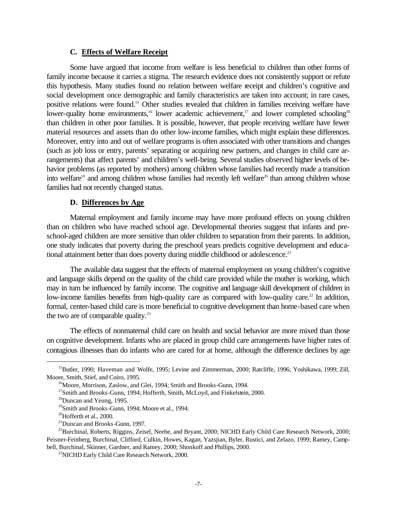#### **C. Effects of Welfare Receipt**

Some have argued that income from welfare is less beneficial to children than other forms of family income because it carries a stigma. The research evidence does not consistently support or refute this hypothesis. Many studies found no relation between welfare receipt and children's cognitive and social development once demographic and family characteristics are taken into account; in rare cases, positive relations were found.15 Other studies revealed that children in families receiving welfare have lower-quality home environments,<sup>16</sup> lower academic achievement,<sup>17</sup> and lower completed schooling<sup>18</sup> than children in other poor families. It is possible, however, that people receiving welfare have fewer material resources and assets than do other low-income families, which might explain these differences. Moreover, entry into and out of welfare programs is often associated with other transitions and changes (such as job loss or entry, parents' separating or acquiring new partners, and changes in child care arrangements) that affect parents' and children's well-being. Several studies observed higher levels of behavior problems (as reported by mothers) among children whose families had recently made a transition into welfare<sup>19</sup> and among children whose families had recently left welfare<sup>20</sup> than among children whose families had not recently changed status.

#### **D. Differences by Age**

Maternal employment and family income may have more profound effects on young children than on children who have reached school age. Developmental theories suggest that infants and preschool-aged children are more sensitive than older children to separation from their parents. In addition, one study indicates that poverty during the preschool years predicts cognitive development and educational attainment better than does poverty during middle childhood or adolescence.<sup>21</sup>

The available data suggest that the effects of maternal employment on young children's cognitive and language skills depend on the quality of the child care provided while the mother is working, which may in turn be influenced by family income. The cognitive and language skill development of children in low-income families benefits from high-quality care as compared with low-quality care.<sup>22</sup> In addition, formal, center-based child care is more beneficial to cognitive development than home-based care when the two are of comparable quality. $^{23}$ 

The effects of nonmaternal child care on health and social behavior are more mixed than those on cognitive development. Infants who are placed in group child care arrangements have higher rates of contagious illnesses than do infants who are cared for at home, although the difference declines by age

<sup>&</sup>lt;sup>15</sup>Butler, 1990; Haveman and Wolfe, 1995; Levine and Zimmerman, 2000; Ratcliffe, 1996; Yoshikawa, 1999; Zill, Moore, Smith, Stief, and Coiro, 1995.

<sup>&</sup>lt;sup>16</sup>Moore, Morrison, Zaslow, and Glei, 1994; Smith and Brooks-Gunn, 1994.

<sup>&</sup>lt;sup>17</sup>Smith and Brooks-Gunn, 1994; Hofferth, Smith, McLoyd, and Finkelstein, 2000.

<sup>18</sup>Duncan and Yeung, 1995.

<sup>&</sup>lt;sup>19</sup>Smith and Brooks-Gunn, 1994; Moore et al., 1994.

 $20$ Hofferth et al., 2000.

<sup>21</sup>Duncan and Brooks-Gunn, 1997.

<sup>&</sup>lt;sup>22</sup>Burchinal, Roberts, Riggins, Zeisel, Neebe, and Bryant, 2000; NICHD Early Child Care Research Network, 2000; Peisner-Feinberg, Burchinal, Clifford, Culkin, Howes, Kagan, Yazsjian, Byler, Rustici, and Zelazo, 1999; Ramey, Campbell, Burchinal, Skinner, Gardner, and Ramey, 2000; Shonkoff and Phillips, 2000.

<sup>&</sup>lt;sup>23</sup>NICHD Early Child Care Research Network, 2000.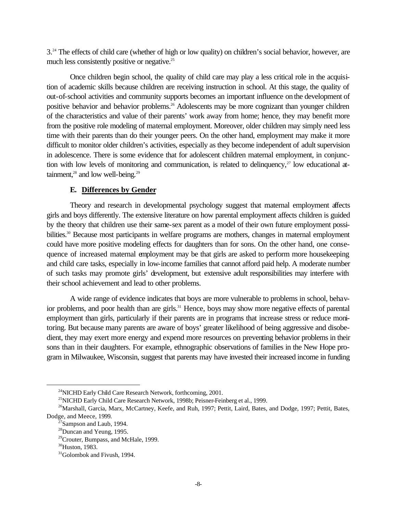3.<sup>24</sup> The effects of child care (whether of high or low quality) on children's social behavior, however, are much less consistently positive or negative.<sup>25</sup>

Once children begin school, the quality of child care may play a less critical role in the acquisition of academic skills because children are receiving instruction in school. At this stage, the quality of out-of-school activities and community supports becomes an important influence on the development of positive behavior and behavior problems.<sup>26</sup> Adolescents may be more cognizant than younger children of the characteristics and value of their parents' work away from home; hence, they may benefit more from the positive role modeling of maternal employment. Moreover, older children may simply need less time with their parents than do their younger peers. On the other hand, employment may make it more difficult to monitor older children's activities, especially as they become independent of adult supervision in adolescence. There is some evidence that for adolescent children maternal employment, in conjunction with low levels of monitoring and communication, is related to delinquency, $27$  low educational attainment, $28$  and low well-being. $29$ 

#### **E. Differences by Gender**

Theory and research in developmental psychology suggest that maternal employment affects girls and boys differently. The extensive literature on how parental employment affects children is guided by the theory that children use their same-sex parent as a model of their own future employment possibilities.<sup>30</sup> Because most participants in welfare programs are mothers, changes in maternal employment could have more positive modeling effects for daughters than for sons. On the other hand, one consequence of increased maternal employment may be that girls are asked to perform more housekeeping and child care tasks, especially in low-income families that cannot afford paid help. A moderate number of such tasks may promote girls' development, but extensive adult responsibilities may interfere with their school achievement and lead to other problems.

A wide range of evidence indicates that boys are more vulnerable to problems in school, behavior problems, and poor health than are girls.<sup>31</sup> Hence, boys may show more negative effects of parental employment than girls, particularly if their parents are in programs that increase stress or reduce monitoring. But because many parents are aware of boys' greater likelihood of being aggressive and disobedient, they may exert more energy and expend more resources on preventing behavior problems in their sons than in their daughters. For example, ethnographic observations of families in the New Hope program in Milwaukee, Wisconsin, suggest that parents may have invested their increased income in funding

 $^{24}$ NICHD Early Child Care Research Network, forthcoming, 2001.

<sup>&</sup>lt;sup>25</sup>NICHD Early Child Care Research Network, 1998b; Peisner-Feinberg et al., 1999.

<sup>&</sup>lt;sup>26</sup>Marshall, Garcia, Marx, McCartney, Keefe, and Ruh, 1997; Pettit, Laird, Bates, and Dodge, 1997; Pettit, Bates, Dodge, and Meece, 1999.

 $27$ Sampson and Laub, 1994.

 $28$ Duncan and Yeung, 1995.

 $^{29}$ Crouter, Bumpass, and McHale, 1999.

 $30$ Huston, 1983.

<sup>&</sup>lt;sup>31</sup>Golombok and Fivush, 1994.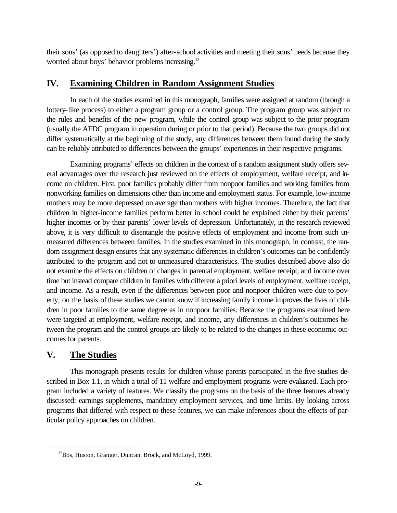their sons' (as opposed to daughters') after-school activities and meeting their sons' needs because they worried about boys' behavior problems increasing.<sup>32</sup>

# **IV. Examining Children in Random Assignment Studies**

In each of the studies examined in this monograph, families were assigned at random (through a lottery-like process) to either a program group or a control group. The program group was subject to the rules and benefits of the new program, while the control group was subject to the prior program (usually the AFDC program in operation during or prior to that period). Because the two groups did not differ systematically at the beginning of the study, any differences between them found during the study can be reliably attributed to differences between the groups' experiences in their respective programs.

Examining programs' effects on children in the context of a random assignment study offers several advantages over the research just reviewed on the effects of employment, welfare receipt, and income on children. First, poor families probably differ from nonpoor families and working families from nonworking families on dimensions other than income and employment status. For example, low-income mothers may be more depressed on average than mothers with higher incomes. Therefore, the fact that children in higher-income families perform better in school could be explained either by their parents' higher incomes or by their parents' lower levels of depression. Unfortunately, in the research reviewed above, it is very difficult to disentangle the positive effects of employment and income from such unmeasured differences between families. In the studies examined in this monograph, in contrast, the random assignment design ensures that any systematic differences in children's outcomes can be confidently attributed to the program and not to unmeasured characteristics. The studies described above also do not examine the effects on children of changes in parental employment, welfare receipt, and income over time but instead compare children in families with different a priori levels of employment, welfare receipt, and income. As a result, even if the differences between poor and nonpoor children were due to poverty, on the basis of these studies we cannot know if increasing family income improves the lives of children in poor families to the same degree as in nonpoor families. Because the programs examined here were targeted at employment, welfare receipt, and income, any differences in children's outcomes between the program and the control groups are likely to be related to the changes in these economic outcomes for parents.

# **V. The Studies**

 $\overline{a}$ 

This monograph presents results for children whose parents participated in the five studies described in Box 1.1, in which a total of 11 welfare and employment programs were evaluated. Each program included a variety of features. We classify the programs on the basis of the three features already discussed: earnings supplements, mandatory employment services, and time limits. By looking across programs that differed with respect to these features, we can make inferences about the effects of particular policy approaches on children.

<sup>32</sup>Bos, Huston, Granger, Duncan, Brock, and McLoyd, 1999.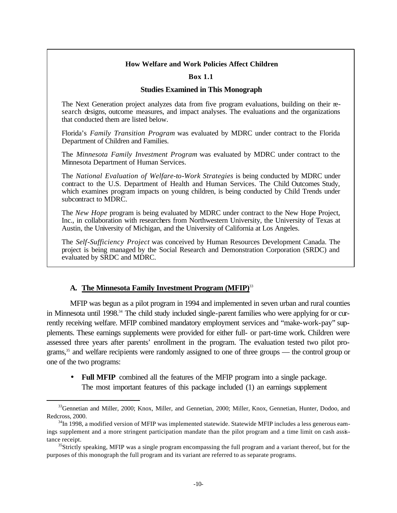#### **How Welfare and Work Policies Affect Children**

#### **Box 1.1**

#### **Studies Examined in This Monograph**

The Next Generation project analyzes data from five program evaluations, building on their research designs, outcome measures, and impact analyses. The evaluations and the organizations that conducted them are listed below.

Florida's *Family Transition Program* was evaluated by MDRC under contract to the Florida Department of Children and Families.

The *Minnesota Family Investment Program* was evaluated by MDRC under contract to the Minnesota Department of Human Services.

The *National Evaluation of Welfare-to-Work Strategies* is being conducted by MDRC under contract to the U.S. Department of Health and Human Services. The Child Outcomes Study, which examines program impacts on young children, is being conducted by Child Trends under subcontract to MDRC.

The *New Hope* program is being evaluated by MDRC under contract to the New Hope Project, Inc., in collaboration with researchers from Northwestern University, the University of Texas at Austin, the University of Michigan, and the University of California at Los Angeles.

The *Self-Sufficiency Project* was conceived by Human Resources Development Canada. The project is being managed by the Social Research and Demonstration Corporation (SRDC) and evaluated by SRDC and MDRC.

#### **A. The Minnesota Family Investment Program (MFIP)**<sup>33</sup>

 $\overline{a}$ 

MFIP was begun as a pilot program in 1994 and implemented in seven urban and rural counties in Minnesota until 1998.<sup>34</sup> The child study included single-parent families who were applying for or currently receiving welfare. MFIP combined mandatory employment services and "make-work-pay" supplements. These earnings supplements were provided for either full- or part-time work. Children were assessed three years after parents' enrollment in the program. The evaluation tested two pilot programs,<sup>35</sup> and welfare recipients were randomly assigned to one of three groups — the control group or one of the two programs:

• **Full MFIP** combined all the features of the MFIP program into a single package. The most important features of this package included (1) an earnings supplement

<sup>&</sup>lt;sup>33</sup>Gennetian and Miller, 2000; Knox, Miller, and Gennetian, 2000; Miller, Knox, Gennetian, Hunter, Dodoo, and Redcross, 2000.

 $34$ In 1998, a modified version of MFIP was implemented statewide. Statewide MFIP includes a less generous eamings supplement and a more stringent participation mandate than the pilot program and a time limit on cash assistance receipt.

 $35$ Strictly speaking, MFIP was a single program encompassing the full program and a variant thereof, but for the purposes of this monograph the full program and its variant are referred to as separate programs.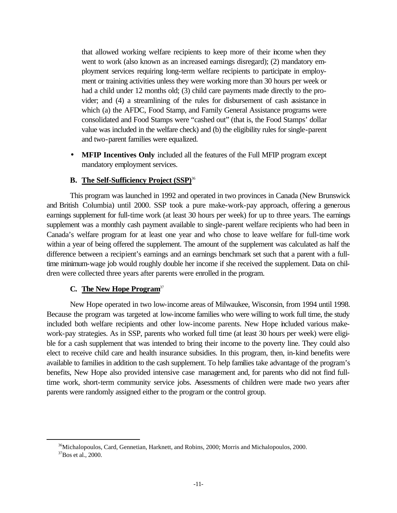that allowed working welfare recipients to keep more of their income when they went to work (also known as an increased earnings disregard); (2) mandatory employment services requiring long-term welfare recipients to participate in employment or training activities unless they were working more than 30 hours per week or had a child under 12 months old; (3) child care payments made directly to the provider; and (4) a streamlining of the rules for disbursement of cash assistance in which (a) the AFDC, Food Stamp, and Family General Assistance programs were consolidated and Food Stamps were "cashed out" (that is, the Food Stamps' dollar value was included in the welfare check) and (b) the eligibility rules for single-parent and two-parent families were equalized.

• **MFIP Incentives Only** included all the features of the Full MFIP program except mandatory employment services.

### **B. The Self-Sufficiency Project (SSP)**<sup>36</sup>

This program was launched in 1992 and operated in two provinces in Canada (New Brunswick and British Columbia) until 2000. SSP took a pure make-work-pay approach, offering a generous earnings supplement for full-time work (at least 30 hours per week) for up to three years. The earnings supplement was a monthly cash payment available to single-parent welfare recipients who had been in Canada's welfare program for at least one year and who chose to leave welfare for full-time work within a year of being offered the supplement. The amount of the supplement was calculated as half the difference between a recipient's earnings and an earnings benchmark set such that a parent with a fulltime minimum-wage job would roughly double her income if she received the supplement. Data on children were collected three years after parents were enrolled in the program.

#### **C. The New Hope Program**<sup>37</sup>

 $\overline{a}$ 

New Hope operated in two low-income areas of Milwaukee, Wisconsin, from 1994 until 1998. Because the program was targeted at low-income families who were willing to work full time, the study included both welfare recipients and other low-income parents. New Hope included various makework-pay strategies. As in SSP, parents who worked full time (at least 30 hours per week) were eligible for a cash supplement that was intended to bring their income to the poverty line. They could also elect to receive child care and health insurance subsidies. In this program, then, in-kind benefits were available to families in addition to the cash supplement. To help families take advantage of the program's benefits, New Hope also provided intensive case management and, for parents who did not find fulltime work, short-term community service jobs. Assessments of children were made two years after parents were randomly assigned either to the program or the control group.

<sup>36</sup>Michalopoulos, Card, Gennetian, Harknett, and Robins, 2000; Morris and Michalopoulos, 2000.  $37$ Bos et al., 2000.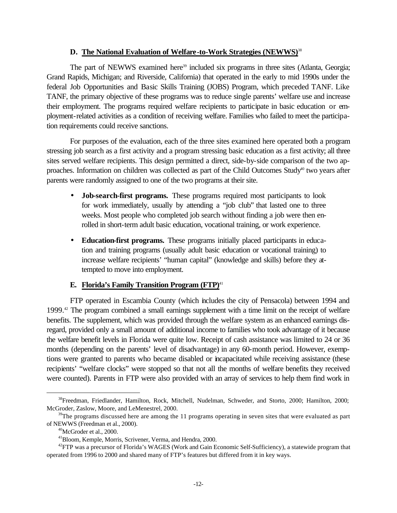#### **D. The National Evaluation of Welfare-to-Work Strategies (NEWWS)**<sup>38</sup>

The part of NEWWS examined here<sup>39</sup> included six programs in three sites (Atlanta, Georgia; Grand Rapids, Michigan; and Riverside, California) that operated in the early to mid 1990s under the federal Job Opportunities and Basic Skills Training (JOBS) Program, which preceded TANF. Like TANF, the primary objective of these programs was to reduce single parents' welfare use and increase their employment. The programs required welfare recipients to participate in basic education or employment-related activities as a condition of receiving welfare. Families who failed to meet the participation requirements could receive sanctions.

For purposes of the evaluation, each of the three sites examined here operated both a program stressing job search as a first activity and a program stressing basic education as a first activity; all three sites served welfare recipients. This design permitted a direct, side-by-side comparison of the two approaches. Information on children was collected as part of the Child Outcomes Study<sup>40</sup> two years after parents were randomly assigned to one of the two programs at their site.

- **Job-search-first programs.** These programs required most participants to look for work immediately, usually by attending a "job club" that lasted one to three weeks. Most people who completed job search without finding a job were then enrolled in short-term adult basic education, vocational training, or work experience.
- **Education-first programs.** These programs initially placed participants in education and training programs (usually adult basic education or vocational training) to increase welfare recipients' "human capital" (knowledge and skills) before they attempted to move into employment.

### **E. Florida's Family Transition Program (FTP)**<sup>41</sup>

FTP operated in Escambia County (which includes the city of Pensacola) between 1994 and 1999.42 The program combined a small earnings supplement with a time limit on the receipt of welfare benefits. The supplement, which was provided through the welfare system as an enhanced earnings disregard, provided only a small amount of additional income to families who took advantage of it because the welfare benefit levels in Florida were quite low. Receipt of cash assistance was limited to 24 or 36 months (depending on the parents' level of disadvantage) in any 60-month period. However, exemptions were granted to parents who became disabled or incapacitated while receiving assistance (these recipients' "welfare clocks" were stopped so that not all the months of welfare benefits they received were counted). Parents in FTP were also provided with an array of services to help them find work in

<sup>&</sup>lt;sup>38</sup>Freedman, Friedlander, Hamilton, Rock, Mitchell, Nudelman, Schweder, and Storto, 2000; Hamilton, 2000; McGroder, Zaslow, Moore, and LeMenestrel, 2000.

 $39$ The programs discussed here are among the 11 programs operating in seven sites that were evaluated as part of NEWWS (Freedman et al., 2000).

 $40$ McGroder et al., 2000.

<sup>41</sup>Bloom, Kemple, Morris, Scrivener, Verma, and Hendra, 2000.

 $^{42}$ FTP was a precursor of Florida's WAGES (Work and Gain Economic Self-Sufficiency), a statewide program that operated from 1996 to 2000 and shared many of FTP's features but differed from it in key ways.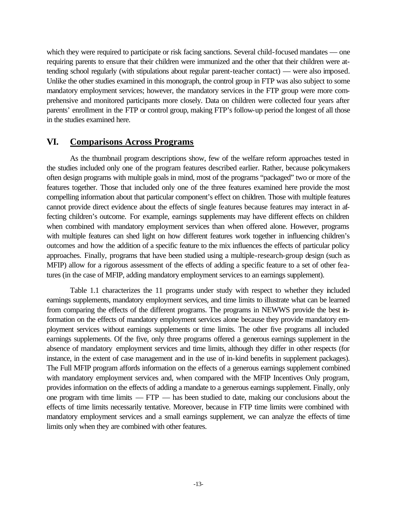which they were required to participate or risk facing sanctions. Several child-focused mandates — one requiring parents to ensure that their children were immunized and the other that their children were attending school regularly (with stipulations about regular parent-teacher contact) — were also imposed. Unlike the other studies examined in this monograph, the control group in FTP was also subject to some mandatory employment services; however, the mandatory services in the FTP group were more comprehensive and monitored participants more closely. Data on children were collected four years after parents' enrollment in the FTP or control group, making FTP's follow-up period the longest of all those in the studies examined here.

# **VI. Comparisons Across Programs**

As the thumbnail program descriptions show, few of the welfare reform approaches tested in the studies included only one of the program features described earlier. Rather, because policymakers often design programs with multiple goals in mind, most of the programs "packaged" two or more of the features together. Those that included only one of the three features examined here provide the most compelling information about that particular component's effect on children. Those with multiple features cannot provide direct evidence about the effects of single features because features may interact in affecting children's outcome. For example, earnings supplements may have different effects on children when combined with mandatory employment services than when offered alone. However, programs with multiple features can shed light on how different features work together in influencing children's outcomes and how the addition of a specific feature to the mix influences the effects of particular policy approaches. Finally, programs that have been studied using a multiple-research-group design (such as MFIP) allow for a rigorous assessment of the effects of adding a specific feature to a set of other features (in the case of MFIP, adding mandatory employment services to an earnings supplement).

Table 1.1 characterizes the 11 programs under study with respect to whether they included earnings supplements, mandatory employment services, and time limits to illustrate what can be learned from comparing the effects of the different programs. The programs in NEWWS provide the best information on the effects of mandatory employment services alone because they provide mandatory employment services without earnings supplements or time limits. The other five programs all included earnings supplements. Of the five, only three programs offered a generous earnings supplement in the absence of mandatory employment services and time limits, although they differ in other respects (for instance, in the extent of case management and in the use of in-kind benefits in supplement packages). The Full MFIP program affords information on the effects of a generous earnings supplement combined with mandatory employment services and, when compared with the MFIP Incentives Only program, provides information on the effects of adding a mandate to a generous earnings supplement. Finally, only one program with time limits — FTP — has been studied to date, making our conclusions about the effects of time limits necessarily tentative. Moreover, because in FTP time limits were combined with mandatory employment services and a small earnings supplement, we can analyze the effects of time limits only when they are combined with other features.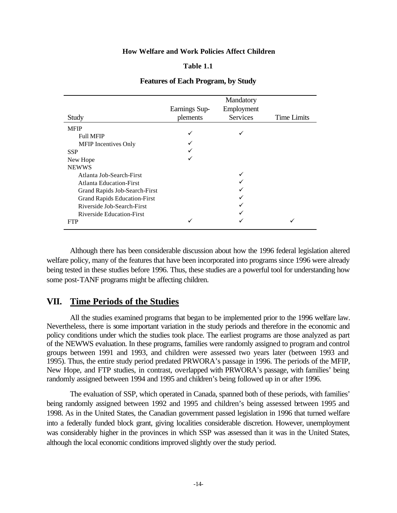#### **How Welfare and Work Policies Affect Children**

#### **Table 1.1**

|                                     |               | Mandatory  |                    |
|-------------------------------------|---------------|------------|--------------------|
|                                     | Earnings Sup- | Employment |                    |
| Study                               | plements      | Services   | <b>Time Limits</b> |
| <b>MFIP</b>                         |               |            |                    |
| <b>Full MFIP</b>                    |               |            |                    |
| <b>MFIP</b> Incentives Only         |               |            |                    |
| <b>SSP</b>                          |               |            |                    |
| New Hope                            |               |            |                    |
| <b>NEWWS</b>                        |               |            |                    |
| Atlanta Job-Search-First            |               |            |                    |
| <b>Atlanta Education-First</b>      |               |            |                    |
| Grand Rapids Job-Search-First       |               |            |                    |
| <b>Grand Rapids Education-First</b> |               |            |                    |
| Riverside Job-Search-First          |               |            |                    |
| Riverside Education-First           |               |            |                    |
| <b>FTP</b>                          | ✓             |            |                    |

#### **Features of Each Program, by Study**

Although there has been considerable discussion about how the 1996 federal legislation altered welfare policy, many of the features that have been incorporated into programs since 1996 were already being tested in these studies before 1996. Thus, these studies are a powerful tool for understanding how some post-TANF programs might be affecting children.

### **VII. Time Periods of the Studies**

All the studies examined programs that began to be implemented prior to the 1996 welfare law. Nevertheless, there is some important variation in the study periods and therefore in the economic and policy conditions under which the studies took place. The earliest programs are those analyzed as part of the NEWWS evaluation. In these programs, families were randomly assigned to program and control groups between 1991 and 1993, and children were assessed two years later (between 1993 and 1995). Thus, the entire study period predated PRWORA's passage in 1996. The periods of the MFIP, New Hope, and FTP studies, in contrast, overlapped with PRWORA's passage, with families' being randomly assigned between 1994 and 1995 and children's being followed up in or after 1996.

The evaluation of SSP, which operated in Canada, spanned both of these periods, with families' being randomly assigned between 1992 and 1995 and children's being assessed between 1995 and 1998. As in the United States, the Canadian government passed legislation in 1996 that turned welfare into a federally funded block grant, giving localities considerable discretion. However, unemployment was considerably higher in the provinces in which SSP was assessed than it was in the United States, although the local economic conditions improved slightly over the study period.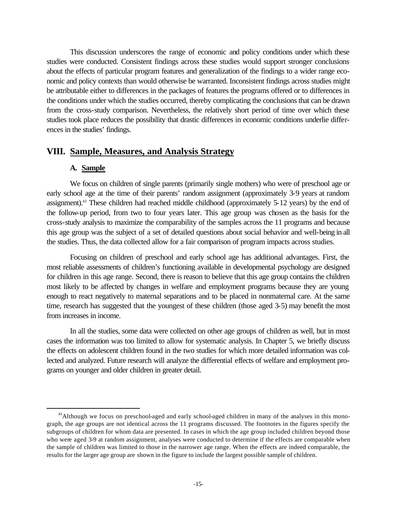This discussion underscores the range of economic and policy conditions under which these studies were conducted. Consistent findings across these studies would support stronger conclusions about the effects of particular program features and generalization of the findings to a wider range economic and policy contexts than would otherwise be warranted. Inconsistent findings across studies might be attributable either to differences in the packages of features the programs offered or to differences in the conditions under which the studies occurred, thereby complicating the conclusions that can be drawn from the cross-study comparison. Nevertheless, the relatively short period of time over which these studies took place reduces the possibility that drastic differences in economic conditions underlie differences in the studies' findings.

### **VIII. Sample, Measures, and Analysis Strategy**

#### **A. Sample**

 $\overline{a}$ 

We focus on children of single parents (primarily single mothers) who were of preschool age or early school age at the time of their parents' random assignment (approximately 3-9 years at random assignment).43 These children had reached middle childhood (approximately 5-12 years) by the end of the follow-up period, from two to four years later. This age group was chosen as the basis for the cross-study analysis to maximize the comparability of the samples across the 11 programs and because this age group was the subject of a set of detailed questions about social behavior and well-being in all the studies. Thus, the data collected allow for a fair comparison of program impacts across studies.

Focusing on children of preschool and early school age has additional advantages. First, the most reliable assessments of children's functioning available in developmental psychology are designed for children in this age range. Second, there is reason to believe that this age group contains the children most likely to be affected by changes in welfare and employment programs because they are young enough to react negatively to maternal separations and to be placed in nonmaternal care. At the same time, research has suggested that the youngest of these children (those aged 3-5) may benefit the most from increases in income.

In all the studies, some data were collected on other age groups of children as well, but in most cases the information was too limited to allow for systematic analysis. In Chapter 5, we briefly discuss the effects on adolescent children found in the two studies for which more detailed information was collected and analyzed. Future research will analyze the differential effects of welfare and employment programs on younger and older children in greater detail.

 $43$ Although we focus on preschool-aged and early school-aged children in many of the analyses in this monograph, the age groups are not identical across the 11 programs discussed. The footnotes in the figures specify the subgroups of children for whom data are presented. In cases in which the age group included children beyond those who were aged 3-9 at random assignment, analyses were conducted to determine if the effects are comparable when the sample of children was limited to those in the narrower age range. When the effects are indeed comparable, the results for the larger age group are shown in the figure to include the largest possible sample of children.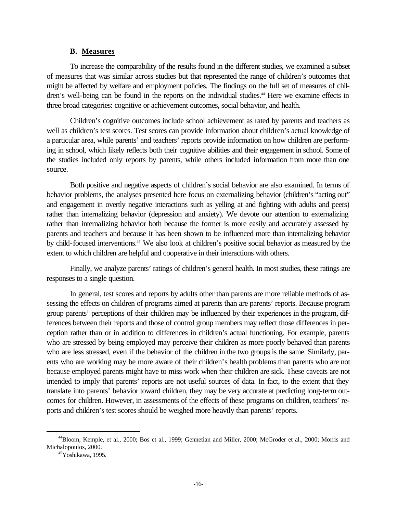#### **B. Measures**

To increase the comparability of the results found in the different studies, we examined a subset of measures that was similar across studies but that represented the range of children's outcomes that might be affected by welfare and employment policies. The findings on the full set of measures of children's well-being can be found in the reports on the individual studies.<sup>44</sup> Here we examine effects in three broad categories: cognitive or achievement outcomes, social behavior, and health.

Children's cognitive outcomes include school achievement as rated by parents and teachers as well as children's test scores. Test scores can provide information about children's actual knowledge of a particular area, while parents' and teachers' reports provide information on how children are performing in school, which likely reflects both their cognitive abilities and their engagement in school. Some of the studies included only reports by parents, while others included information from more than one source.

Both positive and negative aspects of children's social behavior are also examined. In terms of behavior problems, the analyses presented here focus on externalizing behavior (children's "acting out" and engagement in overtly negative interactions such as yelling at and fighting with adults and peers) rather than internalizing behavior (depression and anxiety). We devote our attention to externalizing rather than internalizing behavior both because the former is more easily and accurately assessed by parents and teachers and because it has been shown to be influenced more than internalizing behavior by child-focused interventions.45 We also look at children's positive social behavior as measured by the extent to which children are helpful and cooperative in their interactions with others.

Finally, we analyze parents' ratings of children's general health. In most studies, these ratings are responses to a single question.

In general, test scores and reports by adults other than parents are more reliable methods of assessing the effects on children of programs aimed at parents than are parents' reports. Because program group parents' perceptions of their children may be influenced by their experiences in the program, differences between their reports and those of control group members may reflect those differences in perception rather than or in addition to differences in children's actual functioning. For example, parents who are stressed by being employed may perceive their children as more poorly behaved than parents who are less stressed, even if the behavior of the children in the two groups is the same. Similarly, parents who are working may be more aware of their children's health problems than parents who are not because employed parents might have to miss work when their children are sick. These caveats are not intended to imply that parents' reports are not useful sources of data. In fact, to the extent that they translate into parents' behavior toward children, they may be very accurate at predicting long-term outcomes for children. However, in assessments of the effects of these programs on children, teachers' reports and children's test scores should be weighed more heavily than parents' reports.

<sup>44</sup>Bloom, Kemple, et al., 2000; Bos et al., 1999; Gennetian and Miller, 2000; McGroder et al., 2000; Morris and Michalopoulos, 2000.

 $45\overline{\text{Y}}$ oshikawa, 1995.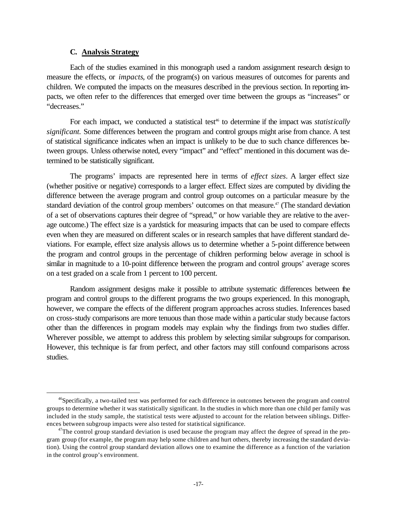#### **C. Analysis Strategy**

 $\overline{a}$ 

Each of the studies examined in this monograph used a random assignment research design to measure the effects, or *impacts*, of the program(s) on various measures of outcomes for parents and children. We computed the impacts on the measures described in the previous section. In reporting impacts, we often refer to the differences that emerged over time between the groups as "increases" or "decreases."

For each impact, we conducted a statistical test<sup>46</sup> to determine if the impact was *statistically significant.* Some differences between the program and control groups might arise from chance. A test of statistical significance indicates when an impact is unlikely to be due to such chance differences between groups. Unless otherwise noted, every "impact" and "effect" mentioned in this document was determined to be statistically significant.

The programs' impacts are represented here in terms of *effect sizes*. A larger effect size (whether positive or negative) corresponds to a larger effect. Effect sizes are computed by dividing the difference between the average program and control group outcomes on a particular measure by the standard deviation of the control group members' outcomes on that measure.<sup>47</sup> (The standard deviation of a set of observations captures their degree of "spread," or how variable they are relative to the average outcome.) The effect size is a yardstick for measuring impacts that can be used to compare effects even when they are measured on different scales or in research samples that have different standard deviations. For example, effect size analysis allows us to determine whether a 5-point difference between the program and control groups in the percentage of children performing below average in school is similar in magnitude to a 10-point difference between the program and control groups' average scores on a test graded on a scale from 1 percent to 100 percent.

Random assignment designs make it possible to attribute systematic differences between the program and control groups to the different programs the two groups experienced. In this monograph, however, we compare the effects of the different program approaches across studies. Inferences based on cross-study comparisons are more tenuous than those made within a particular study because factors other than the differences in program models may explain why the findings from two studies differ. Wherever possible, we attempt to address this problem by selecting similar subgroups for comparison. However, this technique is far from perfect, and other factors may still confound comparisons across studies.

<sup>&</sup>lt;sup>46</sup>Specifically, a two-tailed test was performed for each difference in outcomes between the program and control groups to determine whether it was statistically significant. In the studies in which more than one child per family was included in the study sample, the statistical tests were adjusted to account for the relation between siblings. Differences between subgroup impacts were also tested for statistical significance.

 $47$ The control group standard deviation is used because the program may affect the degree of spread in the program group (for example, the program may help some children and hurt others, thereby increasing the standard deviation). Using the control group standard deviation allows one to examine the difference as a function of the variation in the control group's environment.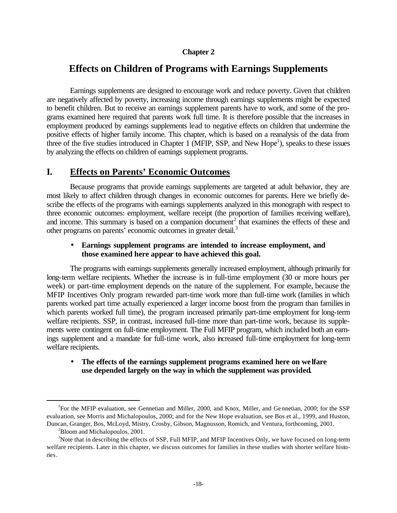#### **Chapter 2**

# **Effects on Children of Programs with Earnings Supplements**

Earnings supplements are designed to encourage work and reduce poverty. Given that children are negatively affected by poverty, increasing income through earnings supplements might be expected to benefit children. But to receive an earnings supplement parents have to work, and some of the programs examined here required that parents work full time. It is therefore possible that the increases in employment produced by earnings supplements lead to negative effects on children that undermine the positive effects of higher family income. This chapter, which is based on a reanalysis of the data from three of the five studies introduced in Chapter 1 (MFIP, SSP, and New Hope<sup>1</sup>), speaks to these issues by analyzing the effects on children of earnings supplement programs.

# **I. Effects on Parents' Economic Outcomes**

Because programs that provide earnings supplements are targeted at adult behavior, they are most likely to affect children through changes in economic outcomes for parents. Here we briefly describe the effects of the programs with earnings supplements analyzed in this monograph with respect to three economic outcomes: employment, welfare receipt (the proportion of families receiving welfare), and income. This summary is based on a companion document<sup>2</sup> that examines the effects of these and other programs on parents' economic outcomes in greater detail.<sup>3</sup>

#### • **Earnings supplement programs are intended to increase employment, and those examined here appear to have achieved this goal.**

The programs with earnings supplements generally increased employment, although primarily for long-term welfare recipients. Whether the increase is in full-time employment (30 or more hours per week) or part-time employment depends on the nature of the supplement. For example, because the MFIP Incentives Only program rewarded part-time work more than full-time work (families in which parents worked part time actually experienced a larger income boost from the program than families in which parents worked full time), the program increased primarily part-time employment for long-term welfare recipients. SSP, in contrast, increased full-time more than part-time work, because its supplements were contingent on full-time employment. The Full MFIP program, which included both an earnings supplement and a mandate for full-time work, also increased full-time employment for long-term welfare recipients.

#### • **The effects of the earnings supplement programs examined here on welfare use depended largely on the way in which the supplement was provided.**

<sup>&</sup>lt;sup>1</sup>For the MFIP evaluation, see Gennetian and Miller, 2000, and Knox, Miller, and Gennetian, 2000; for the SSP evaluation, see Morris and Michalopoulos, 2000; and for the New Hope evaluation, see Bos et al., 1999, and Huston, Duncan, Granger, Bos, McLoyd, Mistry, Crosby, Gibson, Magnusson, Romich, and Ventura, forthcoming, 2001.

 ${}^{2}$ Bloom and Michalopoulos, 2001.

<sup>&</sup>lt;sup>3</sup>Note that in describing the effects of SSP, Full MFIP, and MFIP Incentives Only, we have focused on long-term welfare recipients. Later in this chapter, we discuss outcomes for families in these studies with shorter welfare histories.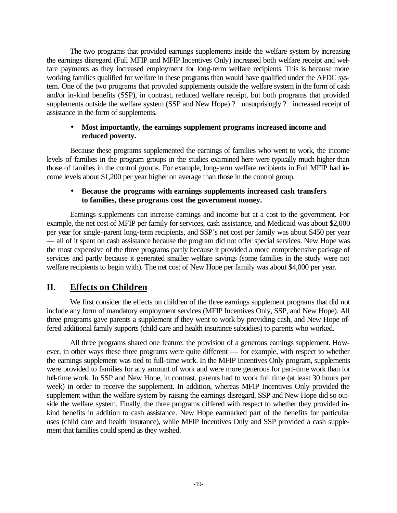The two programs that provided earnings supplements inside the welfare system by increasing the earnings disregard (Full MFIP and MFIP Incentives Only) increased both welfare receipt and welfare payments as they increased employment for long-term welfare recipients. This is because more working families qualified for welfare in these programs than would have qualified under the AFDC system. One of the two programs that provided supplements outside the welfare system in the form of cash and/or in-kind benefits (SSP), in contrast, reduced welfare receipt, but both programs that provided supplements outside the welfare system (SSP and New Hope) ? unsurprisingly ? increased receipt of assistance in the form of supplements.

### • **Most importantly, the earnings supplement programs increased income and reduced poverty.**

Because these programs supplemented the earnings of families who went to work, the income levels of families in the program groups in the studies examined here were typically much higher than those of families in the control groups. For example, long-term welfare recipients in Full MFIP had income levels about \$1,200 per year higher on average than those in the control group.

### • **Because the programs with earnings supplements increased cash transfers to families, these programs cost the government money.**

Earnings supplements can increase earnings and income but at a cost to the government. For example, the net cost of MFIP per family for services, cash assistance, and Medicaid was about \$2,000 per year for single-parent long-term recipients, and SSP's net cost per family was about \$450 per year — all of it spent on cash assistance because the program did not offer special services. New Hope was the most expensive of the three programs partly because it provided a more comprehensive package of services and partly because it generated smaller welfare savings (some families in the study were not welfare recipients to begin with). The net cost of New Hope per family was about \$4,000 per year.

# **II. Effects on Children**

We first consider the effects on children of the three earnings supplement programs that did not include any form of mandatory employment services (MFIP Incentives Only, SSP, and New Hope). All three programs gave parents a supplement if they went to work by providing cash, and New Hope offered additional family supports (child care and health insurance subsidies) to parents who worked.

All three programs shared one feature: the provision of a generous earnings supplement. However, in other ways these three programs were quite different — for example, with respect to whether the earnings supplement was tied to full-time work. In the MFIP Incentives Only program, supplements were provided to families for any amount of work and were more generous for part-time work than for full-time work. In SSP and New Hope, in contrast, parents had to work full time (at least 30 hours per week) in order to receive the supplement. In addition, whereas MFIP Incentives Only provided the supplement within the welfare system by raising the earnings disregard, SSP and New Hope did so outside the welfare system. Finally, the three programs differed with respect to whether they provided inkind benefits in addition to cash assistance. New Hope earmarked part of the benefits for particular uses (child care and health insurance), while MFIP Incentives Only and SSP provided a cash supplement that families could spend as they wished.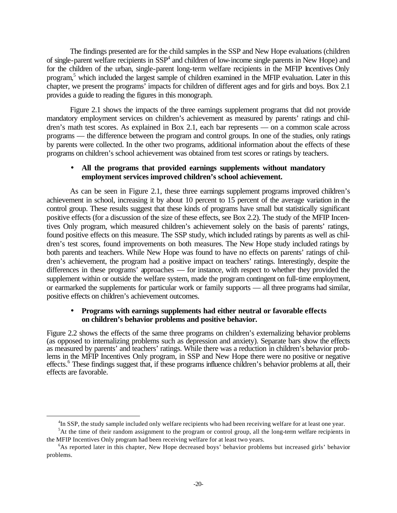The findings presented are for the child samples in the SSP and New Hope evaluations (children of single-parent welfare recipients in SSP<sup>4</sup> and children of low-income single parents in New Hope) and for the children of the urban, single-parent long-term welfare recipients in the MFIP Incentives Only program,<sup>5</sup> which included the largest sample of children examined in the MFIP evaluation. Later in this chapter, we present the programs' impacts for children of different ages and for girls and boys. Box 2.1 provides a guide to reading the figures in this monograph.

Figure 2.1 shows the impacts of the three earnings supplement programs that did not provide mandatory employment services on children's achievement as measured by parents' ratings and children's math test scores. As explained in Box 2.1, each bar represents — on a common scale across programs — the difference between the program and control groups. In one of the studies, only ratings by parents were collected. In the other two programs, additional information about the effects of these programs on children's school achievement was obtained from test scores or ratings by teachers.

### • **All the programs that provided earnings supplements without mandatory employment services improved children's school achievement.**

As can be seen in Figure 2.1, these three earnings supplement programs improved children's achievement in school, increasing it by about 10 percent to 15 percent of the average variation in the control group. These results suggest that these kinds of programs have small but statistically significant positive effects (for a discussion of the size of these effects, see Box 2.2). The study of the MFIP Incentives Only program, which measured children's achievement solely on the basis of parents' ratings, found positive effects on this measure. The SSP study, which included ratings by parents as well as children's test scores, found improvements on both measures. The New Hope study included ratings by both parents and teachers. While New Hope was found to have no effects on parents' ratings of children's achievement, the program had a positive impact on teachers' ratings. Interestingly, despite the differences in these programs' approaches — for instance, with respect to whether they provided the supplement within or outside the welfare system, made the program contingent on full-time employment, or earmarked the supplements for particular work or family supports — all three programs had similar, positive effects on children's achievement outcomes.

#### • **Programs with earnings supplements had either neutral or favorable effects on children's behavior problems and positive behavior.**

Figure 2.2 shows the effects of the same three programs on children's externalizing behavior problems (as opposed to internalizing problems such as depression and anxiety). Separate bars show the effects as measured by parents' and teachers' ratings. While there was a reduction in children's behavior problems in the MFIP Incentives Only program, in SSP and New Hope there were no positive or negative effects.<sup>6</sup> These findings suggest that, if these programs influence children's behavior problems at all, their effects are favorable.

<sup>&</sup>lt;sup>4</sup>In SSP, the study sample included only welfare recipients who had been receiving welfare for at least one year.

 ${}^{5}$ At the time of their random assignment to the program or control group, all the long-term welfare recipients in the MFIP Incentives Only program had been receiving welfare for at least two years.

<sup>6</sup>As reported later in this chapter, New Hope decreased boys' behavior problems but increased girls' behavior problems.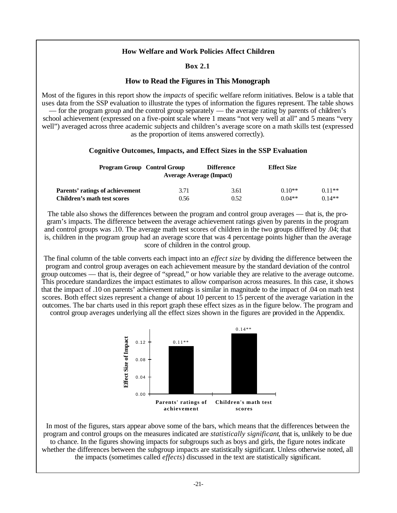### **Box 2.1**

### **How to Read the Figures in This Monograph**

Most of the figures in this report show the *impacts* of specific welfare reform initiatives. Below is a table that uses data from the SSP evaluation to illustrate the types of information the figures represent. The table shows — for the program group and the control group separately — the average rating by parents of children's school achievement (expressed on a five-point scale where 1 means "not very well at all" and 5 means "very well") averaged across three academic subjects and children's average score on a math skills test (expressed as the proportion of items answered correctly).

### **Cognitive Outcomes, Impacts, and Effect Sizes in the SSP Evaluation**

| <b>Program Group Control Group</b> |      | <b>Difference</b><br><b>Average Average (Impact)</b> | <b>Effect Size</b> |          |
|------------------------------------|------|------------------------------------------------------|--------------------|----------|
| Parents' ratings of achievement    | 3.71 | 3.61                                                 | $0.10**$           | $0.11**$ |
| Children's math test scores        | 0.56 | 0.52                                                 | $0.04**$           | $0.14**$ |

The table also shows the differences between the program and control group averages — that is, the program's impacts. The difference between the average achievement ratings given by parents in the program and control groups was .10. The average math test scores of children in the two groups differed by .04; that is, children in the program group had an average score that was 4 percentage points higher than the average score of children in the control group.

The final column of the table converts each impact into an *effect size* by dividing the difference between the program and control group averages on each achievement measure by the standard deviation of the control group outcomes — that is, their degree of "spread," or how variable they are relative to the average outcome. This procedure standardizes the impact estimates to allow comparison across measures. In this case, it shows that the impact of .10 on parents' achievement ratings is similar in magnitude to the impact of .04 on math test scores. Both effect sizes represent a change of about 10 percent to 15 percent of the average variation in the outcomes. The bar charts used in this report graph these effect sizes as in the figure below. The program and

control group averages underlying all the effect sizes shown in the figures are provided in the Appendix.



In most of the figures, stars appear above some of the bars, which means that the differences between the program and control groups on the measures indicated are *statistically significant*, that is, unlikely to be due to chance. In the figures showing impacts for subgroups such as boys and girls, the figure notes indicate whether the differences between the subgroup impacts are statistically significant. Unless otherwise noted, all the impacts (sometimes called *effects*) discussed in the text are statistically significant.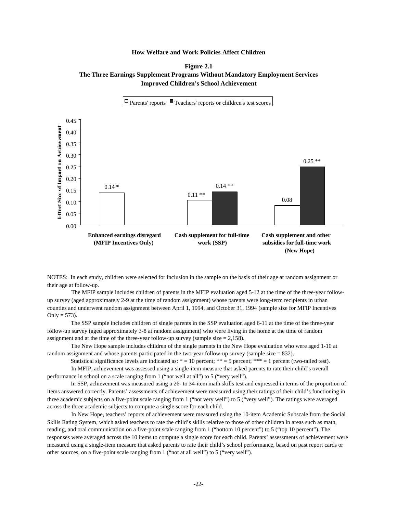



NOTES: In each study, children were selected for inclusion in the sample on the basis of their age at random assignment or their age at follow-up.

 The MFIP sample includes children of parents in the MFIP evaluation aged 5-12 at the time of the three-year followup survey (aged approximately 2-9 at the time of random assignment) whose parents were long-term recipients in urban counties and underwent random assignment between April 1, 1994, and October 31, 1994 (sample size for MFIP Incentives Only =  $573$ ).

 The SSP sample includes children of single parents in the SSP evaluation aged 6-11 at the time of the three-year follow-up survey (aged approximately 3-8 at random assignment) who were living in the home at the time of random assignment and at the time of the three-year follow-up survey (sample size  $= 2,158$ ).

 The New Hope sample includes children of the single parents in the New Hope evaluation who were aged 1-10 at random assignment and whose parents participated in the two-year follow-up survey (sample size  $= 832$ ).

Statistical significance levels are indicated as:  $* = 10$  percent;  $** = 5$  percent;  $*** = 1$  percent (two-tailed test).

 In MFIP, achievement was assessed using a single-item measure that asked parents to rate their child's overall performance in school on a scale ranging from 1 ("not well at all") to 5 ("very well").

 In SSP, achievement was measured using a 26- to 34-item math skills test and expressed in terms of the proportion of items answered correctly. Parents' assessments of achievement were measured using their ratings of their child's functioning in three academic subjects on a five-point scale ranging from 1 ("not very well") to 5 ("very well"). The ratings were averaged across the three academic subjects to compute a single score for each child.

 In New Hope, teachers' reports of achievement were measured using the 10-item Academic Subscale from the Social Skills Rating System, which asked teachers to rate the child's skills relative to those of other children in areas such as math, reading, and oral communication on a five-point scale ranging from 1 ("bottom 10 percent") to 5 ("top 10 percent"). The responses were averaged across the 10 items to compute a single score for each child. Parents' assessments of achievement were measured using a single-item measure that asked parents to rate their child's school performance, based on past report cards or other sources, on a five-point scale ranging from 1 ("not at all well") to 5 ("very well").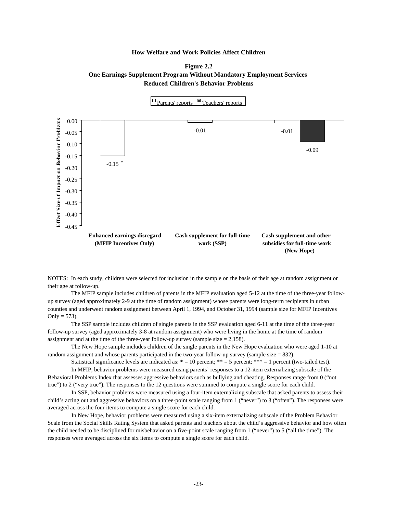



NOTES: In each study, children were selected for inclusion in the sample on the basis of their age at random assignment or their age at follow-up.

 The MFIP sample includes children of parents in the MFIP evaluation aged 5-12 at the time of the three-year followup survey (aged approximately 2-9 at the time of random assignment) whose parents were long-term recipients in urban counties and underwent random assignment between April 1, 1994, and October 31, 1994 (sample size for MFIP Incentives Only =  $573$ ).

 The SSP sample includes children of single parents in the SSP evaluation aged 6-11 at the time of the three-year follow-up survey (aged approximately 3-8 at random assignment) who were living in the home at the time of random assignment and at the time of the three-year follow-up survey (sample size  $= 2,158$ ).

 The New Hope sample includes children of the single parents in the New Hope evaluation who were aged 1-10 at random assignment and whose parents participated in the two-year follow-up survey (sample size  $= 832$ ).

Statistical significance levels are indicated as:  $* = 10$  percent;  $** = 5$  percent;  $*** = 1$  percent (two-tailed test).

 In MFIP, behavior problems were measured using parents' responses to a 12-item externalizing subscale of the Behavioral Problems Index that assesses aggressive behaviors such as bullying and cheating. Responses range from 0 ("not true") to 2 ("very true"). The responses to the 12 questions were summed to compute a single score for each child.

 In SSP, behavior problems were measured using a four-item externalizing subscale that asked parents to assess their child's acting out and aggressive behaviors on a three-point scale ranging from 1 ("never") to 3 ("often"). The responses were averaged across the four items to compute a single score for each child.

 In New Hope, behavior problems were measured using a six-item externalizing subscale of the Problem Behavior Scale from the Social Skills Rating System that asked parents and teachers about the child's aggressive behavior and how often the child needed to be disciplined for misbehavior on a five-point scale ranging from 1 ("never") to 5 ("all the time"). The responses were averaged across the six items to compute a single score for each child.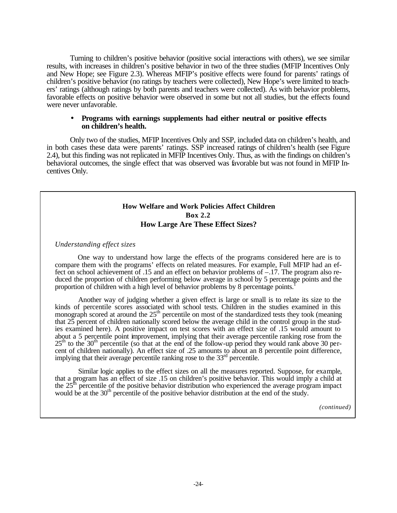Turning to children's positive behavior (positive social interactions with others), we see similar results, with increases in children's positive behavior in two of the three studies (MFIP Incentives Only and New Hope; see Figure 2.3). Whereas MFIP's positive effects were found for parents' ratings of children's positive behavior (no ratings by teachers were collected), New Hope's were limited to teachers' ratings (although ratings by both parents and teachers were collected). As with behavior problems, favorable effects on positive behavior were observed in some but not all studies, but the effects found were never unfavorable.

#### • **Programs with earnings supplements had either neutral or positive effects on children's health.**

Only two of the studies, MFIP Incentives Only and SSP, included data on children's health, and in both cases these data were parents' ratings. SSP increased ratings of children's health (see Figure 2.4), but this finding was not replicated in MFIP Incentives Only. Thus, as with the findings on children's behavioral outcomes, the single effect that was observed was favorable but was not found in MFIP Incentives Only.

### **How Welfare and Work Policies Affect Children Box 2.2 How Large Are These Effect Sizes?**

*Understanding effect sizes*

One way to understand how large the effects of the programs considered here are is to compare them with the programs' effects on related measures. For example, Full MFIP had an effect on school achievement of .15 and an effect on behavior problems of –.17. The program also reduced the proportion of children performing below average in school by 5 percentage points and the proportion of children with a high level of behavior problems by 8 percentage points.<sup>1</sup>

Another way of judging whether a given effect is large or small is to relate its size to the kinds of percentile scores associated with school tests. Children in the studies examined in this monograph scored at around the 25<sup>th</sup> percentile on most of the standardized tests they took (meaning monograph) that 25 percent of children nationally scored below the average child in the control group in the studies examined here). A positive impact on test scores with an effect size of .15 would amount to about a 5 percentile point improvement, implying that their average percentile ranking rose from the  $25<sup>th</sup>$  to the  $30<sup>th</sup>$  percentile (so that at the end of the follow-up period they would rank above 30 percent of children nationally). An effect size of .25 amounts to about an 8 percentile point difference, implying that their average percentile ranking rose to the  $33<sup>rd</sup>$  percentile.

Similar logic applies to the effect sizes on all the measures reported. Suppose, for example, that a program has an effect of size .15 on children's positive behavior. This would imply a child at the 25<sup>th</sup> percentile of the positive behavior distribution who experienced the average program impact would be at the 30<sup>th</sup> percentile of the positive behavior distribution at the end of the study.

 *(continued)*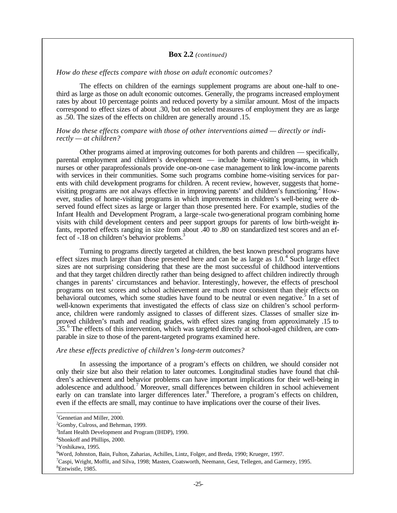#### **Box 2.2** *(continued)*

#### *How do these effects compare with those on adult economic outcomes?*

The effects on children of the earnings supplement programs are about one-half to onethird as large as those on adult economic outcomes. Generally, the programs increased employment rates by about 10 percentage points and reduced poverty by a similar amount. Most of the impacts correspond to effect sizes of about .30, but on selected measures of employment they are as large as .50. The sizes of the effects on children are generally around .15.

#### *How do these effects compare with those of other interventions aimed — directly or indirectly — at children?*

Other programs aimed at improving outcomes for both parents and children — specifically, parental employment and children's development — include home-visiting programs, in which nurses or other paraprofessionals provide one-on-one case management to link low-income parents with services in their communities. Some such programs combine home-visiting services for parents with child development programs for children. A recent review, however, suggests that homevisiting programs are not always effective in improving parents' and children's functioning.<sup>2</sup> However, studies of home-visiting programs in which improvements in children's well-being were observed found effect sizes as large or larger than those presented here. For example, studies of the Infant Health and Development Program, a large-scale two-generational program combining home visits with child development centers and peer support groups for parents of low birth-weight infants, reported effects ranging in size from about .40 to .80 on standardized test scores and an effect of -.18 on children's behavior problems.<sup>3</sup>

Turning to programs directly targeted at children, the best known preschool programs have effect sizes much larger than those presented here and can be as large as  $1.0$ .<sup>4</sup> Such large effect sizes are not surprising considering that these are the most successful of childhood interventions and that they target children directly rather than being designed to affect children indirectly through changes in parents' circumstances and behavior. Interestingly, however, the effects of preschool programs on test scores and school achievement are much more consistent than their effects on behavioral outcomes, which some studies have found to be neutral or even negative.<sup>5</sup> In a set of well-known experiments that investigated the effects of class size on children's school performance, children were randomly assigned to classes of different sizes. Classes of smaller size improved children's math and reading grades, with effect sizes ranging from approximately .15 to .35.<sup>6</sup> The effects of this intervention, which was targeted directly at school-aged children, are comparable in size to those of the parent-targeted programs examined here.

#### *Are these effects predictive of children's long-term outcomes?*

In assessing the importance of a program's effects on children, we should consider not only their size but also their relation to later outcomes. Longitudinal studies have found that children's achievement and behavior problems can have important implications for their well-being in adolescence and adulthood.<sup>7</sup> Moreover, small differences between children in school achievement early on can translate into larger differences later.<sup>8</sup> Therefore, a program's effects on children, even if the effects are small, may continue to have implications over the course of their lives.

\_\_\_\_\_\_\_\_\_\_\_\_\_\_\_\_\_\_\_ <sup>1</sup>Gennetian and Miller, 2000.

 ${}^{2}$ Gomby, Culross, and Behrman, 1999.

<sup>&</sup>lt;sup>3</sup>Infant Health Development and Program (IHDP), 1990.

<sup>4</sup>Shonkoff and Phillips, 2000.

<sup>5</sup>Yoshikawa, 1995.

<sup>6</sup>Word, Johnston, Bain, Fulton, Zaharias, Achilles, Lintz, Folger, and Breda, 1990; Krueger, 1997.

<sup>7</sup>Caspi, Wright, Moffit, and Silva, 1998; Masten, Coatsworth, Neemann, Gest, Tellegen, and Garmezy, 1995.

<sup>&</sup>lt;sup>8</sup>Entwistle, 1985.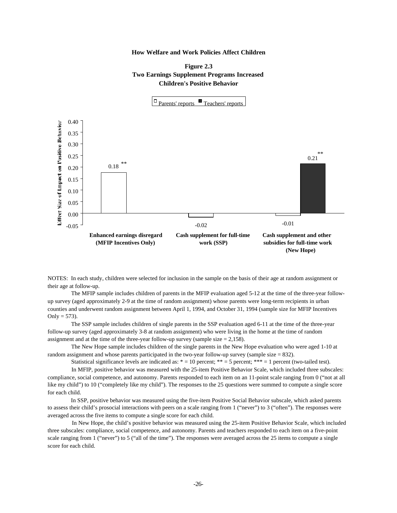



NOTES: In each study, children were selected for inclusion in the sample on the basis of their age at random assignment or their age at follow-up.

 The MFIP sample includes children of parents in the MFIP evaluation aged 5-12 at the time of the three-year followup survey (aged approximately 2-9 at the time of random assignment) whose parents were long-term recipients in urban counties and underwent random assignment between April 1, 1994, and October 31, 1994 (sample size for MFIP Incentives Only =  $573$ ).

 The SSP sample includes children of single parents in the SSP evaluation aged 6-11 at the time of the three-year follow-up survey (aged approximately 3-8 at random assignment) who were living in the home at the time of random assignment and at the time of the three-year follow-up survey (sample size  $= 2,158$ ).

 The New Hope sample includes children of the single parents in the New Hope evaluation who were aged 1-10 at random assignment and whose parents participated in the two-year follow-up survey (sample size  $= 832$ ).

Statistical significance levels are indicated as:  $* = 10$  percent;  $** = 5$  percent;  $*** = 1$  percent (two-tailed test).

 In MFIP, positive behavior was measured with the 25-item Positive Behavior Scale, which included three subscales: compliance, social competence, and autonomy. Parents responded to each item on an 11-point scale ranging from 0 ("not at all like my child") to 10 ("completely like my child"). The responses to the 25 questions were summed to compute a single score for each child.

 In SSP, positive behavior was measured using the five-item Positive Social Behavior subscale, which asked parents to assess their child's prosocial interactions with peers on a scale ranging from 1 ("never") to 3 ("often"). The responses were averaged across the five items to compute a single score for each child.

 In New Hope, the child's positive behavior was measured using the 25-item Positive Behavior Scale, which included three subscales: compliance, social competence, and autonomy. Parents and teachers responded to each item on a five-point scale ranging from 1 ("never") to 5 ("all of the time"). The responses were averaged across the 25 items to compute a single score for each child.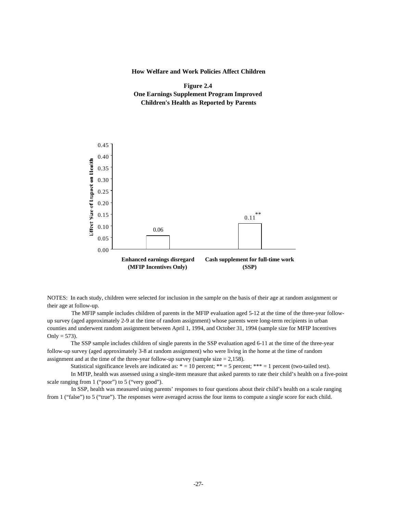



NOTES: In each study, children were selected for inclusion in the sample on the basis of their age at random assignment or their age at follow-up.

 The MFIP sample includes children of parents in the MFIP evaluation aged 5-12 at the time of the three-year followup survey (aged approximately 2-9 at the time of random assignment) whose parents were long-term recipients in urban counties and underwent random assignment between April 1, 1994, and October 31, 1994 (sample size for MFIP Incentives Only  $= 573$ ).

 The SSP sample includes children of single parents in the SSP evaluation aged 6-11 at the time of the three-year follow-up survey (aged approximately 3-8 at random assignment) who were living in the home at the time of random assignment and at the time of the three-year follow-up survey (sample size  $= 2,158$ ).

Statistical significance levels are indicated as:  $* = 10$  percent;  $** = 5$  percent;  $*** = 1$  percent (two-tailed test).

 In MFIP, health was assessed using a single-item measure that asked parents to rate their child's health on a five-point scale ranging from 1 ("poor") to 5 ("very good").

 In SSP, health was measured using parents' responses to four questions about their child's health on a scale ranging from 1 ("false") to 5 ("true"). The responses were averaged across the four items to compute a single score for each child.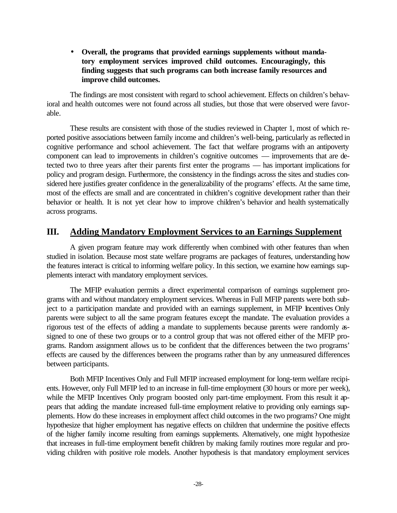• **Overall, the programs that provided earnings supplements without mandatory employment services improved child outcomes. Encouragingly, this finding suggests that such programs can both increase family resources and improve child outcomes.**

The findings are most consistent with regard to school achievement. Effects on children's behavioral and health outcomes were not found across all studies, but those that were observed were favorable.

These results are consistent with those of the studies reviewed in Chapter 1, most of which reported positive associations between family income and children's well-being, particularly as reflected in cognitive performance and school achievement. The fact that welfare programs with an antipoverty component can lead to improvements in children's cognitive outcomes — improvements that are detected two to three years after their parents first enter the programs — has important implications for policy and program design. Furthermore, the consistency in the findings across the sites and studies considered here justifies greater confidence in the generalizability of the programs' effects. At the same time, most of the effects are small and are concentrated in children's cognitive development rather than their behavior or health. It is not yet clear how to improve children's behavior and health systematically across programs.

# **III. Adding Mandatory Employment Services to an Earnings Supplement**

A given program feature may work differently when combined with other features than when studied in isolation. Because most state welfare programs are packages of features, understanding how the features interact is critical to informing welfare policy. In this section, we examine how earnings supplements interact with mandatory employment services.

The MFIP evaluation permits a direct experimental comparison of earnings supplement programs with and without mandatory employment services. Whereas in Full MFIP parents were both subject to a participation mandate and provided with an earnings supplement, in MFIP Incentives Only parents were subject to all the same program features except the mandate. The evaluation provides a rigorous test of the effects of adding a mandate to supplements because parents were randomly assigned to one of these two groups or to a control group that was not offered either of the MFIP programs. Random assignment allows us to be confident that the differences between the two programs' effects are caused by the differences between the programs rather than by any unmeasured differences between participants.

Both MFIP Incentives Only and Full MFIP increased employment for long-term welfare recipients. However, only Full MFIP led to an increase in full-time employment (30 hours or more per week), while the MFIP Incentives Only program boosted only part-time employment. From this result it appears that adding the mandate increased full-time employment relative to providing only earnings supplements. How do these increases in employment affect child outcomes in the two programs? One might hypothesize that higher employment has negative effects on children that undermine the positive effects of the higher family income resulting from earnings supplements. Alternatively, one might hypothesize that increases in full-time employment benefit children by making family routines more regular and providing children with positive role models. Another hypothesis is that mandatory employment services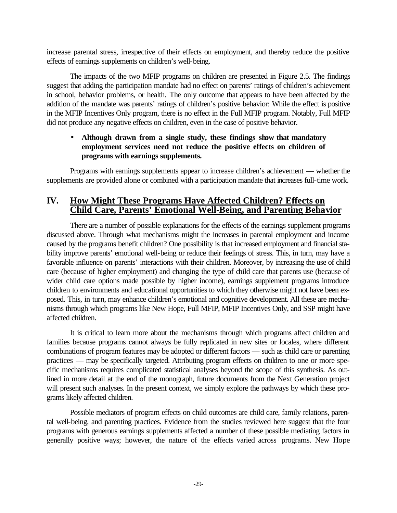increase parental stress, irrespective of their effects on employment, and thereby reduce the positive effects of earnings supplements on children's well-being.

The impacts of the two MFIP programs on children are presented in Figure 2.5. The findings suggest that adding the participation mandate had no effect on parents' ratings of children's achievement in school, behavior problems, or health. The only outcome that appears to have been affected by the addition of the mandate was parents' ratings of children's positive behavior: While the effect is positive in the MFIP Incentives Only program, there is no effect in the Full MFIP program. Notably, Full MFIP did not produce any negative effects on children, even in the case of positive behavior.

## • **Although drawn from a single study, these findings show that mandatory employment services need not reduce the positive effects on children of programs with earnings supplements.**

Programs with earnings supplements appear to increase children's achievement — whether the supplements are provided alone or combined with a participation mandate that increases full-time work.

# **IV. How Might These Programs Have Affected Children? Effects on Child Care, Parents' Emotional Well-Being, and Parenting Behavior**

There are a number of possible explanations for the effects of the earnings supplement programs discussed above. Through what mechanisms might the increases in parental employment and income caused by the programs benefit children? One possibility is that increased employment and financial stability improve parents' emotional well-being or reduce their feelings of stress. This, in turn, may have a favorable influence on parents' interactions with their children. Moreover, by increasing the use of child care (because of higher employment) and changing the type of child care that parents use (because of wider child care options made possible by higher income), earnings supplement programs introduce children to environments and educational opportunities to which they otherwise might not have been exposed. This, in turn, may enhance children's emotional and cognitive development. All these are mechanisms through which programs like New Hope, Full MFIP, MFIP Incentives Only, and SSP might have affected children.

It is critical to learn more about the mechanisms through which programs affect children and families because programs cannot always be fully replicated in new sites or locales, where different combinations of program features may be adopted or different factors — such as child care or parenting practices — may be specifically targeted. Attributing program effects on children to one or more specific mechanisms requires complicated statistical analyses beyond the scope of this synthesis. As outlined in more detail at the end of the monograph, future documents from the Next Generation project will present such analyses. In the present context, we simply explore the pathways by which these programs likely affected children.

Possible mediators of program effects on child outcomes are child care, family relations, parental well-being, and parenting practices. Evidence from the studies reviewed here suggest that the four programs with generous earnings supplements affected a number of these possible mediating factors in generally positive ways; however, the nature of the effects varied across programs. New Hope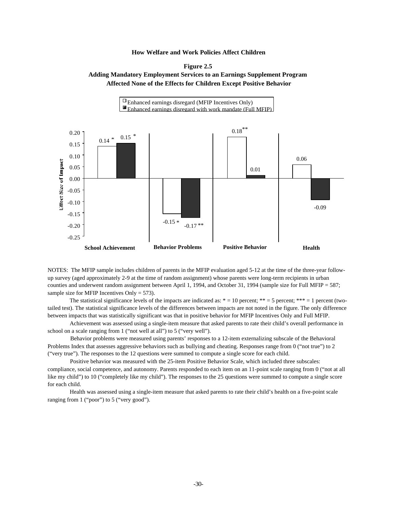



NOTES: The MFIP sample includes children of parents in the MFIP evaluation aged 5-12 at the time of the three-year followup survey (aged approximately 2-9 at the time of random assignment) whose parents were long-term recipients in urban counties and underwent random assignment between April 1, 1994, and October 31, 1994 (sample size for Full MFIP = 587; sample size for MFIP Incentives Only  $= 573$ .

The statistical significance levels of the impacts are indicated as:  $* = 10$  percent;  $** = 5$  percent;  $*** = 1$  percent (twotailed test). The statistical significance levels of the differences between impacts are not noted in the figure. The only difference between impacts that was statistically significant was that in positive behavior for MFIP Incentives Only and Full MFIP.

 Achievement was assessed using a single-item measure that asked parents to rate their child's overall performance in school on a scale ranging from 1 ("not well at all") to 5 ("very well").

 Behavior problems were measured using parents' responses to a 12-item externalizing subscale of the Behavioral Problems Index that assesses aggressive behaviors such as bullying and cheating. Responses range from 0 ("not true") to 2 ("very true"). The responses to the 12 questions were summed to compute a single score for each child.

 Positive behavior was measured with the 25-item Positive Behavior Scale, which included three subscales: compliance, social competence, and autonomy. Parents responded to each item on an 11-point scale ranging from 0 ("not at all like my child") to 10 ("completely like my child"). The responses to the 25 questions were summed to compute a single score for each child.

 Health was assessed using a single-item measure that asked parents to rate their child's health on a five-point scale ranging from 1 ("poor") to 5 ("very good").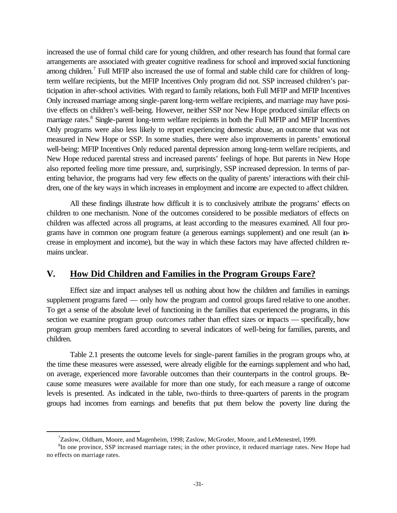increased the use of formal child care for young children, and other research has found that formal care arrangements are associated with greater cognitive readiness for school and improved social functioning among children.<sup>7</sup> Full MFIP also increased the use of formal and stable child care for children of longterm welfare recipients, but the MFIP Incentives Only program did not. SSP increased children's participation in after-school activities. With regard to family relations, both Full MFIP and MFIP Incentives Only increased marriage among single-parent long-term welfare recipients, and marriage may have positive effects on children's well-being. However, neither SSP nor New Hope produced similar effects on marriage rates.<sup>8</sup> Single-parent long-term welfare recipients in both the Full MFIP and MFIP Incentives Only programs were also less likely to report experiencing domestic abuse, an outcome that was not measured in New Hope or SSP. In some studies, there were also improvements in parents' emotional well-being: MFIP Incentives Only reduced parental depression among long-term welfare recipients, and New Hope reduced parental stress and increased parents' feelings of hope. But parents in New Hope also reported feeling more time pressure, and, surprisingly, SSP increased depression. In terms of parenting behavior, the programs had very few effects on the quality of parents' interactions with their children, one of the key ways in which increases in employment and income are expected to affect children.

All these findings illustrate how difficult it is to conclusively attribute the programs' effects on children to one mechanism. None of the outcomes considered to be possible mediators of effects on children was affected across all programs, at least according to the measures examined. All four programs have in common one program feature (a generous earnings supplement) and one result (an increase in employment and income), but the way in which these factors may have affected children remains unclear.

# **V. How Did Children and Families in the Program Groups Fare?**

Effect size and impact analyses tell us nothing about how the children and families in earnings supplement programs fared — only how the program and control groups fared relative to one another. To get a sense of the absolute level of functioning in the families that experienced the programs, in this section we examine program group *outcomes* rather than effect sizes or impacts — specifically, how program group members fared according to several indicators of well-being for families, parents, and children.

Table 2.1 presents the outcome levels for single-parent families in the program groups who, at the time these measures were assessed, were already eligible for the earnings supplement and who had, on average, experienced more favorable outcomes than their counterparts in the control groups. Because some measures were available for more than one study, for each measure a range of outcome levels is presented. As indicated in the table, two-thirds to three-quarters of parents in the program groups had incomes from earnings and benefits that put them below the poverty line during the

<sup>&</sup>lt;sup>7</sup>Zaslow, Oldham, Moore, and Magenheim, 1998; Zaslow, McGroder, Moore, and LeMenestrel, 1999.

<sup>&</sup>lt;sup>8</sup>In one province, SSP increased marriage rates; in the other province, it reduced marriage rates. New Hope had no effects on marriage rates.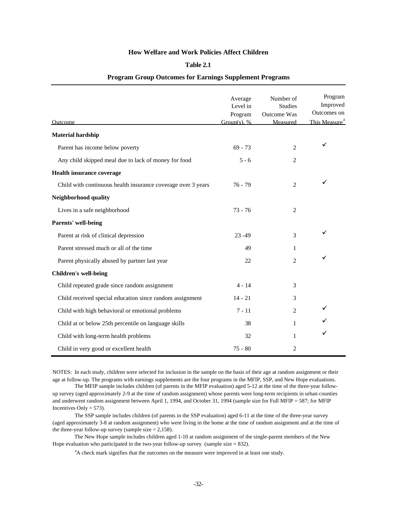#### **Table 2.1**

| Outcome                                                      | Average<br>Level in<br>Program<br>Group(s), $%$ | Number of<br><b>Studies</b><br>Outcome Was<br>Measured | Program<br>Improved<br>Outcomes on<br>This Measure <sup>a</sup> |
|--------------------------------------------------------------|-------------------------------------------------|--------------------------------------------------------|-----------------------------------------------------------------|
| <b>Material hardship</b>                                     |                                                 |                                                        |                                                                 |
| Parent has income below poverty                              | $69 - 73$                                       | 2                                                      | ✓                                                               |
| Any child skipped meal due to lack of money for food         | $5 - 6$                                         | 2                                                      |                                                                 |
| <b>Health insurance coverage</b>                             |                                                 |                                                        |                                                                 |
| Child with continuous health insurance coverage over 3 years | $76 - 79$                                       | 2                                                      | ✓                                                               |
| Neighborhood quality                                         |                                                 |                                                        |                                                                 |
| Lives in a safe neighborhood                                 | $73 - 76$                                       | 2                                                      |                                                                 |
| Parents' well-being                                          |                                                 |                                                        |                                                                 |
| Parent at risk of clinical depression                        | $23 - 49$                                       | 3                                                      | ✓                                                               |
| Parent stressed much or all of the time                      | 49                                              | 1                                                      |                                                                 |
| Parent physically abused by partner last year                | 22                                              | 2                                                      | ✓                                                               |
| <b>Children's well-being</b>                                 |                                                 |                                                        |                                                                 |
| Child repeated grade since random assignment                 | $4 - 14$                                        | 3                                                      |                                                                 |
| Child received special education since random assignment     | $14 - 21$                                       | 3                                                      |                                                                 |
| Child with high behavioral or emotional problems             | $7 - 11$                                        | 2                                                      | ✓                                                               |
| Child at or below 25th percentile on language skills         | 38                                              | 1                                                      | ✓                                                               |
| Child with long-term health problems                         | 32                                              | 1                                                      | $\checkmark$                                                    |
| Child in very good or excellent health                       | $75 - 80$                                       | 2                                                      |                                                                 |

#### **Program Group Outcomes for Earnings Supplement Programs**

NOTES: In each study, children were selected for inclusion in the sample on the basis of their age at random assignment or their age at follow-up. The programs with earnings supplements are the four programs in the MFIP, SSP, and New Hope evaluations.

 The MFIP sample includes children (of parents in the MFIP evaluation) aged 5-12 at the time of the three-year followup survey (aged approximately 2-9 at the time of random assignment) whose parents were long-term recipients in urban counties and underwent random assignment between April 1, 1994, and October 31, 1994 (sample size for Full MFIP = 587; for MFIP Incentives Only  $= 573$ ).

 The SSP sample includes children (of parents in the SSP evaluation) aged 6-11 at the time of the three-year survey (aged approximately 3-8 at random assignment) who were living in the home at the time of random assignment and at the time of the three-year follow-up survey (sample size  $= 2,158$ ).

 The New Hope sample includes children aged 1-10 at random assignment of the single-parent members of the New Hope evaluation who participated in the two-year follow-up survey (sample size  $= 832$ ).

<sup>a</sup>A check mark signifies that the outcomes on the measure were improved in at least one study.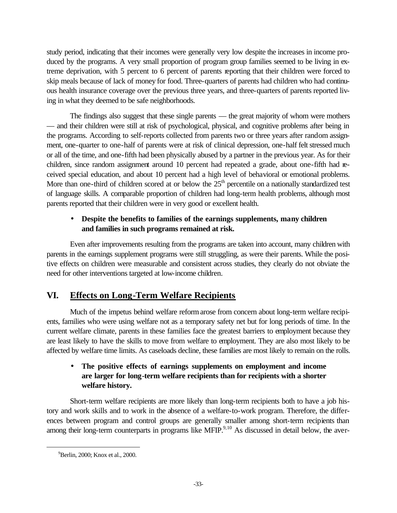study period, indicating that their incomes were generally very low despite the increases in income produced by the programs. A very small proportion of program group families seemed to be living in extreme deprivation, with 5 percent to 6 percent of parents reporting that their children were forced to skip meals because of lack of money for food. Three-quarters of parents had children who had continuous health insurance coverage over the previous three years, and three-quarters of parents reported living in what they deemed to be safe neighborhoods.

The findings also suggest that these single parents — the great majority of whom were mothers — and their children were still at risk of psychological, physical, and cognitive problems after being in the programs. According to self-reports collected from parents two or three years after random assignment, one-quarter to one-half of parents were at risk of clinical depression, one-half felt stressed much or all of the time, and one-fifth had been physically abused by a partner in the previous year. As for their children, since random assignment around 10 percent had repeated a grade, about one-fifth had received special education, and about 10 percent had a high level of behavioral or emotional problems. More than one-third of children scored at or below the  $25<sup>th</sup>$  percentile on a nationally standardized test of language skills. A comparable proportion of children had long-term health problems, although most parents reported that their children were in very good or excellent health.

# • **Despite the benefits to families of the earnings supplements, many children and families in such programs remained at risk.**

Even after improvements resulting from the programs are taken into account, many children with parents in the earnings supplement programs were still struggling, as were their parents. While the positive effects on children were measurable and consistent across studies, they clearly do not obviate the need for other interventions targeted at low-income children.

# **VI. Effects on Long-Term Welfare Recipients**

Much of the impetus behind welfare reform arose from concern about long-term welfare recipients, families who were using welfare not as a temporary safety net but for long periods of time. In the current welfare climate, parents in these families face the greatest barriers to employment because they are least likely to have the skills to move from welfare to employment. They are also most likely to be affected by welfare time limits. As caseloads decline, these families are most likely to remain on the rolls.

# • **The positive effects of earnings supplements on employment and income are larger for long-term welfare recipients than for recipients with a shorter welfare history.**

Short-term welfare recipients are more likely than long-term recipients both to have a job history and work skills and to work in the absence of a welfare-to-work program. Therefore, the differences between program and control groups are generally smaller among short-term recipients than among their long-term counterparts in programs like MFIP.<sup>9,10</sup> As discussed in detail below, the aver-

<sup>&</sup>lt;sup>9</sup>Berlin, 2000; Knox et al., 2000.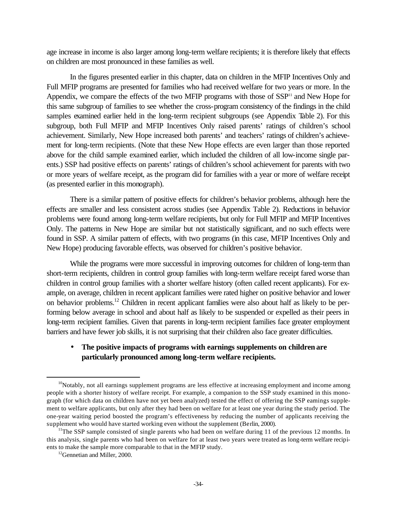age increase in income is also larger among long-term welfare recipients; it is therefore likely that effects on children are most pronounced in these families as well.

In the figures presented earlier in this chapter, data on children in the MFIP Incentives Only and Full MFIP programs are presented for families who had received welfare for two years or more. In the Appendix, we compare the effects of the two MFIP programs with those of  $SSP<sup>11</sup>$  and New Hope for this same subgroup of families to see whether the cross-program consistency of the findings in the child samples examined earlier held in the long-term recipient subgroups (see Appendix Table 2). For this subgroup, both Full MFIP and MFIP Incentives Only raised parents' ratings of children's school achievement. Similarly, New Hope increased both parents' and teachers' ratings of children's achievement for long-term recipients. (Note that these New Hope effects are even larger than those reported above for the child sample examined earlier, which included the children of all low-income single parents.) SSP had positive effects on parents' ratings of children's school achievement for parents with two or more years of welfare receipt, as the program did for families with a year or more of welfare receipt (as presented earlier in this monograph).

There is a similar pattern of positive effects for children's behavior problems, although here the effects are smaller and less consistent across studies (see Appendix Table 2). Reductions in behavior problems were found among long-term welfare recipients, but only for Full MFIP and MFIP Incentives Only. The patterns in New Hope are similar but not statistically significant, and no such effects were found in SSP. A similar pattern of effects, with two programs (in this case, MFIP Incentives Only and New Hope) producing favorable effects, was observed for children's positive behavior.

While the programs were more successful in improving outcomes for children of long-term than short-term recipients, children in control group families with long-term welfare receipt fared worse than children in control group families with a shorter welfare history (often called recent applicants). For example, on average, children in recent applicant families were rated higher on positive behavior and lower on behavior problems.<sup>12</sup> Children in recent applicant families were also about half as likely to be performing below average in school and about half as likely to be suspended or expelled as their peers in long-term recipient families. Given that parents in long-term recipient families face greater employment barriers and have fewer job skills, it is not surprising that their children also face greater difficulties.

### • **The positive impacts of programs with earnings supplements on children are particularly pronounced among long-term welfare recipients.**

 $10$ Notably, not all earnings supplement programs are less effective at increasing employment and income among people with a shorter history of welfare receipt. For example, a companion to the SSP study examined in this monograph (for which data on children have not yet been analyzed) tested the effect of offering the SSP earnings supplement to welfare applicants, but only after they had been on welfare for at least one year during the study period. The one-year waiting period boosted the program's effectiveness by reducing the number of applicants receiving the supplement who would have started working even without the supplement (Berlin, 2000).

<sup>&</sup>lt;sup>11</sup>The SSP sample consisted of single parents who had been on welfare during 11 of the previous 12 months. In this analysis, single parents who had been on welfare for at least two years were treated as long-term welfare recipients to make the sample more comparable to that in the MFIP study.

<sup>&</sup>lt;sup>12</sup>Gennetian and Miller, 2000.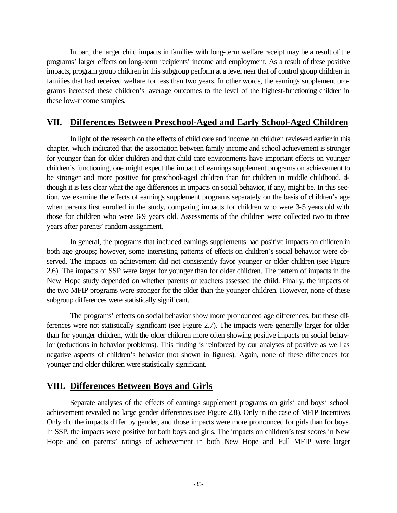In part, the larger child impacts in families with long-term welfare receipt may be a result of the programs' larger effects on long-term recipients' income and employment. As a result of these positive impacts, program group children in this subgroup perform at a level near that of control group children in families that had received welfare for less than two years. In other words, the earnings supplement programs increased these children's average outcomes to the level of the highest-functioning children in these low-income samples.

# **VII. Differences Between Preschool-Aged and Early School-Aged Children**

In light of the research on the effects of child care and income on children reviewed earlier in this chapter, which indicated that the association between family income and school achievement is stronger for younger than for older children and that child care environments have important effects on younger children's functioning, one might expect the impact of earnings supplement programs on achievement to be stronger and more positive for preschool-aged children than for children in middle childhood, although it is less clear what the age differences in impacts on social behavior, if any, might be. In this section, we examine the effects of earnings supplement programs separately on the basis of children's age when parents first enrolled in the study, comparing impacts for children who were 3-5 years old with those for children who were 6-9 years old. Assessments of the children were collected two to three years after parents' random assignment.

In general, the programs that included earnings supplements had positive impacts on children in both age groups; however, some interesting patterns of effects on children's social behavior were observed. The impacts on achievement did not consistently favor younger or older children (see Figure 2.6). The impacts of SSP were larger for younger than for older children. The pattern of impacts in the New Hope study depended on whether parents or teachers assessed the child. Finally, the impacts of the two MFIP programs were stronger for the older than the younger children. However, none of these subgroup differences were statistically significant.

The programs' effects on social behavior show more pronounced age differences, but these differences were not statistically significant (see Figure 2.7). The impacts were generally larger for older than for younger children, with the older children more often showing positive impacts on social behavior (reductions in behavior problems). This finding is reinforced by our analyses of positive as well as negative aspects of children's behavior (not shown in figures). Again, none of these differences for younger and older children were statistically significant.

# **VIII. Differences Between Boys and Girls**

Separate analyses of the effects of earnings supplement programs on girls' and boys' school achievement revealed no large gender differences (see Figure 2.8). Only in the case of MFIP Incentives Only did the impacts differ by gender, and those impacts were more pronounced for girls than for boys. In SSP, the impacts were positive for both boys and girls. The impacts on children's test scores in New Hope and on parents' ratings of achievement in both New Hope and Full MFIP were larger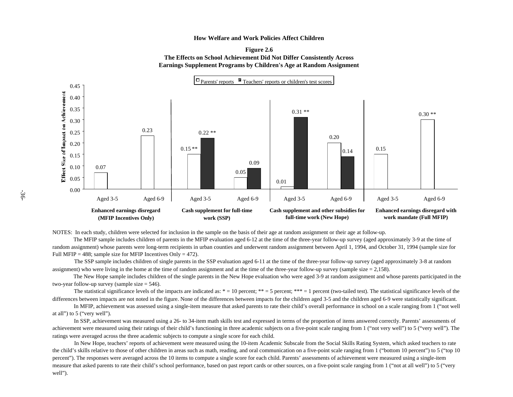



NOTES: In each study, children were selected for inclusion in the sample on the basis of their age at random assignment or their age at follow-up.

 The MFIP sample includes children of parents in the MFIP evaluation aged 6-12 at the time of the three-year follow-up survey (aged approximately 3-9 at the time of random assignment) whose parents were long-term recipients in urban counties and underwent random assignment between April 1, 1994, and October 31, 1994 (sample size for Full MFIP = 488; sample size for MFIP Incentives Only = 472).

 The SSP sample includes children of single parents in the SSP evaluation aged 6-11 at the time of the three-year follow-up survey (aged approximately 3-8 at random assignment) who were living in the home at the time of random assignment and at the time of the three-year follow-up survey (sample size  $= 2.158$ ).

 The New Hope sample includes children of the single parents in the New Hope evaluation who were aged 3-9 at random assignment and whose parents participated in the two-year follow-up survey (sample size = 546).

The statistical significance levels of the impacts are indicated as:  $* = 10$  percent;  $** = 5$  percent;  $*** = 1$  percent (two-tailed test). The statistical significance levels of the differences between impacts are not noted in the figure. None of the differences between impacts for the children aged 3-5 and the children aged 6-9 were statistically significant.

 In MFIP, achievement was assessed using a single-item measure that asked parents to rate their child's overall performance in school on a scale ranging from 1 ("not well at all") to 5 ("very well").

 In SSP, achievement was measured using a 26- to 34-item math skills test and expressed in terms of the proportion of items answered correctly. Parents' assessments of achievement were measured using their ratings of their child's functioning in three academic subjects on a five-point scale ranging from 1 ("not very well") to 5 ("very well"). The ratings were averaged across the three academic subjects to compute a single score for each child.

measure that asked parents to rate their child's school performance, based on past report cards or other sources, on a five-point scale ranging from 1 ("not at all well") to 5 ("very In New Hope, teachers' reports of achievement were measured using the 10-item Academic Subscale from the Social Skills Rating System, which asked teachers to rate the child's skills relative to those of other children in areas such as math, reading, and oral communication on a five-point scale ranging from 1 ("bottom 10 percent") to 5 ("top 10") percent"). The responses were averaged across the 10 items to compute a single score for each child. Parents' assessments of achievement were measured using a single-item well").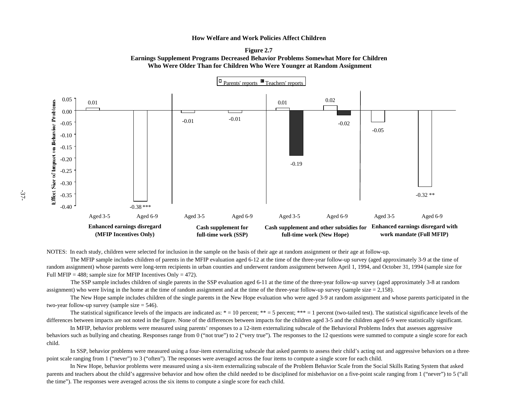



NOTES: In each study, children were selected for inclusion in the sample on the basis of their age at random assignment or their age at follow-up.

 The MFIP sample includes children of parents in the MFIP evaluation aged 6-12 at the time of the three-year follow-up survey (aged approximately 3-9 at the time of random assignment) whose parents were long-term recipients in urban counties and underwent random assignment between April 1, 1994, and October 31, 1994 (sample size for Full MFIP = 488; sample size for MFIP Incentives Only = 472).

 The SSP sample includes children of single parents in the SSP evaluation aged 6-11 at the time of the three-year follow-up survey (aged approximately 3-8 at random assignment) who were living in the home at the time of random assignment and at the time of the three-year follow-up survey (sample size  $= 2.158$ ).

 The New Hope sample includes children of the single parents in the New Hope evaluation who were aged 3-9 at random assignment and whose parents participated in the two-year follow-up survey (sample size = 546).

The statistical significance levels of the impacts are indicated as:  $* = 10$  percent;  $** = 5$  percent;  $*** = 1$  percent (two-tailed test). The statistical significance levels of the differences between impacts are not noted in the figure. None of the differences between impacts for the children aged 3-5 and the children aged 6-9 were statistically significant.

 In MFIP, behavior problems were measured using parents' responses to a 12-item externalizing subscale of the Behavioral Problems Index that assesses aggressive behaviors such as bullying and cheating. Responses range from 0 ("not true") to 2 ("very true"). The responses to the 12 questions were summed to compute a single score for each child.

 In SSP, behavior problems were measured using a four-item externalizing subscale that asked parents to assess their child's acting out and aggressive behaviors on a threepoint scale ranging from 1 ("never") to 3 ("often"). The responses were averaged across the four items to compute a single score for each child.

 In New Hope, behavior problems were measured using a six-item externalizing subscale of the Problem Behavior Scale from the Social Skills Rating System that asked parents and teachers about the child's aggressive behavior and how often the child needed to be disciplined for misbehavior on a five-point scale ranging from 1 ("never") to 5 ("all the time"). The responses were averaged across the six items to compute a single score for each child.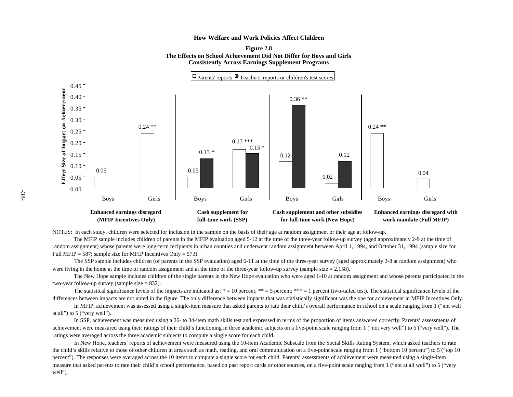



NOTES: In each study, children were selected for inclusion in the sample on the basis of their age at random assignment or their age at follow-up.

 The MFIP sample includes children of parents in the MFIP evaluation aged 5-12 at the time of the three-year follow-up survey (aged approximately 2-9 at the time of random assignment) whose parents were long-term recipients in urban counties and underwent random assignment between April 1, 1994, and October 31, 1994 (sample size for Full MFIP = 587; sample size for MFIP Incentives Only = 573).

 The SSP sample includes children (of parents in the SSP evaluation) aged 6-11 at the time of the three-year survey (aged approximately 3-8 at random assignment) who were living in the home at the time of random assignment and at the time of the three-year follow-up survey (sample size  $= 2,158$ ).

 The New Hope sample includes children of the single parents in the New Hope evaluation who were aged 1-10 at random assignment and whose parents participated in the two-year follow-up survey (sample size  $= 832$ ).

The statistical significance levels of the impacts are indicated as:  $* = 10$  percent;  $** = 5$  percent;  $*** = 1$  percent (two-tailed test). The statistical significance levels of the differences between impacts are not noted in the figure. The only difference between impacts that was statistically significant was the one for achievement in MFIP Incentives Only.

 In MFIP, achievement was assessed using a single-item measure that asked parents to rate their child's overall performance in school on a scale ranging from 1 ("not well at all") to 5 ("very well").

 In SSP, achievement was measured using a 26- to 34-item math skills test and expressed in terms of the proportion of items answered correctly. Parents' assessments of achievement were measured using their ratings of their child's functioning in three academic subjects on a five-point scale ranging from 1 ("not very well") to 5 ("very well"). The ratings were averaged across the three academic subjects to compute a single score for each child.

 In New Hope, teachers' reports of achievement were measured using the 10-item Academic Subscale from the Social Skills Rating System, which asked teachers to rate the child's skills relative to those of other children in areas such as math, reading, and oral communication on a five-point scale ranging from 1 ("bottom 10 percent") to 5 ("top 10" percent"). The responses were averaged across the 10 items to compute a single score for each child. Parents' assessments of achievement were measured using a single-item measure that asked parents to rate their child's school performance, based on past report cards or other sources, on a five-point scale ranging from 1 ("not at all well") to 5 ("very well").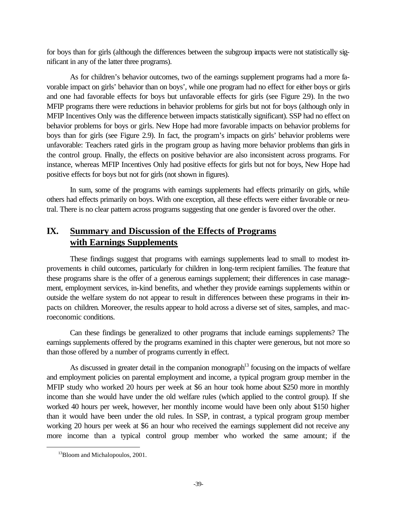for boys than for girls (although the differences between the subgroup impacts were not statistically significant in any of the latter three programs).

As for children's behavior outcomes, two of the earnings supplement programs had a more favorable impact on girls' behavior than on boys', while one program had no effect for either boys or girls and one had favorable effects for boys but unfavorable effects for girls (see Figure 29). In the two MFIP programs there were reductions in behavior problems for girls but not for boys (although only in MFIP Incentives Only was the difference between impacts statistically significant). SSP had no effect on behavior problems for boys or girls. New Hope had more favorable impacts on behavior problems for boys than for girls (see Figure 2.9). In fact, the program's impacts on girls' behavior problems were unfavorable: Teachers rated girls in the program group as having more behavior problems than girls in the control group. Finally, the effects on positive behavior are also inconsistent across programs. For instance, whereas MFIP Incentives Only had positive effects for girls but not for boys, New Hope had positive effects for boys but not for girls (not shown in figures).

In sum, some of the programs with earnings supplements had effects primarily on girls, while others had effects primarily on boys. With one exception, all these effects were either favorable or neutral. There is no clear pattern across programs suggesting that one gender is favored over the other.

# **IX. Summary and Discussion of the Effects of Programs with Earnings Supplements**

These findings suggest that programs with earnings supplements lead to small to modest improvements in child outcomes, particularly for children in long-term recipient families. The feature that these programs share is the offer of a generous earnings supplement; their differences in case management, employment services, in-kind benefits, and whether they provide earnings supplements within or outside the welfare system do not appear to result in differences between these programs in their impacts on children. Moreover, the results appear to hold across a diverse set of sites, samples, and macroeconomic conditions.

Can these findings be generalized to other programs that include earnings supplements? The earnings supplements offered by the programs examined in this chapter were generous, but not more so than those offered by a number of programs currently in effect.

As discussed in greater detail in the companion monograph<sup>13</sup> focusing on the impacts of welfare and employment policies on parental employment and income, a typical program group member in the MFIP study who worked 20 hours per week at \$6 an hour took home about \$250 more in monthly income than she would have under the old welfare rules (which applied to the control group). If she worked 40 hours per week, however, her monthly income would have been only about \$150 higher than it would have been under the old rules. In SSP, in contrast, a typical program group member working 20 hours per week at \$6 an hour who received the earnings supplement did not receive any more income than a typical control group member who worked the same amount; if the

<sup>&</sup>lt;sup>13</sup>Bloom and Michalopoulos, 2001.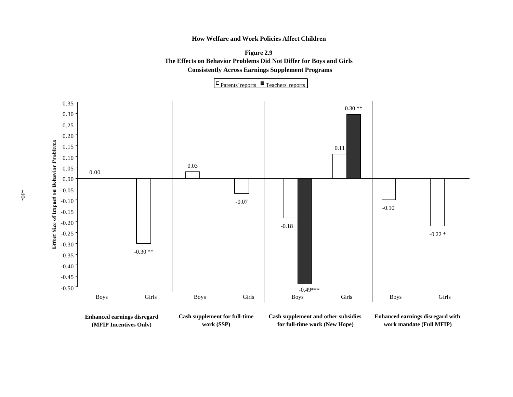

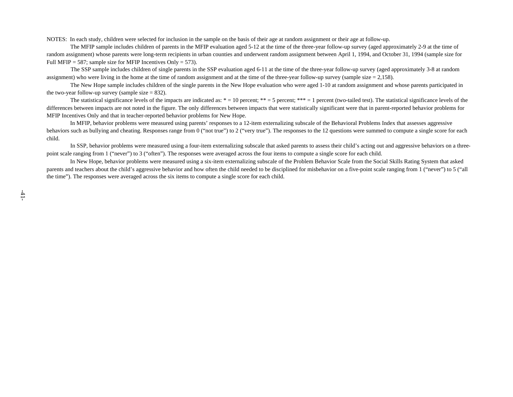NOTES: In each study, children were selected for inclusion in the sample on the basis of their age at random assignment or their age at follow-up.

 The MFIP sample includes children of parents in the MFIP evaluation aged 5-12 at the time of the three-year follow-up survey (aged approximately 2-9 at the time of random assignment) whose parents were long-term recipients in urban counties and underwent random assignment between April 1, 1994, and October 31, 1994 (sample size for Full MFIP = 587; sample size for MFIP Incentives Only = 573).

 The SSP sample includes children of single parents in the SSP evaluation aged 6-11 at the time of the three-year follow-up survey (aged approximately 3-8 at random assignment) who were living in the home at the time of random assignment and at the time of the three-year follow-up survey (sample size  $= 2.158$ ).

 The New Hope sample includes children of the single parents in the New Hope evaluation who were aged 1-10 at random assignment and whose parents participated in the two-year follow-up survey (sample size  $= 832$ ).

The statistical significance levels of the impacts are indicated as:  $* = 10$  percent;  $** = 5$  percent;  $*** = 1$  percent (two-tailed test). The statistical significance levels of the differences between impacts are not noted in the figure. The only differences between impacts that were statistically significant were that in parent-reported behavior problems for MFIP Incentives Only and that in teacher-reported behavior problems for New Hope.

 In MFIP, behavior problems were measured using parents' responses to a 12-item externalizing subscale of the Behavioral Problems Index that assesses aggressive behaviors such as bullying and cheating. Responses range from 0 ("not true") to 2 ("very true"). The responses to the 12 questions were summed to compute a single score for each child.

 In SSP, behavior problems were measured using a four-item externalizing subscale that asked parents to assess their child's acting out and aggressive behaviors on a threepoint scale ranging from 1 ("never") to 3 ("often"). The responses were averaged across the four items to compute a single score for each child.

 In New Hope, behavior problems were measured using a six-item externalizing subscale of the Problem Behavior Scale from the Social Skills Rating System that asked parents and teachers about the child's aggressive behavior and how often the child needed to be disciplined for misbehavior on a five-point scale ranging from 1 ("never") to 5 ("all the time"). The responses were averaged across the six items to compute a single score for each child.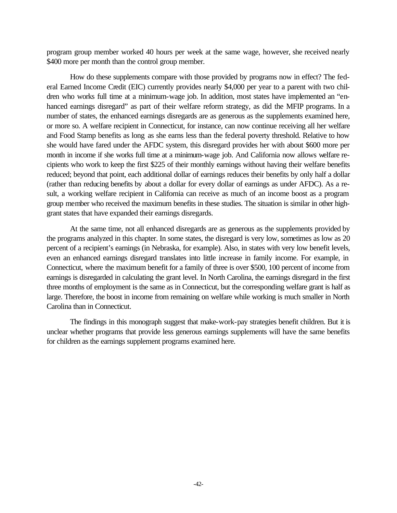program group member worked 40 hours per week at the same wage, however, she received nearly \$400 more per month than the control group member.

How do these supplements compare with those provided by programs now in effect? The federal Earned Income Credit (EIC) currently provides nearly \$4,000 per year to a parent with two children who works full time at a minimum-wage job. In addition, most states have implemented an "enhanced earnings disregard" as part of their welfare reform strategy, as did the MFIP programs. In a number of states, the enhanced earnings disregards are as generous as the supplements examined here, or more so. A welfare recipient in Connecticut, for instance, can now continue receiving all her welfare and Food Stamp benefits as long as she earns less than the federal poverty threshold. Relative to how she would have fared under the AFDC system, this disregard provides her with about \$600 more per month in income if she works full time at a minimum-wage job. And California now allows welfare recipients who work to keep the first \$225 of their monthly earnings without having their welfare benefits reduced; beyond that point, each additional dollar of earnings reduces their benefits by only half a dollar (rather than reducing benefits by about a dollar for every dollar of earnings as under AFDC). As a result, a working welfare recipient in California can receive as much of an income boost as a program group member who received the maximum benefits in these studies. The situation is similar in other highgrant states that have expanded their earnings disregards.

At the same time, not all enhanced disregards are as generous as the supplements provided by the programs analyzed in this chapter. In some states, the disregard is very low, sometimes as low as 20 percent of a recipient's earnings (in Nebraska, for example). Also, in states with very low benefit levels, even an enhanced earnings disregard translates into little increase in family income. For example, in Connecticut, where the maximum benefit for a family of three is over \$500, 100 percent of income from earnings is disregarded in calculating the grant level. In North Carolina, the earnings disregard in the first three months of employment is the same as in Connecticut, but the corresponding welfare grant is half as large. Therefore, the boost in income from remaining on welfare while working is much smaller in North Carolina than in Connecticut.

The findings in this monograph suggest that make-work-pay strategies benefit children. But it is unclear whether programs that provide less generous earnings supplements will have the same benefits for children as the earnings supplement programs examined here.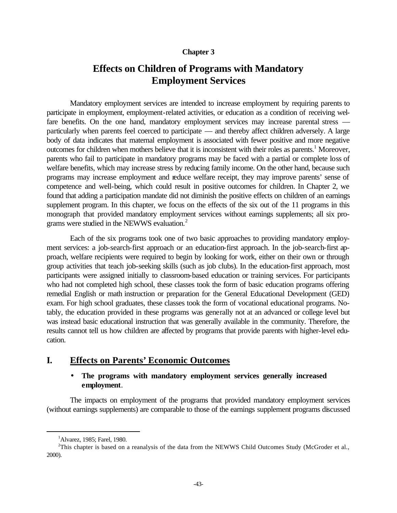### **Chapter 3**

# **Effects on Children of Programs with Mandatory Employment Services**

Mandatory employment services are intended to increase employment by requiring parents to participate in employment, employment-related activities, or education as a condition of receiving welfare benefits. On the one hand, mandatory employment services may increase parental stress particularly when parents feel coerced to participate — and thereby affect children adversely. A large body of data indicates that maternal employment is associated with fewer positive and more negative outcomes for children when mothers believe that it is inconsistent with their roles as parents.<sup>1</sup> Moreover, parents who fail to participate in mandatory programs may be faced with a partial or complete loss of welfare benefits, which may increase stress by reducing family income. On the other hand, because such programs may increase employment and reduce welfare receipt, they may improve parents' sense of competence and well-being, which could result in positive outcomes for children. In Chapter 2, we found that adding a participation mandate did not diminish the positive effects on children of an earnings supplement program. In this chapter, we focus on the effects of the six out of the 11 programs in this monograph that provided mandatory employment services without earnings supplements; all six programs were studied in the NEWWS evaluation.<sup>2</sup>

Each of the six programs took one of two basic approaches to providing mandatory employment services: a job-search-first approach or an education-first approach. In the job-search-first approach, welfare recipients were required to begin by looking for work, either on their own or through group activities that teach job-seeking skills (such as job clubs). In the education-first approach, most participants were assigned initially to classroom-based education or training services. For participants who had not completed high school, these classes took the form of basic education programs offering remedial English or math instruction or preparation for the General Educational Development (GED) exam. For high school graduates, these classes took the form of vocational educational programs. Notably, the education provided in these programs was generally not at an advanced or college level but was instead basic educational instruction that was generally available in the community. Therefore, the results cannot tell us how children are affected by programs that provide parents with higher-level education.

# **I. Effects on Parents' Economic Outcomes**

### • **The programs with mandatory employment services generally increased employment**.

The impacts on employment of the programs that provided mandatory employment services (without earnings supplements) are comparable to those of the earnings supplement programs discussed

 $<sup>1</sup>$ Alvarez, 1985; Farel, 1980.</sup>

<sup>&</sup>lt;sup>2</sup>This chapter is based on a reanalysis of the data from the NEWWS Child Outcomes Study (McGroder et al., 2000).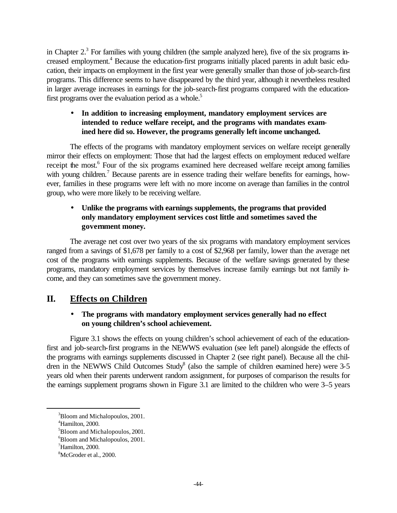in Chapter  $2<sup>3</sup>$  For families with young children (the sample analyzed here), five of the six programs increased employment.<sup>4</sup> Because the education-first programs initially placed parents in adult basic education, their impacts on employment in the first year were generally smaller than those of job-search-first programs. This difference seems to have disappeared by the third year, although it nevertheless resulted in larger average increases in earnings for the job-search-first programs compared with the educationfirst programs over the evaluation period as a whole.<sup>5</sup>

## • **In addition to increasing employment, mandatory employment services are intended to reduce welfare receipt, and the programs with mandates examined here did so. However, the programs generally left income unchanged.**

The effects of the programs with mandatory employment services on welfare receipt generally mirror their effects on employment: Those that had the largest effects on employment reduced welfare receipt the most.<sup>6</sup> Four of the six programs examined here decreased welfare receipt among families with young children.<sup>7</sup> Because parents are in essence trading their welfare benefits for earnings, however, families in these programs were left with no more income on average than families in the control group, who were more likely to be receiving welfare.

## • **Unlike the programs with earnings supplements, the programs that provided only mandatory employment services cost little and sometimes saved the government money.**

The average net cost over two years of the six programs with mandatory employment services ranged from a savings of \$1,678 per family to a cost of \$2,968 per family, lower than the average net cost of the programs with earnings supplements. Because of the welfare savings generated by these programs, mandatory employment services by themselves increase family earnings but not family income, and they can sometimes save the government money.

# **II. Effects on Children**

## • **The programs with mandatory employment services generally had no effect on young children's school achievement.**

Figure 3.1 shows the effects on young children's school achievement of each of the educationfirst and job-search-first programs in the NEWWS evaluation (see left panel) alongside the effects of the programs with earnings supplements discussed in Chapter 2 (see right panel). Because all the children in the NEWWS Child Outcomes Study<sup>8</sup> (also the sample of children examined here) were  $3-5$ years old when their parents underwent random assignment, for purposes of comparison the results for the earnings supplement programs shown in Figure 3.1 are limited to the children who were 3–5 years

<sup>3</sup>Bloom and Michalopoulos, 2001.

<sup>4</sup>Hamilton, 2000.

<sup>5</sup>Bloom and Michalopoulos, 2001.

<sup>&</sup>lt;sup>6</sup>Bloom and Michalopoulos, 2001.

 $\mathrm{7}$ Hamilton, 2000.

<sup>8</sup>McGroder et al., 2000.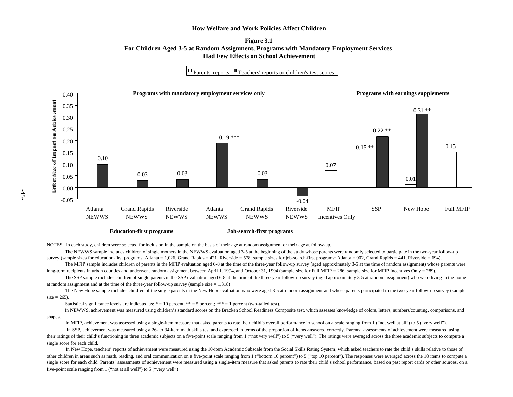#### **Figure 3.1 For Children Aged 3-5 at Random Assignment, Programs with Mandatory Employment Services Had Few Effects on School Achievement**

 $\Box$  Parents' reports  $\Box$  Teachers' reports or children's test scores



**Education-first programs**

**Job-search-first programs**

NOTES: In each study, children were selected for inclusion in the sample on the basis of their age at random assignment or their age at follow-up.

The NEWWS sample includes children of single mothers in the NEWWS evaluation aged 3-5 at the beginning of the study whose parents were randomly selected to participate in the two-year follow-up survey (sample sizes for education-first programs: Atlanta = 1,026, Grand Rapids = 421, Riverside = 578; sample sizes for job-search-first programs: Atlanta = 902, Grand Rapids = 441, Riverside = 694).

The MFIP sample includes children of parents in the MFIP evaluation aged 6-8 at the time of the three-year follow-up survey (aged approximately 3-5 at the time of random assignment) whose parents were long-term recipients in urban counties and underwent random assignment between April 1, 1994, and October 31, 1994 (sample size for Full MFIP = 286; sample size for MFIP Incentives Only = 289).

The SSP sample includes children of single parents in the SSP evaluation aged 6-8 at the time of the three-year follow-up survey (aged approximately 3-5 at random assignment) who were living in the home at random assignment and at the time of the three-year follow-up survey (sample size  $= 1.318$ ).

The New Hope sample includes children of the single parents in the New Hope evaluation who were aged 3-5 at random assignment and whose parents participated in the two-year follow-up survey (sample  $size = 265$ ).

Statistical significance levels are indicated as:  $* = 10$  percent;  $** = 5$  percent;  $*** = 1$  percent (two-tailed test).

 In NEWWS, achievement was measured using children's standard scores on the Bracken School Readiness Composite test, which assesses knowledge of colors, letters, numbers/counting, comparisons, and shapes.

In MFIP, achievement was assessed using a single-item measure that asked parents to rate their child's overall performance in school on a scale ranging from 1 ("not well at all") to 5 ("very well").

 In SSP, achievement was measured using a 26- to 34-item math skills test and expressed in terms of the proportion of items answered correctly. Parents' assessments of achievement were measured using their ratings of their child's functioning in three academic subjects on a five-point scale ranging from 1 ("not very well") to 5 ("very well"). The ratings were averaged across the three academic subjects to compute a single score for each child.

In New Hope, teachers' reports of achievement were measured using the 10-item Academic Subscale from the Social Skills Rating System, which asked teachers to rate the child's skills relative to those of other children in areas such as math, reading, and oral communication on a five-point scale ranging from 1 ("bottom 10 percent") to 5 ("top 10 percent"). The responses were averaged across the 10 items to compute a single score for each child. Parents' assessments of achievement were measured using a single-item measure that asked parents to rate their child's school performance, based on past report cards or other sources, on a five-point scale ranging from 1 ("not at all well") to 5 ("very well").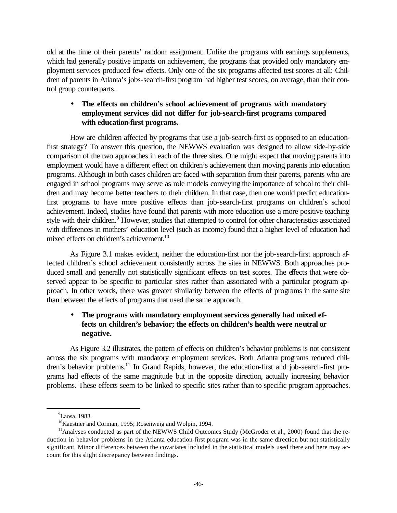old at the time of their parents' random assignment. Unlike the programs with earnings supplements, which had generally positive impacts on achievement, the programs that provided only mandatory employment services produced few effects. Only one of the six programs affected test scores at all: Children of parents in Atlanta's jobs-search-first program had higher test scores, on average, than their control group counterparts.

## • **The effects on children's school achievement of programs with mandatory employment services did not differ for job-search-first programs compared with education-first programs.**

How are children affected by programs that use a job-search-first as opposed to an educationfirst strategy? To answer this question, the NEWWS evaluation was designed to allow side-by-side comparison of the two approaches in each of the three sites. One might expect that moving parents into employment would have a different effect on children's achievement than moving parents into education programs. Although in both cases children are faced with separation from their parents, parents who are engaged in school programs may serve as role models conveying the importance of school to their children and may become better teachers to their children. In that case, then one would predict educationfirst programs to have more positive effects than job-search-first programs on children's school achievement. Indeed, studies have found that parents with more education use a more positive teaching style with their children.<sup>9</sup> However, studies that attempted to control for other characteristics associated with differences in mothers' education level (such as income) found that a higher level of education had mixed effects on children's achievement.<sup>10</sup>

As Figure 3.1 makes evident, neither the education-first nor the job-search-first approach affected children's school achievement consistently across the sites in NEWWS. Both approaches produced small and generally not statistically significant effects on test scores. The effects that were observed appear to be specific to particular sites rather than associated with a particular program approach. In other words, there was greater similarity between the effects of programs in the same site than between the effects of programs that used the same approach.

## • **The programs with mandatory employment services generally had mixed effects on children's behavior; the effects on children's health were neutral or negative.**

As Figure 3.2 illustrates, the pattern of effects on children's behavior problems is not consistent across the six programs with mandatory employment services. Both Atlanta programs reduced children's behavior problems.<sup>11</sup> In Grand Rapids, however, the education-first and job-search-first programs had effects of the same magnitude but in the opposite direction, actually increasing behavior problems. These effects seem to be linked to specific sites rather than to specific program approaches.

<sup>&</sup>lt;sup>9</sup>Laosa, 1983.

<sup>&</sup>lt;sup>10</sup>Kaestner and Corman, 1995; Rosenweig and Wolpin, 1994.

<sup>&</sup>lt;sup>11</sup>Analyses conducted as part of the NEWWS Child Outcomes Study (McGroder et al., 2000) found that the reduction in behavior problems in the Atlanta education-first program was in the same direction but not statistically significant. Minor differences between the covariates included in the statistical models used there and here may account for this slight discrepancy between findings.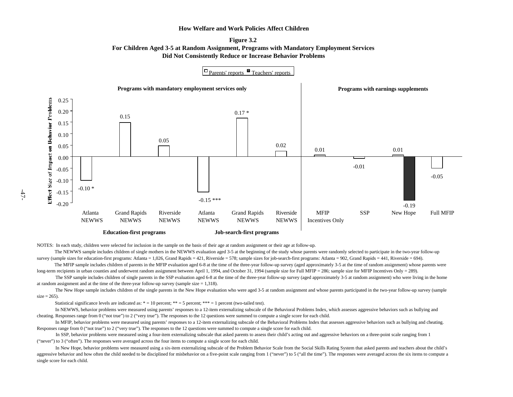



NOTES: In each study, children were selected for inclusion in the sample on the basis of their age at random assignment or their age at follow-up.

The NEWWS sample includes children of single mothers in the NEWWS evaluation aged 3-5 at the beginning of the study whose parents were randomly selected to participate in the two-year follow-up survey (sample sizes for education-first programs: Atlanta = 1,026, Grand Rapids = 421, Riverside = 578; sample sizes for job-search-first programs: Atlanta = 902, Grand Rapids = 441, Riverside = 694).

The MFIP sample includes children of parents in the MFIP evaluation aged 6-8 at the time of the three-year follow-up survey (aged approximately 3-5 at the time of random assignment) whose parents were long-term recipients in urban counties and underwent random assignment between April 1, 1994, and October 31, 1994 (sample size for Full MFIP = 286; sample size for MFIP Incentives Only = 289).

The SSP sample includes children of single parents in the SSP evaluation aged 6-8 at the time of the three-year follow-up survey (aged approximately 3-5 at random assignment) who were living in the home at random assignment and at the time of the three-year follow-up survey (sample size  $= 1,318$ ).

The New Hope sample includes children of the single parents in the New Hope evaluation who were aged 3-5 at random assignment and whose parents participated in the two-year follow-up survey (sample  $size = 265$ ).

Statistical significance levels are indicated as:  $* = 10$  percent;  $** = 5$  percent;  $*** = 1$  percent (two-tailed test).

In NEWWS, behavior problems were measured using parents' responses to a 12-item externalizing subscale of the Behavioral Problems Index, which assesses aggressive behaviors such as bullying and cheating. Responses range from 0 ("not true") to 2 ("very true"). The responses to the 12 questions were summed to compute a single score for each child.

In MFIP, behavior problems were measured using parents' responses to a 12-item externalizing subscale of the Behavioral Problems Index that assesses aggressive behaviors such as bullying and cheating. Responses range from 0 ("not true") to 2 ("very true"). The responses to the 12 questions were summed to compute a single score for each child.

 In SSP, behavior problems were measured using a four-item externalizing subscale that asked parents to assess their child's acting out and aggressive behaviors on a three-point scale ranging from 1 ("never") to 3 ("often"). The responses were averaged across the four items to compute a single score for each child.

 In New Hope, behavior problems were measured using a six-item externalizing subscale of the Problem Behavior Scale from the Social Skills Rating System that asked parents and teachers about the child's aggressive behavior and how often the child needed to be disciplined for misbehavior on a five-point scale ranging from 1 ("never") to 5 ("all the time"). The responses were averaged across the six items to compute a single score for each child.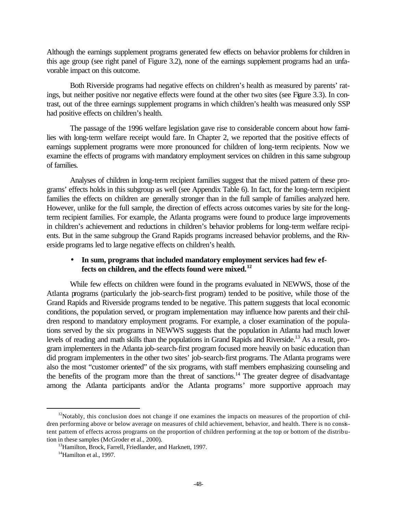Although the earnings supplement programs generated few effects on behavior problems for children in this age group (see right panel of Figure 3.2), none of the earnings supplement programs had an unfavorable impact on this outcome.

Both Riverside programs had negative effects on children's health as measured by parents' ratings, but neither positive nor negative effects were found at the other two sites (see Figure 3.3). In contrast, out of the three earnings supplement programs in which children's health was measured only SSP had positive effects on children's health.

The passage of the 1996 welfare legislation gave rise to considerable concern about how families with long-term welfare receipt would fare. In Chapter 2, we reported that the positive effects of earnings supplement programs were more pronounced for children of long-term recipients. Now we examine the effects of programs with mandatory employment services on children in this same subgroup of families.

Analyses of children in long-term recipient families suggest that the mixed pattern of these programs' effects holds in this subgroup as well (see Appendix Table 6). In fact, for the long-term recipient families the effects on children are generally stronger than in the full sample of families analyzed here. However, unlike for the full sample, the direction of effects across outcomes varies by site for the longterm recipient families. For example, the Atlanta programs were found to produce large improvements in children's achievement and reductions in children's behavior problems for long-term welfare recipients. But in the same subgroup the Grand Rapids programs increased behavior problems, and the Riverside programs led to large negative effects on children's health.

### • **In sum, programs that included mandatory employment services had few effects on children, and the effects found were mixed.<sup>12</sup>**

While few effects on children were found in the programs evaluated in NEWWS, those of the Atlanta programs (particularly the job-search-first program) tended to be positive, while those of the Grand Rapids and Riverside programs tended to be negative. This pattern suggests that local economic conditions, the population served, or program implementation may influence how parents and their children respond to mandatory employment programs. For example, a closer examination of the populations served by the six programs in NEWWS suggests that the population in Atlanta had much lower levels of reading and math skills than the populations in Grand Rapids and Riverside.<sup>13</sup> As a result, program implementers in the Atlanta job-search-first program focused more heavily on basic education than did program implementers in the other two sites' job-search-first programs. The Atlanta programs were also the most "customer oriented" of the six programs, with staff members emphasizing counseling and the benefits of the program more than the threat of sanctions.<sup>14</sup> The greater degree of disadvantage among the Atlanta participants and/or the Atlanta programs' more supportive approach may

 $12$ Notably, this conclusion does not change if one examines the impacts on measures of the proportion of children performing above or below average on measures of child achievement, behavior, and health. There is no consistent pattern of effects across programs on the proportion of children performing at the top or bottom of the distribution in these samples (McGroder et al., 2000).

<sup>&</sup>lt;sup>13</sup> Hamilton, Brock, Farrell, Friedlander, and Harknett, 1997.

 $14$ Hamilton et al., 1997.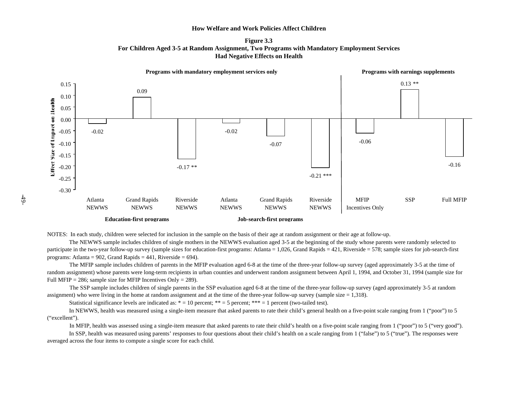**Figure 3.3 For Children Aged 3-5 at Random Assignment, Two Programs with Mandatory Employment Services Had Negative Effects on Health** 



NOTES: In each study, children were selected for inclusion in the sample on the basis of their age at random assignment or their age at follow-up. The NEWWS sample includes children of single mothers in the NEWWS evaluation aged 3-5 at the beginning of the study whose parents were randomly selected to

participate in the two-year follow-up survey (sample sizes for education-first programs: Atlanta = 1,026, Grand Rapids = 421, Riverside = 578; sample sizes for job-search-first programs: Atlanta = 902, Grand Rapids =  $441$ , Riverside = 694).

 The MFIP sample includes children of parents in the MFIP evaluation aged 6-8 at the time of the three-year follow-up survey (aged approximately 3-5 at the time of random assignment) whose parents were long-term recipients in urban counties and underwent random assignment between April 1, 1994, and October 31, 1994 (sample size for Full MFIP = 286; sample size for MFIP Incentives Only = 289).

 The SSP sample includes children of single parents in the SSP evaluation aged 6-8 at the time of the three-year follow-up survey (aged approximately 3-5 at random assignment) who were living in the home at random assignment and at the time of the three-year follow-up survey (sample size = 1,318).

Statistical significance levels are indicated as:  $* = 10$  percent;  $** = 5$  percent;  $*** = 1$  percent (two-tailed test).

 In NEWWS, health was measured using a single-item measure that asked parents to rate their child's general health on a five-point scale ranging from 1 ("poor") to 5 ("excellent").

In MFIP, health was assessed using a single-item measure that asked parents to rate their child's health on a five-point scale ranging from 1 ("poor") to 5 ("very good").

In SSP, health was measured using parents' responses to four questions about their child's health on a scale ranging from 1 ("false") to 5 ("true"). The responses were averaged across the four items to compute a single score for each child.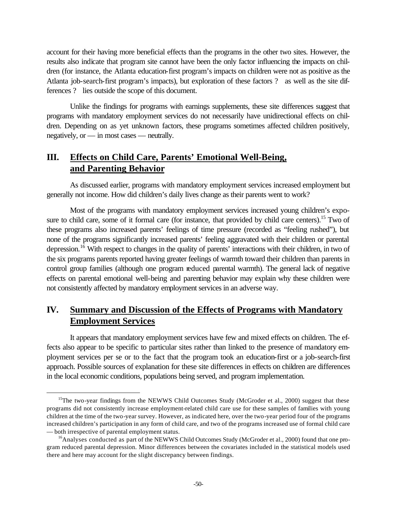account for their having more beneficial effects than the programs in the other two sites. However, the results also indicate that program site cannot have been the only factor influencing the impacts on children (for instance, the Atlanta education-first program's impacts on children were not as positive as the Atlanta job-search-first program's impacts), but exploration of these factors ? as well as the site differences ? lies outside the scope of this document.

Unlike the findings for programs with earnings supplements, these site differences suggest that programs with mandatory employment services do not necessarily have unidirectional effects on children. Depending on as yet unknown factors, these programs sometimes affected children positively, negatively, or — in most cases — neutrally.

# **III. Effects on Child Care, Parents' Emotional Well-Being, and Parenting Behavior**

As discussed earlier, programs with mandatory employment services increased employment but generally not income. How did children's daily lives change as their parents went to work?

Most of the programs with mandatory employment services increased young children's exposure to child care, some of it formal care (for instance, that provided by child care centers).<sup>15</sup> Two of these programs also increased parents' feelings of time pressure (recorded as "feeling rushed"), but none of the programs significantly increased parents' feeling aggravated with their children or parental depression.<sup>16</sup> With respect to changes in the quality of parents' interactions with their children, in two of the six programs parents reported having greater feelings of warmth toward their children than parents in control group families (although one program reduced parental warmth). The general lack of negative effects on parental emotional well-being and parenting behavior may explain why these children were not consistently affected by mandatory employment services in an adverse way.

# **IV. Summary and Discussion of the Effects of Programs with Mandatory Employment Services**

It appears that mandatory employment services have few and mixed effects on children. The effects also appear to be specific to particular sites rather than linked to the presence of mandatory employment services per se or to the fact that the program took an education-first or a job-search-first approach. Possible sources of explanation for these site differences in effects on children are differences in the local economic conditions, populations being served, and program implementation.

<sup>&</sup>lt;sup>15</sup>The two-year findings from the NEWWS Child Outcomes Study (McGroder et al., 2000) suggest that these programs did not consistently increase employment-related child care use for these samples of families with young children at the time of the two-year survey. However, as indicated here, over the two-year period four of the programs increased children's participation in any form of child care, and two of the programs increased use of formal child care — both irrespective of parental employment status.

 $16$ Analyses conducted as part of the NEWWS Child Outcomes Study (McGroder et al., 2000) found that one program reduced parental depression. Minor differences between the covariates included in the statistical models used there and here may account for the slight discrepancy between findings.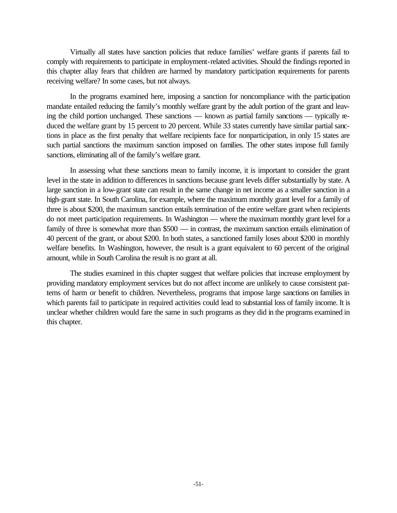Virtually all states have sanction policies that reduce families' welfare grants if parents fail to comply with requirements to participate in employment-related activities. Should the findings reported in this chapter allay fears that children are harmed by mandatory participation requirements for parents receiving welfare? In some cases, but not always.

In the programs examined here, imposing a sanction for noncompliance with the participation mandate entailed reducing the family's monthly welfare grant by the adult portion of the grant and leaving the child portion unchanged. These sanctions — known as partial family sanctions — typically reduced the welfare grant by 15 percent to 20 percent. While 33 states currently have similar partial sanctions in place as the first penalty that welfare recipients face for nonparticipation, in only 15 states are such partial sanctions the maximum sanction imposed on families. The other states impose full family sanctions, eliminating all of the family's welfare grant.

In assessing what these sanctions mean to family income, it is important to consider the grant level in the state in addition to differences in sanctions because grant levels differ substantially by state. A large sanction in a low-grant state can result in the same change in net income as a smaller sanction in a high-grant state. In South Carolina, for example, where the maximum monthly grant level for a family of three is about \$200, the maximum sanction entails termination of the entire welfare grant when recipients do not meet participation requirements. In Washington — where the maximum monthly grant level for a family of three is somewhat more than \$500 — in contrast, the maximum sanction entails elimination of 40 percent of the grant, or about \$200. In both states, a sanctioned family loses about \$200 in monthly welfare benefits. In Washington, however, the result is a grant equivalent to 60 percent of the original amount, while in South Carolina the result is no grant at all.

The studies examined in this chapter suggest that welfare policies that increase employment by providing mandatory employment services but do not affect income are unlikely to cause consistent patterns of harm or benefit to children. Nevertheless, programs that impose large sanctions on families in which parents fail to participate in required activities could lead to substantial loss of family income. It is unclear whether children would fare the same in such programs as they did in the programs examined in this chapter.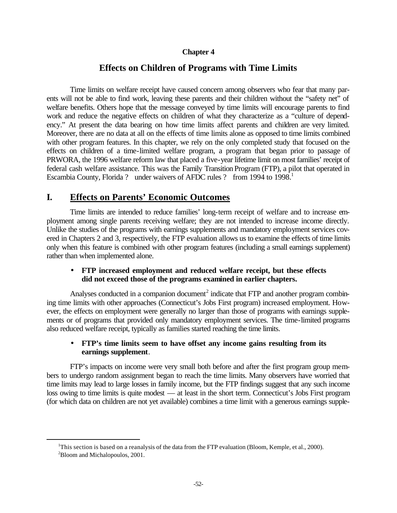### **Chapter 4**

## **Effects on Children of Programs with Time Limits**

Time limits on welfare receipt have caused concern among observers who fear that many parents will not be able to find work, leaving these parents and their children without the "safety net" of welfare benefits. Others hope that the message conveyed by time limits will encourage parents to find work and reduce the negative effects on children of what they characterize as a "culture of dependency." At present the data bearing on how time limits affect parents and children are very limited. Moreover, there are no data at all on the effects of time limits alone as opposed to time limits combined with other program features. In this chapter, we rely on the only completed study that focused on the effects on children of a time-limited welfare program, a program that began prior to passage of PRWORA, the 1996 welfare reform law that placed a five-year lifetime limit on most families' receipt of federal cash welfare assistance. This was the Family Transition Program (FTP), a pilot that operated in Escambia County, Florida ? under waivers of AFDC rules ? from 1994 to 1998.<sup>1</sup>

# **I. Effects on Parents' Economic Outcomes**

 $\overline{a}$ 

Time limits are intended to reduce families' long-term receipt of welfare and to increase employment among single parents receiving welfare; they are not intended to increase income directly. Unlike the studies of the programs with earnings supplements and mandatory employment services covered in Chapters 2 and 3, respectively, the FTP evaluation allows us to examine the effects of time limits only when this feature is combined with other program features (including a small earnings supplement) rather than when implemented alone.

### • **FTP increased employment and reduced welfare receipt, but these effects did not exceed those of the programs examined in earlier chapters.**

Analyses conducted in a companion document<sup>2</sup> indicate that FTP and another program combining time limits with other approaches (Connecticut's Jobs First program) increased employment. However, the effects on employment were generally no larger than those of programs with earnings supplements or of programs that provided only mandatory employment services. The time-limited programs also reduced welfare receipt, typically as families started reaching the time limits.

### • **FTP's time limits seem to have offset any income gains resulting from its earnings supplement**.

FTP's impacts on income were very small both before and after the first program group members to undergo random assignment began to reach the time limits. Many observers have worried that time limits may lead to large losses in family income, but the FTP findings suggest that any such income loss owing to time limits is quite modest — at least in the short term. Connecticut's Jobs First program (for which data on children are not yet available) combines a time limit with a generous earnings supple-

<sup>&</sup>lt;sup>1</sup>This section is based on a reanalysis of the data from the FTP evaluation (Bloom, Kemple, et al., 2000). <sup>2</sup>Bloom and Michalopoulos, 2001.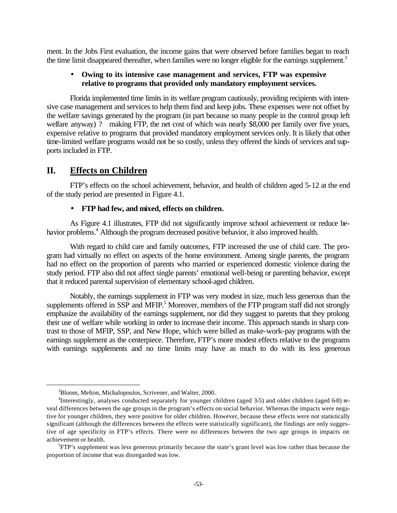ment. In the Jobs First evaluation, the income gains that were observed before families began to reach the time limit disappeared thereafter, when families were no longer eligible for the earnings supplement.<sup>3</sup>

### • **Owing to its intensive case management and services, FTP was expensive relative to programs that provided only mandatory employment services.**

Florida implemented time limits in its welfare program cautiously, providing recipients with intensive case management and services to help them find and keep jobs. These expenses were not offset by the welfare savings generated by the program (in part because so many people in the control group left welfare anyway) ? making FTP, the net cost of which was nearly \$8,000 per family over five years, expensive relative to programs that provided mandatory employment services only. It is likely that other time-limited welfare programs would not be so costly, unless they offered the kinds of services and supports included in FTP.

## **II. Effects on Children**

FTP's effects on the school achievement, behavior, and health of children aged 5-12 at the end of the study period are presented in Figure 4.1.

### • **FTP had few, and mixed, effects on children.**

As Figure 4.1 illustrates, FTP did not significantly improve school achievement or reduce behavior problems.<sup>4</sup> Although the program decreased positive behavior, it also improved health.

With regard to child care and family outcomes, FTP increased the use of child care. The program had virtually no effect on aspects of the home environment. Among single parents, the program had no effect on the proportion of parents who married or experienced domestic violence during the study period. FTP also did not affect single parents' emotional well-being or parenting behavior, except that it reduced parental supervision of elementary school-aged children.

Notably, the earnings supplement in FTP was very modest in size, much less generous than the supplements offered in SSP and MFIP.<sup>5</sup> Moreover, members of the FTP program staff did not strongly emphasize the availability of the earnings supplement, nor did they suggest to parents that they prolong their use of welfare while working in order to increase their income. This approach stands in sharp contrast to those of MFIP, SSP, and New Hope, which were billed as make-work-pay programs with the earnings supplement as the centerpiece. Therefore, FTP's more modest effects relative to the programs with earnings supplements and no time limits may have as much to do with its less generous

<sup>3</sup>Bloom, Melton, Michalopoulos, Scrivener, and Walter, 2000.

<sup>&</sup>lt;sup>4</sup>Interestingly, analyses conducted separately for younger children (aged 3-5) and older children (aged 6-8) reveal differences between the age groups in the program's effects on social behavior. Whereas the impacts were negative for younger children, they were positive for older children. However, because these effects were not statistically significant (although the differences between the effects were statistically significant), the findings are only suggestive of age specificity in FTP's effects. There were no differences between the two age groups in impacts on achievement or health.

<sup>&</sup>lt;sup>5</sup>FTP's supplement was less generous primarily because the state's grant level was low rather than because the proportion of income that was disregarded was low.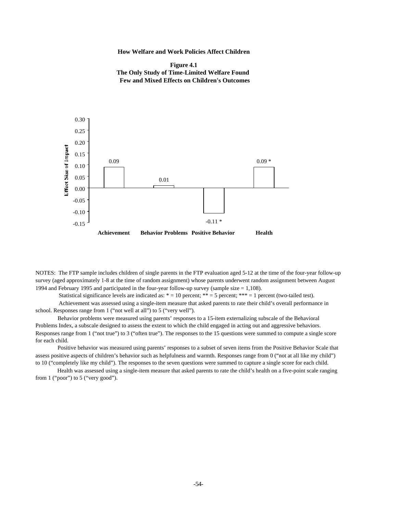



NOTES: The FTP sample includes children of single parents in the FTP evaluation aged 5-12 at the time of the four-year follow-up survey (aged approximately 1-8 at the time of random assignment) whose parents underwent random assignment between August 1994 and February 1995 and participated in the four-year follow-up survey (sample size = 1,108).

Statistical significance levels are indicated as:  $* = 10$  percent;  $** = 5$  percent;  $*** = 1$  percent (two-tailed test).

 Achievement was assessed using a single-item measure that asked parents to rate their child's overall performance in school. Responses range from 1 ("not well at all") to 5 ("very well").

 Behavior problems were measured using parents' responses to a 15-item externalizing subscale of the Behavioral Problems Index, a subscale designed to assess the extent to which the child engaged in acting out and aggressive behaviors. Responses range from 1 ("not true") to 3 ("often true"). The responses to the 15 questions were summed to compute a single score for each child.

 Positive behavior was measured using parents' responses to a subset of seven items from the Positive Behavior Scale that assess positive aspects of children's behavior such as helpfulness and warmth. Responses range from 0 ("not at all like my child") to 10 ("completely like my child"). The responses to the seven questions were summed to capture a single score for each child.

 Health was assessed using a single-item measure that asked parents to rate the child's health on a five-point scale ranging from 1 ("poor") to 5 ("very good").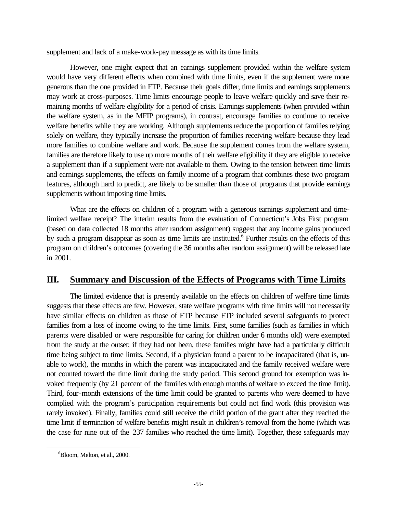supplement and lack of a make-work-pay message as with its time limits.

However, one might expect that an earnings supplement provided within the welfare system would have very different effects when combined with time limits, even if the supplement were more generous than the one provided in FTP. Because their goals differ, time limits and earnings supplements may work at cross-purposes. Time limits encourage people to leave welfare quickly and save their remaining months of welfare eligibility for a period of crisis. Earnings supplements (when provided within the welfare system, as in the MFIP programs), in contrast, encourage families to continue to receive welfare benefits while they are working. Although supplements reduce the proportion of families relying solely on welfare, they typically increase the proportion of families receiving welfare because they lead more families to combine welfare and work. Because the supplement comes from the welfare system, families are therefore likely to use up more months of their welfare eligibility if they are eligible to receive a supplement than if a supplement were not available to them. Owing to the tension between time limits and earnings supplements, the effects on family income of a program that combines these two program features, although hard to predict, are likely to be smaller than those of programs that provide earnings supplements without imposing time limits.

What are the effects on children of a program with a generous earnings supplement and timelimited welfare receipt? The interim results from the evaluation of Connecticut's Jobs First program (based on data collected 18 months after random assignment) suggest that any income gains produced by such a program disappear as soon as time limits are instituted.<sup>6</sup> Further results on the effects of this program on children's outcomes (covering the 36 months after random assignment) will be released late in 2001.

# **III. Summary and Discussion of the Effects of Programs with Time Limits**

The limited evidence that is presently available on the effects on children of welfare time limits suggests that these effects are few. However, state welfare programs with time limits will not necessarily have similar effects on children as those of FTP because FTP included several safeguards to protect families from a loss of income owing to the time limits. First, some families (such as families in which parents were disabled or were responsible for caring for children under 6 months old) were exempted from the study at the outset; if they had not been, these families might have had a particularly difficult time being subject to time limits. Second, if a physician found a parent to be incapacitated (that is, unable to work), the months in which the parent was incapacitated and the family received welfare were not counted toward the time limit during the study period. This second ground for exemption was invoked frequently (by 21 percent of the families with enough months of welfare to exceed the time limit). Third, four-month extensions of the time limit could be granted to parents who were deemed to have complied with the program's participation requirements but could not find work (this provision was rarely invoked). Finally, families could still receive the child portion of the grant after they reached the time limit if termination of welfare benefits might result in children's removal from the home (which was the case for nine out of the 237 families who reached the time limit). Together, these safeguards may

 ${}^{6}$ Bloom, Melton, et al., 2000.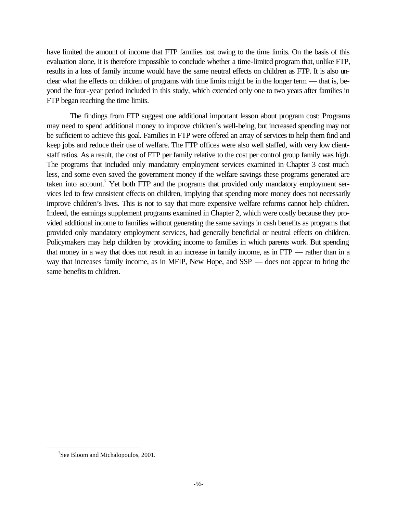have limited the amount of income that FTP families lost owing to the time limits. On the basis of this evaluation alone, it is therefore impossible to conclude whether a time-limited program that, unlike FTP, results in a loss of family income would have the same neutral effects on children as FTP. It is also unclear what the effects on children of programs with time limits might be in the longer term — that is, beyond the four-year period included in this study, which extended only one to two years after families in FTP began reaching the time limits.

The findings from FTP suggest one additional important lesson about program cost: Programs may need to spend additional money to improve children's well-being, but increased spending may not be sufficient to achieve this goal. Families in FTP were offered an array of services to help them find and keep jobs and reduce their use of welfare. The FTP offices were also well staffed, with very low clientstaff ratios. As a result, the cost of FTP per family relative to the cost per control group family was high. The programs that included only mandatory employment services examined in Chapter 3 cost much less, and some even saved the government money if the welfare savings these programs generated are taken into account.<sup>7</sup> Yet both FTP and the programs that provided only mandatory employment services led to few consistent effects on children, implying that spending more money does not necessarily improve children's lives. This is not to say that more expensive welfare reforms cannot help children. Indeed, the earnings supplement programs examined in Chapter 2, which were costly because they provided additional income to families without generating the same savings in cash benefits as programs that provided only mandatory employment services, had generally beneficial or neutral effects on children. Policymakers may help children by providing income to families in which parents work. But spending that money in a way that does not result in an increase in family income, as in FTP — rather than in a way that increases family income, as in MFIP, New Hope, and SSP — does not appear to bring the same benefits to children.

<sup>&</sup>lt;sup>7</sup>See Bloom and Michalopoulos, 2001.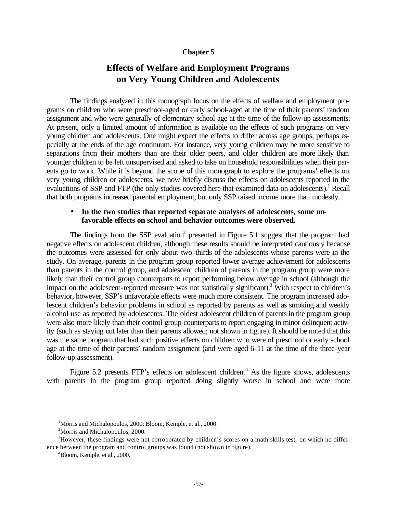### **Chapter 5**

# **Effects of Welfare and Employment Programs on Very Young Children and Adolescents**

The findings analyzed in this monograph focus on the effects of welfare and employment programs on children who were preschool-aged or early school-aged at the time of their parents' random assignment and who were generally of elementary school age at the time of the follow-up assessments. At present, only a limited amount of information is available on the effects of such programs on very young children and adolescents. One might expect the effects to differ across age groups, perhaps especially at the ends of the age continuum. For instance, very young children may be more sensitive to separations from their mothers than are their older peers, and older children are more likely than younger children to be left unsupervised and asked to take on household responsibilities when their parents go to work. While it is beyond the scope of this monograph to explore the programs' effects on very young children or adolescents, we now briefly discuss the effects on adolescents reported in the evaluations of SSP and FTP (the only studies covered here that examined data on adolescents).<sup>1</sup> Recall that both programs increased parental employment, but only SSP raised income more than modestly.

## • **In the two studies that reported separate analyses of adolescents, some unfavorable effects on school and behavior outcomes were observed.**

The findings from the SSP evaluation<sup>2</sup> presented in Figure 5.1 suggest that the program had negative effects on adolescent children, although these results should be interpreted cautiously because the outcomes were assessed for only about two-thirds of the adolescents whose parents were in the study. On average, parents in the program group reported lower average achievement for adolescents than parents in the control group, and adolescent children of parents in the program group were more likely than their control group counterparts to report performing below average in school (although the impact on the adolescent-reported measure was not statistically significant).<sup>3</sup> With respect to children's behavior, however, SSP's unfavorable effects were much more consistent. The program increased adolescent children's behavior problems in school as reported by parents as well as smoking and weekly alcohol use as reported by adolescents. The oldest adolescent children of parents in the program group were also more likely than their control group counterparts to report engaging in minor delinquent activity (such as staying out later than their parents allowed; not shown in figure). It should be noted that this was the same program that had such positive effects on children who were of preschool or early school age at the time of their parents' random assignment (and were aged 6-11 at the time of the three-year follow-up assessment).

Figure 5.2 presents FTP's effects on adolescent children.<sup>4</sup> As the figure shows, adolescents with parents in the program group reported doing slightly worse in school and were more

 $\overline{a}$ 

<sup>&</sup>lt;sup>1</sup>Morris and Michalopoulos, 2000; Bloom, Kemple, et al., 2000.

<sup>&</sup>lt;sup>2</sup>Morris and Michalopoulos, 2000.

<sup>&</sup>lt;sup>3</sup>However, these findings were not corroborated by children's scores on a math skills test, on which no difference between the program and control groups was found (not shown in figure).

<sup>4</sup>Bloom, Kemple, et al., 2000.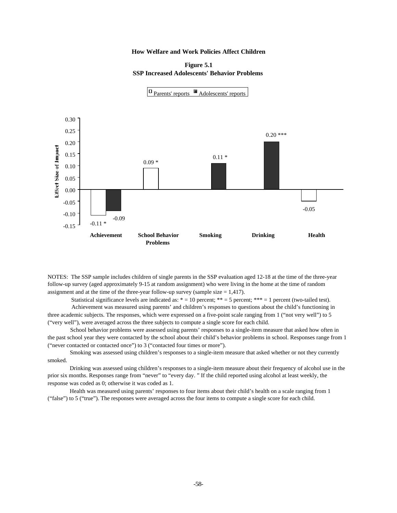**Figure 5.1 SSP Increased Adolescents' Behavior Problems** 



NOTES: The SSP sample includes children of single parents in the SSP evaluation aged 12-18 at the time of the three-year follow-up survey (aged approximately 9-15 at random assignment) who were living in the home at the time of random assignment and at the time of the three-year follow-up survey (sample size  $= 1,417$ ).

Statistical significance levels are indicated as:  $* = 10$  percent;  $** = 5$  percent;  $*** = 1$  percent (two-tailed test).

 Achievement was measured using parents' and children's responses to questions about the child's functioning in three academic subjects. The responses, which were expressed on a five-point scale ranging from 1 ("not very well") to 5 ("very well"), were averaged across the three subjects to compute a single score for each child.

 School behavior problems were assessed using parents' responses to a single-item measure that asked how often in the past school year they were contacted by the school about their child's behavior problems in school. Responses range from 1 ("never contacted or contacted once") to 3 ("contacted four times or more").

 Smoking was assessed using children's responses to a single-item measure that asked whether or not they currently smoked.

 Drinking was assessed using children's responses to a single-item measure about their frequency of alcohol use in the prior six months. Responses range from "never" to "every day. " If the child reported using alcohol at least weekly, the response was coded as 0; otherwise it was coded as 1.

 Health was measured using parents' responses to four items about their child's health on a scale ranging from 1 ("false") to 5 ("true"). The responses were averaged across the four items to compute a single score for each child.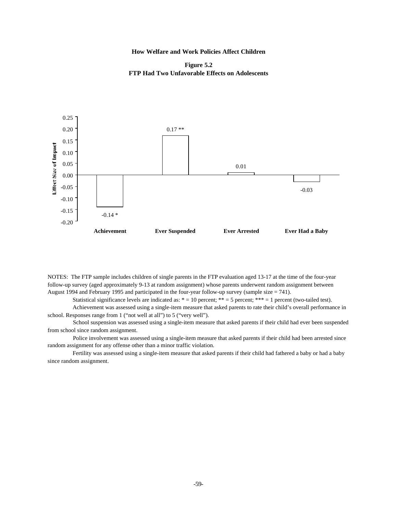**Figure 5.2 FTP Had Two Unfavorable Effects on Adolescents**



NOTES: The FTP sample includes children of single parents in the FTP evaluation aged 13-17 at the time of the four-year follow-up survey (aged approximately 9-13 at random assignment) whose parents underwent random assignment between August 1994 and February 1995 and participated in the four-year follow-up survey (sample size = 741).

Statistical significance levels are indicated as:  $* = 10$  percent;  $** = 5$  percent;  $*** = 1$  percent (two-tailed test).

 Achievement was assessed using a single-item measure that asked parents to rate their child's overall performance in school. Responses range from 1 ("not well at all") to 5 ("very well").

 School suspension was assessed using a single-item measure that asked parents if their child had ever been suspended from school since random assignment.

 Police involvement was assessed using a single-item measure that asked parents if their child had been arrested since random assignment for any offense other than a minor traffic violation.

 Fertility was assessed using a single-item measure that asked parents if their child had fathered a baby or had a baby since random assignment.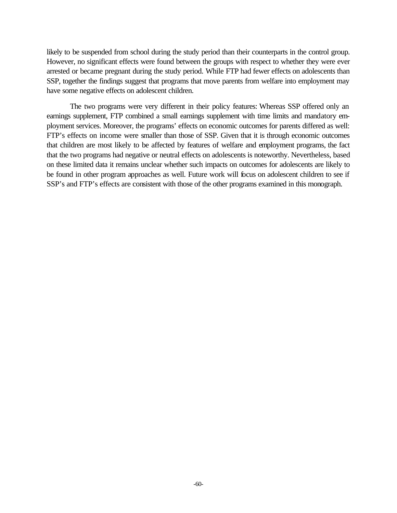likely to be suspended from school during the study period than their counterparts in the control group. However, no significant effects were found between the groups with respect to whether they were ever arrested or became pregnant during the study period. While FTP had fewer effects on adolescents than SSP, together the findings suggest that programs that move parents from welfare into employment may have some negative effects on adolescent children.

The two programs were very different in their policy features: Whereas SSP offered only an earnings supplement, FTP combined a small earnings supplement with time limits and mandatory employment services. Moreover, the programs' effects on economic outcomes for parents differed as well: FTP's effects on income were smaller than those of SSP. Given that it is through economic outcomes that children are most likely to be affected by features of welfare and employment programs, the fact that the two programs had negative or neutral effects on adolescents is noteworthy. Nevertheless, based on these limited data it remains unclear whether such impacts on outcomes for adolescents are likely to be found in other program approaches as well. Future work will focus on adolescent children to see if SSP's and FTP's effects are consistent with those of the other programs examined in this monograph.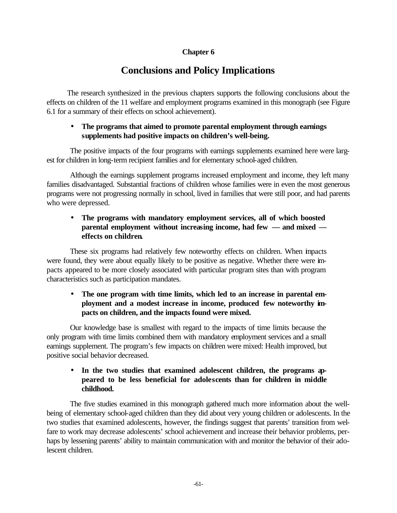# **Chapter 6**

# **Conclusions and Policy Implications**

The research synthesized in the previous chapters supports the following conclusions about the effects on children of the 11 welfare and employment programs examined in this monograph (see Figure 6.1 for a summary of their effects on school achievement).

## • **The programs that aimed to promote parental employment through earnings supplements had positive impacts on children's well-being.**

The positive impacts of the four programs with earnings supplements examined here were largest for children in long-term recipient families and for elementary school-aged children.

Although the earnings supplement programs increased employment and income, they left many families disadvantaged. Substantial fractions of children whose families were in even the most generous programs were not progressing normally in school, lived in families that were still poor, and had parents who were depressed.

# • **The programs with mandatory employment services, all of which boosted parental employment without increasing income, had few — and mixed effects on children.**

These six programs had relatively few noteworthy effects on children. When impacts were found, they were about equally likely to be positive as negative. Whether there were impacts appeared to be more closely associated with particular program sites than with program characteristics such as participation mandates.

# • **The one program with time limits, which led to an increase in parental employment and a modest increase in income, produced few noteworthy impacts on children, and the impacts found were mixed.**

Our knowledge base is smallest with regard to the impacts of time limits because the only program with time limits combined them with mandatory employment services and a small earnings supplement. The program's few impacts on children were mixed: Health improved, but positive social behavior decreased.

# • **In the two studies that examined adolescent children, the programs appeared to be less beneficial for adolescents than for children in middle childhood.**

The five studies examined in this monograph gathered much more information about the wellbeing of elementary school-aged children than they did about very young children or adolescents. In the two studies that examined adolescents, however, the findings suggest that parents' transition from welfare to work may decrease adolescents' school achievement and increase their behavior problems, perhaps by lessening parents' ability to maintain communication with and monitor the behavior of their adolescent children.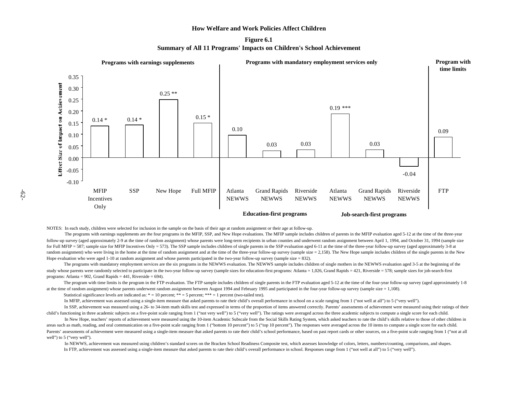**Figure 6.1 Summary of All 11 Programs' Impacts on Children's School Achievement**



NOTES: In each study, children were selected for inclusion in the sample on the basis of their age at random assignment or their age at follow-up.

The programs with earnings supplements are the four programs in the MFIP, SSP, and New Hope evaluations. The MFIP sample includes children of parents in the MFIP evaluation aged 5-12 at the time of the three-year follow-up survey (aged approximately 2-9 at the time of random assignment) whose parents were long-term recipients in urban counties and underwent random assignment between April 1, 1994, and October 31, 1994 (sample size for Full MFIP = 587; sample size for MFIP Incentives Only = 573). The SSP sample includes children of single parents in the SSP evaluation aged 6-11 at the time of the three-year follow-up survey (aged approximately 3-8 at random assignment) who were living in the home at the time of random assignment and at the time of the three-year follow-up survey (sample size = 2,158). The New Hope sample includes children of the single parents in the N Hope evaluation who were aged 1-10 at random assignment and whose parents participated in the two-year follow-up survey (sample size = 832).

The programs with mandatory employment services are the six programs in the NEWWS evaluation. The NEWWS sample includes children of single mothers in the NEWWS evaluation aged 3-5 at the beginning of the study whose parents were randomly selected to participate in the two-year follow-up survey (sample sizes for education-first programs: Atlanta = 1,026, Grand Rapids = 421, Riverside = 578; sample sizes for job-search-first programs: Atlanta = 902, Grand Rapids =  $441$ , Riverside = 694).

The program with time limits is the program in the FTP evaluation. The FTP sample includes children of single parents in the FTP evaluation aged 5-12 at the time of the four-year follow-up survey (aged approximately 1-8) at the time of random assignment) whose parents underwent random assignment between August 1994 and February 1995 and participated in the four-year follow-up survey (sample size = 1,108).

Statistical significance levels are indicated as:  $* = 10$  percent;  $** = 5$  percent;  $*** = 1$  percent (two-tailed test).

In MFIP, achievement was assessed using a single-item measure that asked parents to rate their child's overall performance in school on a scale ranging from 1 ("not well at all") to 5 ("very well").

 In SSP, achievement was measured using a 26- to 34-item math skills test and expressed in terms of the proportion of items answered correctly. Parents' assessments of achievement were measured using their ratings of their child's functioning in three academic subjects on a five-point scale ranging from 1 ("not very well") to 5 ("very well"). The ratings were averaged across the three academic subjects to compute a single score for each chil

In New Hope, teachers' reports of achievement were measured using the 10-item Academic Subscale from the Social Skills Rating System, which asked teachers to rate the child's skills relative to those of other children in areas such as math, reading, and oral communication on a five-point scale ranging from 1 ("bottom 10 percent") to 5 ("top 10 percent"). The responses were averaged across the 10 items to compute a single score for each chi Parents' assessments of achievement were measured using a single-item measure that asked parents to rate their child's school performance, based on past report cards or other sources, on a five-point scale ranging from 1 ( well") to 5 ("very well").

 In NEWWS, achievement was measured using children's standard scores on the Bracken School Readiness Composite test, which assesses knowledge of colors, letters, numbers/counting, comparisons, and shapes. In FTP, achievement was assessed using a single-item measure that asked parents to rate their child's overall performance in school. Responses range from 1 ("not well at all") to 5 ("very well").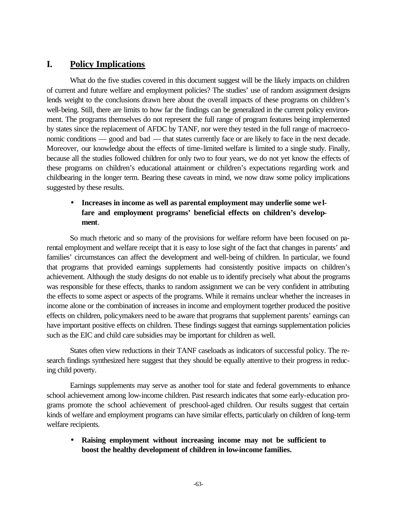# **I. Policy Implications**

What do the five studies covered in this document suggest will be the likely impacts on children of current and future welfare and employment policies? The studies' use of random assignment designs lends weight to the conclusions drawn here about the overall impacts of these programs on children's well-being. Still, there are limits to how far the findings can be generalized in the current policy environment. The programs themselves do not represent the full range of program features being implemented by states since the replacement of AFDC by TANF, nor were they tested in the full range of macroeconomic conditions — good and bad — that states currently face or are likely to face in the next decade. Moreover, our knowledge about the effects of time-limited welfare is limited to a single study. Finally, because all the studies followed children for only two to four years, we do not yet know the effects of these programs on children's educational attainment or children's expectations regarding work and childbearing in the longer term. Bearing these caveats in mind, we now draw some policy implications suggested by these results.

# • **Increases in income as well as parental employment may underlie some welfare and employment programs' beneficial effects on children's development**.

So much rhetoric and so many of the provisions for welfare reform have been focused on parental employment and welfare receipt that it is easy to lose sight of the fact that changes in parents' and families' circumstances can affect the development and well-being of children. In particular, we found that programs that provided earnings supplements had consistently positive impacts on children's achievement. Although the study designs do not enable us to identify precisely what about the programs was responsible for these effects, thanks to random assignment we can be very confident in attributing the effects to some aspect or aspects of the programs. While it remains unclear whether the increases in income alone or the combination of increases in income and employment together produced the positive effects on children, policymakers need to be aware that programs that supplement parents' earnings can have important positive effects on children. These findings suggest that earnings supplementation policies such as the EIC and child care subsidies may be important for children as well.

States often view reductions in their TANF caseloads as indicators of successful policy. The research findings synthesized here suggest that they should be equally attentive to their progress in reducing child poverty.

Earnings supplements may serve as another tool for state and federal governments to enhance school achievement among low-income children. Past research indicates that some early-education programs promote the school achievement of preschool-aged children. Our results suggest that certain kinds of welfare and employment programs can have similar effects, particularly on children of long-term welfare recipients.

• **Raising employment without increasing income may not be sufficient to boost the healthy development of children in low-income families.**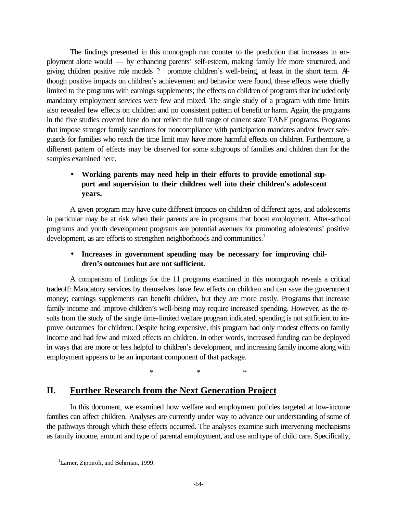The findings presented in this monograph run counter to the prediction that increases in employment alone would — by enhancing parents' self-esteem, making family life more structured, and giving children positive role models ? promote children's well-being, at least in the short term. Although positive impacts on children's achievement and behavior were found, these effects were chiefly limited to the programs with earnings supplements; the effects on children of programs that included only mandatory employment services were few and mixed. The single study of a program with time limits also revealed few effects on children and no consistent pattern of benefit or harm. Again, the programs in the five studies covered here do not reflect the full range of current state TANF programs. Programs that impose stronger family sanctions for noncompliance with participation mandates and/or fewer safeguards for families who reach the time limit may have more harmful effects on children. Furthermore, a different pattern of effects may be observed for some subgroups of families and children than for the samples examined here.

# • **Working parents may need help in their efforts to provide emotional support and supervision to their children well into their children's adolescent years.**

A given program may have quite different impacts on children of different ages, and adolescents in particular may be at risk when their parents are in programs that boost employment. After-school programs and youth development programs are potential avenues for promoting adolescents' positive development, as are efforts to strengthen neighborhoods and communities.<sup>1</sup>

# • **Increases in government spending may be necessary for improving children's outcomes but are not sufficient.**

A comparison of findings for the 11 programs examined in this monograph reveals a critical tradeoff: Mandatory services by themselves have few effects on children and can save the government money; earnings supplements can benefit children, but they are more costly. Programs that increase family income and improve children's well-being may require increased spending. However, as the results from the study of the single time-limited welfare program indicated, spending is not sufficient to improve outcomes for children: Despite being expensive, this program had only modest effects on family income and had few and mixed effects on children. In other words, increased funding can be deployed in ways that are more or less helpful to children's development, and increasing family income along with employment appears to be an important component of that package.

\* \* \*

# **II. Further Research from the Next Generation Project**

In this document, we examined how welfare and employment policies targeted at low-income families can affect children. Analyses are currently under way to advance our understanding of some of the pathways through which these effects occurred. The analyses examine such intervening mechanisms as family income, amount and type of parental employment, and use and type of child care. Specifically,

 $\overline{a}$ 

<sup>&</sup>lt;sup>1</sup>Larner, Zippiroli, and Behrman, 1999.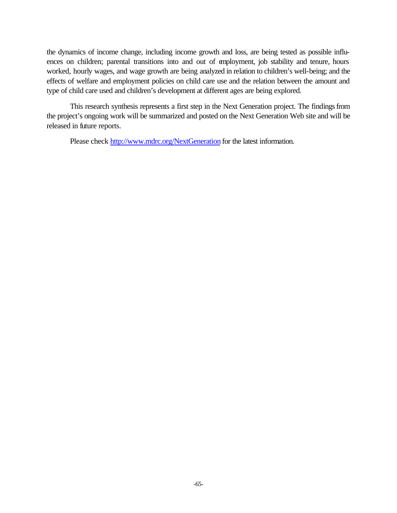the dynamics of income change, including income growth and loss, are being tested as possible influences on children; parental transitions into and out of employment, job stability and tenure, hours worked, hourly wages, and wage growth are being analyzed in relation to children's well-being; and the effects of welfare and employment policies on child care use and the relation between the amount and type of child care used and children's development at different ages are being explored.

This research synthesis represents a first step in the Next Generation project. The findings from the project's ongoing work will be summarized and posted on the Next Generation Web site and will be released in future reports.

Please check http://www.mdrc.org/NextGeneration for the latest information.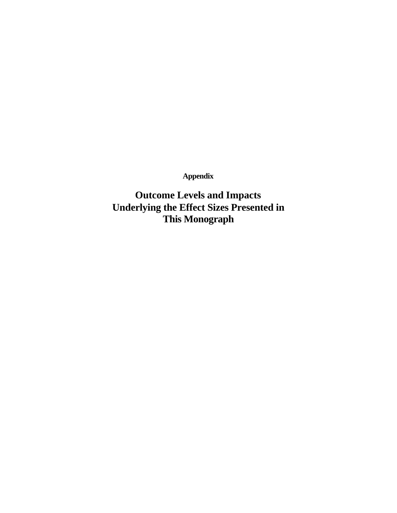**Appendix**

**Outcome Levels and Impacts Underlying the Effect Sizes Presented in This Monograph**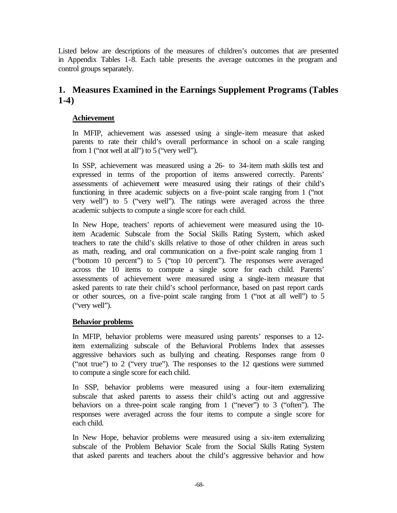Listed below are descriptions of the measures of children's outcomes that are presented in Appendix Tables 1-8. Each table presents the average outcomes in the program and control groups separately.

# **1. Measures Examined in the Earnings Supplement Programs (Tables 1-4)**

## **Achievement**

In MFIP, achievement was assessed using a single-item measure that asked parents to rate their child's overall performance in school on a scale ranging from 1 ("not well at all") to 5 ("very well").

In SSP, achievement was measured using a 26- to 34-item math skills test and expressed in terms of the proportion of items answered correctly. Parents' assessments of achievement were measured using their ratings of their child's functioning in three academic subjects on a five-point scale ranging from 1 ("not very well") to 5 ("very well"). The ratings were averaged across the three academic subjects to compute a single score for each child.

In New Hope, teachers' reports of achievement were measured using the 10 item Academic Subscale from the Social Skills Rating System, which asked teachers to rate the child's skills relative to those of other children in areas such as math, reading, and oral communication on a five-point scale ranging from 1 ("bottom 10 percent") to 5 ("top 10 percent"). The responses were averaged across the 10 items to compute a single score for each child. Parents' assessments of achievement were measured using a single-item measure that asked parents to rate their child's school performance, based on past report cards or other sources, on a five-point scale ranging from 1 ("not at all well") to 5 ("very well").

## **Behavior problems**

In MFIP, behavior problems were measured using parents' responses to a 12 item externalizing subscale of the Behavioral Problems Index that assesses aggressive behaviors such as bullying and cheating. Responses range from 0 ("not true") to 2 ("very true"). The responses to the 12 questions were summed to compute a single score for each child.

In SSP, behavior problems were measured using a four-item externalizing subscale that asked parents to assess their child's acting out and aggressive behaviors on a three-point scale ranging from 1 ("never") to 3 ("often"). The responses were averaged across the four items to compute a single score for each child.

In New Hope, behavior problems were measured using a six-item externalizing subscale of the Problem Behavior Scale from the Social Skills Rating System that asked parents and teachers about the child's aggressive behavior and how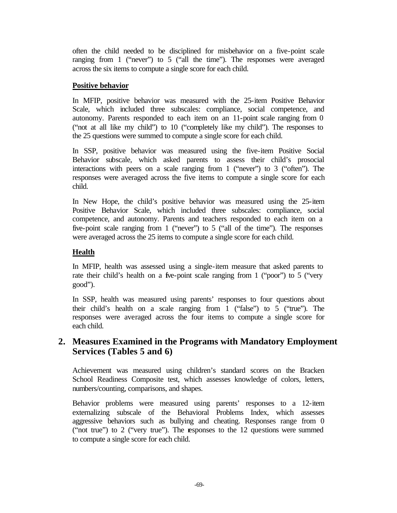often the child needed to be disciplined for misbehavior on a five-point scale ranging from 1 ("never") to 5 ("all the time"). The responses were averaged across the six items to compute a single score for each child.

## **Positive behavior**

In MFIP, positive behavior was measured with the 25-item Positive Behavior Scale, which included three subscales: compliance, social competence, and autonomy. Parents responded to each item on an 11-point scale ranging from 0 ("not at all like my child") to 10 ("completely like my child"). The responses to the 25 questions were summed to compute a single score for each child.

In SSP, positive behavior was measured using the five-item Positive Social Behavior subscale, which asked parents to assess their child's prosocial interactions with peers on a scale ranging from 1 ("never") to 3 ("often"). The responses were averaged across the five items to compute a single score for each child.

In New Hope, the child's positive behavior was measured using the 25-item Positive Behavior Scale, which included three subscales: compliance, social competence, and autonomy. Parents and teachers responded to each item on a five-point scale ranging from 1 ("never") to 5 ("all of the time"). The responses were averaged across the 25 items to compute a single score for each child.

# **Health**

In MFIP, health was assessed using a single-item measure that asked parents to rate their child's health on a five-point scale ranging from 1 ("poor") to 5 ("very good").

In SSP, health was measured using parents' responses to four questions about their child's health on a scale ranging from 1 ("false") to 5 ("true"). The responses were averaged across the four items to compute a single score for each child.

# **2. Measures Examined in the Programs with Mandatory Employment Services (Tables 5 and 6)**

Achievement was measured using children's standard scores on the Bracken School Readiness Composite test, which assesses knowledge of colors, letters, numbers/counting, comparisons, and shapes.

Behavior problems were measured using parents' responses to a 12-item externalizing subscale of the Behavioral Problems Index, which assesses aggressive behaviors such as bullying and cheating. Responses range from 0 ("not true") to 2 ("very true"). The responses to the 12 questions were summed to compute a single score for each child.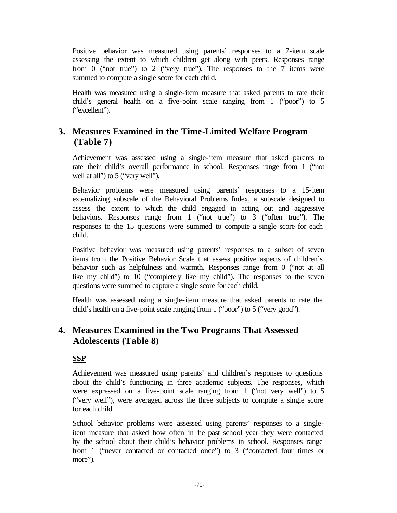Positive behavior was measured using parents' responses to a 7-item scale assessing the extent to which children get along with peers. Responses range from 0 ("not true") to 2 ("very true"). The responses to the 7 items were summed to compute a single score for each child.

Health was measured using a single-item measure that asked parents to rate their child's general health on a five-point scale ranging from 1 ("poor") to 5 ("excellent").

# **3. Measures Examined in the Time-Limited Welfare Program (Table 7)**

Achievement was assessed using a single-item measure that asked parents to rate their child's overall performance in school. Responses range from 1 ("not well at all" to 5 ("very well").

Behavior problems were measured using parents' responses to a 15-item externalizing subscale of the Behavioral Problems Index, a subscale designed to assess the extent to which the child engaged in acting out and aggressive behaviors. Responses range from 1 ("not true") to 3 ("often true"). The responses to the 15 questions were summed to compute a single score for each child.

Positive behavior was measured using parents' responses to a subset of seven items from the Positive Behavior Scale that assess positive aspects of children's behavior such as helpfulness and warmth. Responses range from 0 ("not at all like my child") to 10 ("completely like my child"). The responses to the seven questions were summed to capture a single score for each child.

Health was assessed using a single-item measure that asked parents to rate the child's health on a five-point scale ranging from 1 ("poor") to 5 ("very good").

# **4. Measures Examined in the Two Programs That Assessed Adolescents (Table 8)**

# **SSP**

Achievement was measured using parents' and children's responses to questions about the child's functioning in three academic subjects. The responses, which were expressed on a five-point scale ranging from 1 ("not very well") to 5 ("very well"), were averaged across the three subjects to compute a single score for each child.

School behavior problems were assessed using parents' responses to a singleitem measure that asked how often in the past school year they were contacted by the school about their child's behavior problems in school. Responses range from 1 ("never contacted or contacted once") to 3 ("contacted four times or more").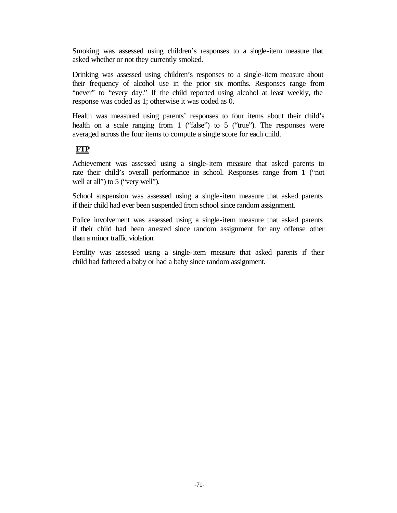Smoking was assessed using children's responses to a single-item measure that asked whether or not they currently smoked.

Drinking was assessed using children's responses to a single-item measure about their frequency of alcohol use in the prior six months. Responses range from "never" to "every day." If the child reported using alcohol at least weekly, the response was coded as 1; otherwise it was coded as 0.

Health was measured using parents' responses to four items about their child's health on a scale ranging from 1 ("false") to 5 ("true"). The responses were averaged across the four items to compute a single score for each child.

# **FTP**

Achievement was assessed using a single-item measure that asked parents to rate their child's overall performance in school. Responses range from 1 ("not well at all") to 5 ("very well").

School suspension was assessed using a single-item measure that asked parents if their child had ever been suspended from school since random assignment.

Police involvement was assessed using a single-item measure that asked parents if their child had been arrested since random assignment for any offense other than a minor traffic violation.

Fertility was assessed using a single-item measure that asked parents if their child had fathered a baby or had a baby since random assignment.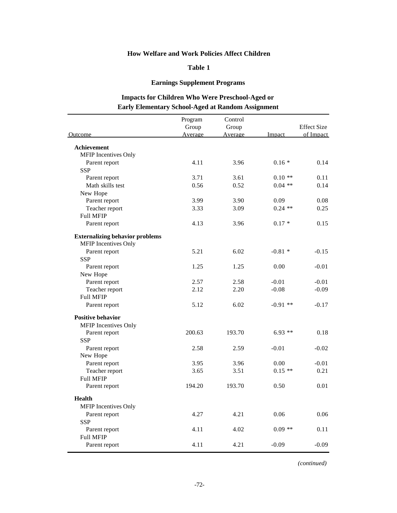### **Table 1**

## **Earnings Supplement Programs**

# **Impacts for Children Who Were Preschool-Aged or Early Elementary School-Aged at Random Assignment**

|                                        | Program        | Control |            |                    |
|----------------------------------------|----------------|---------|------------|--------------------|
|                                        | Group          | Group   |            | <b>Effect Size</b> |
| Outcome                                | <b>Average</b> | Average | Impact     | of Impact          |
| Achievement                            |                |         |            |                    |
| MFIP Incentives Only                   |                |         |            |                    |
| Parent report                          | 4.11           | 3.96    | $0.16*$    | 0.14               |
| <b>SSP</b>                             |                |         |            |                    |
| Parent report                          | 3.71           | 3.61    | $0.10**$   | 0.11               |
| Math skills test                       | 0.56           | 0.52    | $0.04$ **  | 0.14               |
| New Hope                               |                |         |            |                    |
| Parent report                          | 3.99           | 3.90    | 0.09       | 0.08               |
| Teacher report                         | 3.33           | 3.09    | $0.24$ **  | 0.25               |
| <b>Full MFIP</b>                       |                |         |            |                    |
| Parent report                          | 4.13           | 3.96    | $0.17 *$   | 0.15               |
| <b>Externalizing behavior problems</b> |                |         |            |                    |
| <b>MFIP</b> Incentives Only            |                |         |            |                    |
| Parent report                          | 5.21           | 6.02    | $-0.81*$   | $-0.15$            |
| <b>SSP</b>                             |                |         |            |                    |
| Parent report                          | 1.25           | 1.25    | 0.00       | $-0.01$            |
| New Hope                               |                |         |            |                    |
| Parent report                          | 2.57           | 2.58    | $-0.01$    | $-0.01$            |
| Teacher report                         | 2.12           | 2.20    | $-0.08$    | $-0.09$            |
| <b>Full MFIP</b>                       |                |         |            |                    |
| Parent report                          | 5.12           | 6.02    | $-0.91$ ** | $-0.17$            |
| <b>Positive behavior</b>               |                |         |            |                    |
| MFIP Incentives Only                   |                |         |            |                    |
| Parent report                          | 200.63         | 193.70  | $6.93**$   | 0.18               |
| <b>SSP</b>                             |                |         |            |                    |
| Parent report                          | 2.58           | 2.59    | $-0.01$    | $-0.02$            |
| New Hope                               |                |         |            |                    |
| Parent report                          | 3.95           | 3.96    | 0.00       | $-0.01$            |
| Teacher report                         | 3.65           | 3.51    | $0.15**$   | 0.21               |
| <b>Full MFIP</b>                       |                |         |            |                    |
| Parent report                          | 194.20         | 193.70  | 0.50       | 0.01               |
| <b>Health</b>                          |                |         |            |                    |
| <b>MFIP</b> Incentives Only            |                |         |            |                    |
| Parent report                          | 4.27           | 4.21    | 0.06       | 0.06               |
| <b>SSP</b>                             |                |         |            |                    |
| Parent report                          | 4.11           | 4.02    | $0.09**$   | 0.11               |
| <b>Full MFIP</b>                       |                |         |            |                    |
| Parent report                          | 4.11           | 4.21    | $-0.09$    | $-0.09$            |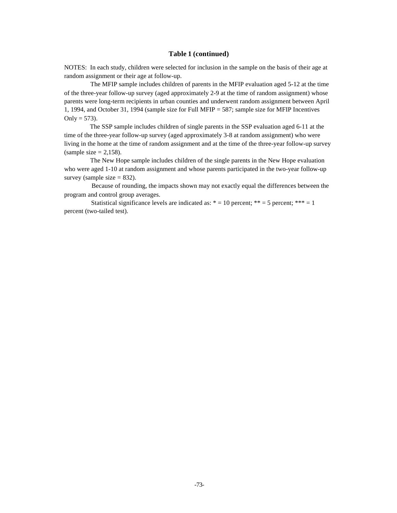#### **Table 1 (continued)**

NOTES: In each study, children were selected for inclusion in the sample on the basis of their age at random assignment or their age at follow-up.

 The MFIP sample includes children of parents in the MFIP evaluation aged 5-12 at the time of the three-year follow-up survey (aged approximately 2-9 at the time of random assignment) whose parents were long-term recipients in urban counties and underwent random assignment between April 1, 1994, and October 31, 1994 (sample size for Full MFIP = 587; sample size for MFIP Incentives Only =  $573$ ).

 The SSP sample includes children of single parents in the SSP evaluation aged 6-11 at the time of the three-year follow-up survey (aged approximately 3-8 at random assignment) who were living in the home at the time of random assignment and at the time of the three-year follow-up survey (sample size  $= 2,158$ ).

 The New Hope sample includes children of the single parents in the New Hope evaluation who were aged 1-10 at random assignment and whose parents participated in the two-year follow-up survey (sample size  $= 832$ ).

 Because of rounding, the impacts shown may not exactly equal the differences between the program and control group averages.

Statistical significance levels are indicated as:  $* = 10$  percent;  $** = 5$  percent;  $*** = 1$ percent (two-tailed test).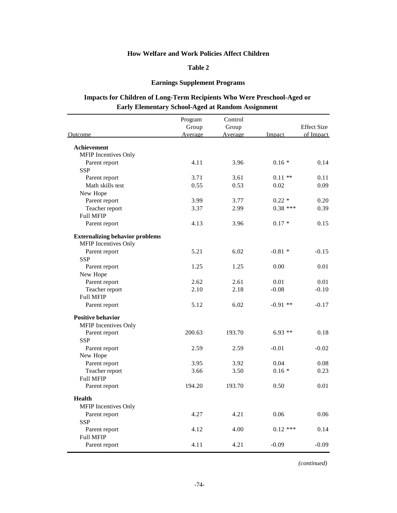### **Table 2**

## **Earnings Supplement Programs**

# **Impacts for Children of Long-Term Recipients Who Were Preschool-Aged or Early Elementary School-Aged at Random Assignment**

|                                                                       | Program | Control |            |                    |
|-----------------------------------------------------------------------|---------|---------|------------|--------------------|
|                                                                       | Group   | Group   |            | <b>Effect Size</b> |
| Outcome                                                               | Average | Average | Impact     | of Impact          |
| Achievement                                                           |         |         |            |                    |
| MFIP Incentives Only                                                  |         |         |            |                    |
| Parent report                                                         | 4.11    | 3.96    | $0.16*$    | 0.14               |
| <b>SSP</b>                                                            |         |         |            |                    |
| Parent report                                                         | 3.71    | 3.61    | $0.11$ **  | 0.11               |
| Math skills test                                                      | 0.55    | 0.53    | 0.02       | 0.09               |
| New Hope                                                              |         |         |            |                    |
| Parent report                                                         | 3.99    | 3.77    | $0.22 *$   | 0.20               |
| Teacher report                                                        | 3.37    | 2.99    | $0.38$ *** | 0.39               |
| <b>Full MFIP</b>                                                      |         |         |            |                    |
| Parent report                                                         | 4.13    | 3.96    | $0.17*$    | 0.15               |
| <b>Externalizing behavior problems</b><br><b>MFIP</b> Incentives Only |         |         |            |                    |
| Parent report                                                         | 5.21    | 6.02    | $-0.81*$   | $-0.15$            |
| <b>SSP</b>                                                            |         |         |            |                    |
| Parent report                                                         | 1.25    | 1.25    | 0.00       | 0.01               |
| New Hope                                                              |         |         |            |                    |
| Parent report                                                         | 2.62    | 2.61    | 0.01       | 0.01               |
| Teacher report                                                        | 2.10    | 2.18    | $-0.08$    | $-0.10$            |
| <b>Full MFIP</b>                                                      |         |         |            |                    |
| Parent report                                                         | 5.12    | 6.02    | $-0.91$ ** | $-0.17$            |
| <b>Positive behavior</b>                                              |         |         |            |                    |
| <b>MFIP</b> Incentives Only                                           |         |         |            |                    |
| Parent report                                                         | 200.63  | 193.70  | $6.93**$   | 0.18               |
| <b>SSP</b>                                                            |         |         |            |                    |
| Parent report                                                         | 2.59    | 2.59    | $-0.01$    | $-0.02$            |
| New Hope                                                              |         |         |            |                    |
| Parent report                                                         | 3.95    | 3.92    | 0.04       | 0.08               |
| Teacher report                                                        | 3.66    | 3.50    | $0.16*$    | 0.23               |
| <b>Full MFIP</b>                                                      |         |         |            |                    |
| Parent report                                                         | 194.20  | 193.70  | 0.50       | 0.01               |
| <b>Health</b>                                                         |         |         |            |                    |
| MFIP Incentives Only                                                  |         |         |            |                    |
| Parent report                                                         | 4.27    | 4.21    | 0.06       | 0.06               |
| <b>SSP</b>                                                            |         |         |            |                    |
| Parent report                                                         | 4.12    | 4.00    | $0.12$ *** | 0.14               |
| <b>Full MFIP</b>                                                      | 4.11    | 4.21    |            |                    |
| Parent report                                                         |         |         | $-0.09$    | $-0.09$            |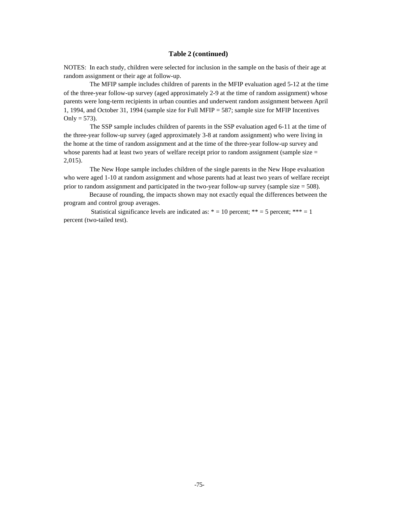#### **Table 2 (continued)**

NOTES: In each study, children were selected for inclusion in the sample on the basis of their age at random assignment or their age at follow-up.

 The MFIP sample includes children of parents in the MFIP evaluation aged 5-12 at the time of the three-year follow-up survey (aged approximately 2-9 at the time of random assignment) whose parents were long-term recipients in urban counties and underwent random assignment between April 1, 1994, and October 31, 1994 (sample size for Full MFIP = 587; sample size for MFIP Incentives Only =  $573$ ).

 The SSP sample includes children of parents in the SSP evaluation aged 6-11 at the time of the three-year follow-up survey (aged approximately 3-8 at random assignment) who were living in the home at the time of random assignment and at the time of the three-year follow-up survey and whose parents had at least two years of welfare receipt prior to random assignment (sample size  $=$ 2,015).

 The New Hope sample includes children of the single parents in the New Hope evaluation who were aged 1-10 at random assignment and whose parents had at least two years of welfare receipt prior to random assignment and participated in the two-year follow-up survey (sample size  $= 508$ ).

 Because of rounding, the impacts shown may not exactly equal the differences between the program and control group averages.

Statistical significance levels are indicated as:  $* = 10$  percent;  $** = 5$  percent;  $*** = 1$ percent (two-tailed test).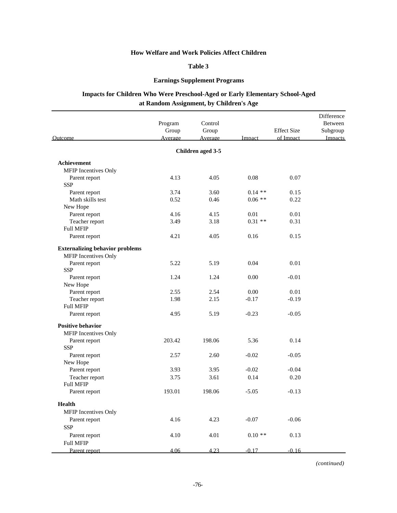### **Table 3**

## **Earnings Supplement Programs**

# **Impacts for Children Who Were Preschool-Aged or Early Elementary School-Aged at Random Assignment, by Children's Age**

| Outcome                                | Program<br>Group<br>Average | Control<br>Group<br>Average | Impact   | <b>Effect Size</b><br>of Impact | Difference<br>Between<br>Subgroup<br>Impacts |
|----------------------------------------|-----------------------------|-----------------------------|----------|---------------------------------|----------------------------------------------|
|                                        |                             | Children aged 3-5           |          |                                 |                                              |
| Achievement                            |                             |                             |          |                                 |                                              |
| MFIP Incentives Only                   |                             |                             |          |                                 |                                              |
| Parent report                          | 4.13                        | 4.05                        | 0.08     | 0.07                            |                                              |
| <b>SSP</b>                             |                             |                             |          |                                 |                                              |
| Parent report                          | 3.74                        | 3.60                        | $0.14**$ | 0.15                            |                                              |
| Math skills test                       | 0.52                        | 0.46                        | $0.06**$ | 0.22                            |                                              |
| New Hope                               |                             |                             |          |                                 |                                              |
| Parent report                          | 4.16                        | 4.15                        | 0.01     | 0.01                            |                                              |
| Teacher report                         | 3.49                        | 3.18                        | $0.31**$ | 0.31                            |                                              |
| <b>Full MFIP</b>                       |                             |                             |          |                                 |                                              |
| Parent report                          | 4.21                        | 4.05                        | 0.16     | 0.15                            |                                              |
| <b>Externalizing behavior problems</b> |                             |                             |          |                                 |                                              |
| <b>MFIP</b> Incentives Only            |                             |                             |          |                                 |                                              |
| Parent report                          | 5.22                        | 5.19                        | 0.04     | 0.01                            |                                              |
| <b>SSP</b>                             |                             |                             |          |                                 |                                              |
| Parent report                          | 1.24                        | 1.24                        | 0.00     | $-0.01$                         |                                              |
| New Hope                               |                             |                             |          |                                 |                                              |
| Parent report                          | 2.55                        | 2.54                        | 0.00     | 0.01                            |                                              |
| Teacher report                         | 1.98                        | 2.15                        | $-0.17$  | $-0.19$                         |                                              |
| <b>Full MFIP</b>                       |                             |                             |          |                                 |                                              |
| Parent report                          | 4.95                        | 5.19                        | $-0.23$  | $-0.05$                         |                                              |
| <b>Positive behavior</b>               |                             |                             |          |                                 |                                              |
| <b>MFIP</b> Incentives Only            |                             |                             |          |                                 |                                              |
| Parent report                          | 203.42                      | 198.06                      | 5.36     | 0.14                            |                                              |
| <b>SSP</b>                             |                             |                             |          |                                 |                                              |
| Parent report                          | 2.57                        | 2.60                        | $-0.02$  | $-0.05$                         |                                              |
| New Hope                               |                             |                             |          |                                 |                                              |
| Parent report                          | 3.93                        | 3.95                        | $-0.02$  | $-0.04$                         |                                              |
| Teacher report                         | 3.75                        | 3.61                        | 0.14     | 0.20                            |                                              |
| <b>Full MFIP</b>                       |                             |                             |          |                                 |                                              |
| Parent report                          | 193.01                      | 198.06                      | $-5.05$  | $-0.13$                         |                                              |
| <b>Health</b>                          |                             |                             |          |                                 |                                              |
| MFIP Incentives Only                   |                             |                             |          |                                 |                                              |
| Parent report                          | 4.16                        | 4.23                        | $-0.07$  | $-0.06$                         |                                              |
| <b>SSP</b>                             |                             |                             |          |                                 |                                              |
| Parent report                          | 4.10                        | 4.01                        | $0.10**$ | 0.13                            |                                              |
| <b>Full MFIP</b>                       |                             |                             |          |                                 |                                              |
| Parent report                          | 4.06                        | 4.23                        | $-0.17$  | $-0.16$                         |                                              |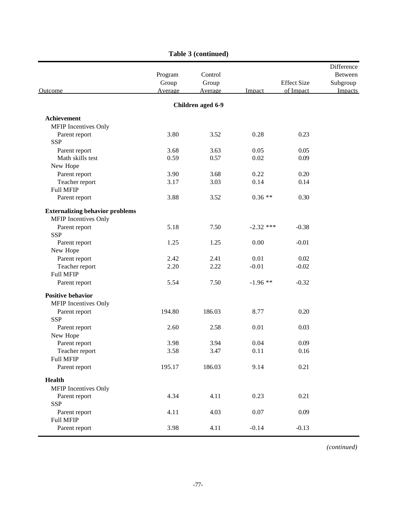| Outcome                                                        | Program<br>Group<br>Average | Control<br>Group<br><b>Average</b> | Impact      | <b>Effect Size</b><br>of Impact | Difference<br>Between<br>Subgroup<br><b>Impacts</b> |
|----------------------------------------------------------------|-----------------------------|------------------------------------|-------------|---------------------------------|-----------------------------------------------------|
|                                                                |                             | Children aged 6-9                  |             |                                 |                                                     |
| Achievement                                                    |                             |                                    |             |                                 |                                                     |
| MFIP Incentives Only                                           |                             |                                    |             |                                 |                                                     |
| Parent report                                                  | 3.80                        | 3.52                               | 0.28        | 0.23                            |                                                     |
| <b>SSP</b>                                                     |                             |                                    |             |                                 |                                                     |
| Parent report                                                  | 3.68                        | 3.63                               | 0.05        | 0.05                            |                                                     |
| Math skills test                                               | 0.59                        | 0.57                               | 0.02        | 0.09                            |                                                     |
| New Hope                                                       |                             |                                    |             |                                 |                                                     |
| Parent report                                                  | 3.90                        | 3.68                               | 0.22        | 0.20                            |                                                     |
| Teacher report                                                 | 3.17                        | 3.03                               | 0.14        | 0.14                            |                                                     |
| <b>Full MFIP</b>                                               |                             |                                    |             |                                 |                                                     |
| Parent report                                                  | 3.88                        | 3.52                               | $0.36**$    | 0.30                            |                                                     |
| <b>Externalizing behavior problems</b><br>MFIP Incentives Only |                             |                                    |             |                                 |                                                     |
| Parent report                                                  | 5.18                        | 7.50                               | $-2.32$ *** | $-0.38$                         |                                                     |
| <b>SSP</b>                                                     |                             |                                    |             |                                 |                                                     |
| Parent report                                                  | 1.25                        | 1.25                               | 0.00        | $-0.01$                         |                                                     |
| New Hope                                                       |                             |                                    |             |                                 |                                                     |
| Parent report                                                  | 2.42                        | 2.41                               | 0.01        | 0.02                            |                                                     |
| Teacher report                                                 | 2.20                        | 2.22                               | $-0.01$     | $-0.02$                         |                                                     |
| <b>Full MFIP</b>                                               |                             |                                    |             |                                 |                                                     |
| Parent report                                                  | 5.54                        | 7.50                               | $-1.96$ **  | $-0.32$                         |                                                     |
| <b>Positive behavior</b>                                       |                             |                                    |             |                                 |                                                     |
| MFIP Incentives Only                                           |                             |                                    |             |                                 |                                                     |
| Parent report                                                  | 194.80                      | 186.03                             | 8.77        | 0.20                            |                                                     |
| <b>SSP</b>                                                     |                             |                                    |             |                                 |                                                     |
| Parent report                                                  | 2.60                        | 2.58                               | 0.01        | 0.03                            |                                                     |
| New Hope                                                       |                             |                                    |             |                                 |                                                     |
| Parent report                                                  | 3.98                        | 3.94                               | 0.04        | 0.09                            |                                                     |
| Teacher report                                                 | 3.58                        | 3.47                               | 0.11        | $0.16\,$                        |                                                     |
| <b>Full MFIP</b>                                               |                             |                                    |             |                                 |                                                     |
| Parent report                                                  | 195.17                      | 186.03                             | 9.14        | 0.21                            |                                                     |
| <b>Health</b>                                                  |                             |                                    |             |                                 |                                                     |
| MFIP Incentives Only                                           |                             |                                    |             |                                 |                                                     |
| Parent report                                                  | 4.34                        | 4.11                               | 0.23        | 0.21                            |                                                     |
| <b>SSP</b>                                                     |                             |                                    |             |                                 |                                                     |
| Parent report                                                  | 4.11                        | 4.03                               | $0.07\,$    | 0.09                            |                                                     |
| <b>Full MFIP</b>                                               |                             |                                    |             |                                 |                                                     |
| Parent report                                                  | 3.98                        | 4.11                               | $-0.14$     | $-0.13$                         |                                                     |

# **Table 3 (continued)**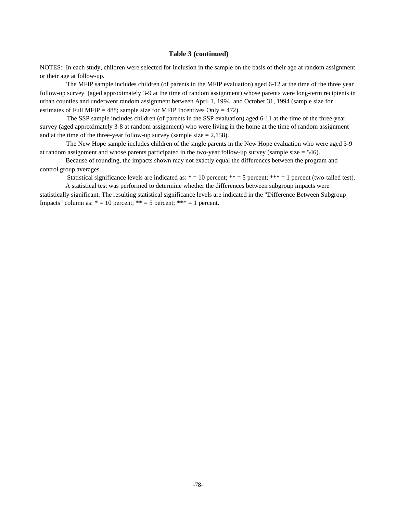#### **Table 3 (continued)**

NOTES: In each study, children were selected for inclusion in the sample on the basis of their age at random assignment or their age at follow-up.

 The MFIP sample includes children (of parents in the MFIP evaluation) aged 6-12 at the time of the three year follow-up survey (aged approximately 3-9 at the time of random assignment) whose parents were long-term recipients in urban counties and underwent random assignment between April 1, 1994, and October 31, 1994 (sample size for estimates of Full MFIP = 488; sample size for MFIP Incentives Only = 472).

 The SSP sample includes children (of parents in the SSP evaluation) aged 6-11 at the time of the three-year survey (aged approximately 3-8 at random assignment) who were living in the home at the time of random assignment and at the time of the three-year follow-up survey (sample size  $= 2,158$ ).

 The New Hope sample includes children of the single parents in the New Hope evaluation who were aged 3-9 at random assignment and whose parents participated in the two-year follow-up survey (sample size  $= 546$ ).

 Because of rounding, the impacts shown may not exactly equal the differences between the program and control group averages.

Statistical significance levels are indicated as:  $* = 10$  percent;  $** = 5$  percent;  $*** = 1$  percent (two-tailed test).

 A statistical test was performed to determine whether the differences between subgroup impacts were statistically significant. The resulting statistical significance levels are indicated in the "Difference Between Subgroup Impacts" column as:  $* = 10$  percent;  $** = 5$  percent;  $*** = 1$  percent.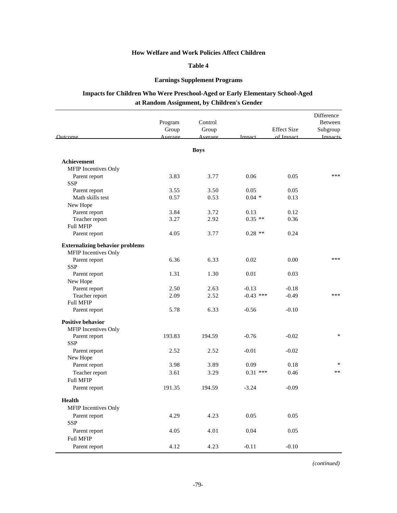### **Table 4**

### **Earnings Supplement Programs**

# **Impacts for Children Who Were Preschool-Aged or Early Elementary School-Aged at Random Assignment, by Children's Gender**

| Outcome                                | Program<br>Group<br>Average | Control<br>Group<br>Average | Impact      | <b>Effect Size</b><br>of Impact | Difference<br>Between<br>Subgroup<br><b>Impacts</b> |
|----------------------------------------|-----------------------------|-----------------------------|-------------|---------------------------------|-----------------------------------------------------|
|                                        |                             | <b>Boys</b>                 |             |                                 |                                                     |
| Achievement                            |                             |                             |             |                                 |                                                     |
| MFIP Incentives Only                   |                             |                             |             |                                 |                                                     |
| Parent report                          | 3.83                        | 3.77                        | 0.06        | 0.05                            | ***                                                 |
| <b>SSP</b>                             |                             |                             |             |                                 |                                                     |
| Parent report                          | 3.55                        | 3.50                        | 0.05        | 0.05                            |                                                     |
| Math skills test                       | 0.57                        | 0.53                        | $0.04*$     | 0.13                            |                                                     |
| New Hope                               |                             |                             |             |                                 |                                                     |
| Parent report                          | 3.84                        | 3.72                        | 0.13        | 0.12                            |                                                     |
| Teacher report                         | 3.27                        | 2.92                        | $0.35$ **   | 0.36                            |                                                     |
| <b>Full MFIP</b>                       |                             |                             |             |                                 |                                                     |
| Parent report                          | 4.05                        | 3.77                        | $0.28$ **   | 0.24                            |                                                     |
| <b>Externalizing behavior problems</b> |                             |                             |             |                                 |                                                     |
| MFIP Incentives Only                   |                             |                             |             |                                 |                                                     |
| Parent report                          | 6.36                        | 6.33                        | 0.02        | 0.00                            | ***                                                 |
| <b>SSP</b>                             |                             |                             |             |                                 |                                                     |
| Parent report                          | 1.31                        | 1.30                        | 0.01        | 0.03                            |                                                     |
| New Hope                               |                             |                             |             |                                 |                                                     |
| Parent report                          | 2.50                        | 2.63                        | $-0.13$     | $-0.18$                         |                                                     |
| Teacher report<br><b>Full MFIP</b>     | 2.09                        | 2.52                        | $-0.43$ *** | $-0.49$                         | ***                                                 |
| Parent report                          | 5.78                        | 6.33                        | $-0.56$     | $-0.10$                         |                                                     |
| <b>Positive behavior</b>               |                             |                             |             |                                 |                                                     |
| MFIP Incentives Only                   |                             |                             |             |                                 |                                                     |
| Parent report                          | 193.83                      | 194.59                      | $-0.76$     | $-0.02$                         | $\ast$                                              |
| <b>SSP</b>                             |                             |                             |             |                                 |                                                     |
| Parent report                          | 2.52                        | 2.52                        | $-0.01$     | $-0.02$                         |                                                     |
| New Hope                               |                             |                             |             |                                 |                                                     |
| Parent report                          | 3.98                        | 3.89                        | 0.09        | 0.18                            | $\ast$                                              |
| Teacher report                         | 3.61                        | 3.29                        | $0.31$ ***  | 0.46                            | $**$                                                |
| <b>Full MFIP</b>                       |                             |                             |             |                                 |                                                     |
| Parent report                          | 191.35                      | 194.59                      | $-3.24$     | $-0.09$                         |                                                     |
| Health                                 |                             |                             |             |                                 |                                                     |
| <b>MFIP</b> Incentives Only            |                             |                             |             |                                 |                                                     |
| Parent report                          | 4.29                        | 4.23                        | 0.05        | 0.05                            |                                                     |
| <b>SSP</b>                             |                             |                             |             |                                 |                                                     |
| Parent report                          | 4.05                        | 4.01                        | 0.04        | 0.05                            |                                                     |
| <b>Full MFIP</b>                       |                             |                             |             |                                 |                                                     |
| Parent report                          | 4.12                        | 4.23                        | $-0.11$     | $-0.10$                         |                                                     |
|                                        |                             |                             |             |                                 |                                                     |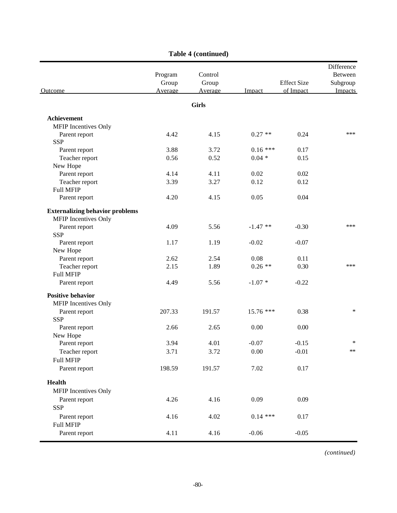| Outcome                                                        | Program<br>Group<br>Average | Control<br>Group<br>Average | Impact     | <b>Effect Size</b><br>of Impact | Difference<br>Between<br>Subgroup<br>Impacts |
|----------------------------------------------------------------|-----------------------------|-----------------------------|------------|---------------------------------|----------------------------------------------|
|                                                                |                             | <b>Girls</b>                |            |                                 |                                              |
| Achievement                                                    |                             |                             |            |                                 |                                              |
| MFIP Incentives Only                                           |                             |                             |            |                                 |                                              |
| Parent report                                                  | 4.42                        | 4.15                        | $0.27**$   | 0.24                            | ***                                          |
| <b>SSP</b>                                                     |                             |                             |            |                                 |                                              |
| Parent report                                                  | 3.88                        | 3.72                        | $0.16***$  | 0.17                            |                                              |
| Teacher report                                                 | 0.56                        | 0.52                        | $0.04 *$   | 0.15                            |                                              |
| New Hope                                                       |                             |                             |            |                                 |                                              |
| Parent report                                                  | 4.14                        | 4.11                        | 0.02       | 0.02                            |                                              |
| Teacher report                                                 | 3.39                        | 3.27                        | 0.12       | 0.12                            |                                              |
| Full MFIP                                                      |                             |                             |            |                                 |                                              |
| Parent report                                                  | 4.20                        | 4.15                        | 0.05       | 0.04                            |                                              |
| <b>Externalizing behavior problems</b><br>MFIP Incentives Only |                             |                             |            |                                 |                                              |
| Parent report                                                  | 4.09                        | 5.56                        | $-1.47**$  | $-0.30$                         | ***                                          |
| <b>SSP</b>                                                     |                             |                             |            |                                 |                                              |
| Parent report                                                  | 1.17                        | 1.19                        | $-0.02$    | $-0.07$                         |                                              |
| New Hope                                                       |                             |                             |            |                                 |                                              |
| Parent report                                                  | 2.62                        | 2.54                        | 0.08       | 0.11                            |                                              |
| Teacher report                                                 | 2.15                        | 1.89                        | $0.26**$   | 0.30                            | ***                                          |
| Full MFIP                                                      |                             |                             |            |                                 |                                              |
| Parent report                                                  | 4.49                        | 5.56                        | $-1.07*$   | $-0.22$                         |                                              |
| <b>Positive behavior</b><br>MFIP Incentives Only               |                             |                             |            |                                 |                                              |
| Parent report                                                  | 207.33                      | 191.57                      | 15.76 ***  | 0.38                            | ∗                                            |
| <b>SSP</b>                                                     |                             |                             |            |                                 |                                              |
| Parent report                                                  | 2.66                        | 2.65                        | 0.00       | 0.00                            |                                              |
| New Hope                                                       |                             |                             |            |                                 |                                              |
| Parent report                                                  | 3.94                        | 4.01                        | $-0.07$    | $-0.15$                         | ∗                                            |
| Teacher report                                                 | 3.71                        | 3.72                        | 0.00       | $-0.01$                         | **                                           |
| <b>Full MFIP</b>                                               |                             |                             |            |                                 |                                              |
| Parent report                                                  | 198.59                      | 191.57                      | 7.02       | 0.17                            |                                              |
| <b>Health</b>                                                  |                             |                             |            |                                 |                                              |
| MFIP Incentives Only                                           |                             |                             |            |                                 |                                              |
|                                                                |                             |                             |            |                                 |                                              |
| Parent report                                                  | 4.26                        | 4.16                        | 0.09       | 0.09                            |                                              |
| <b>SSP</b>                                                     |                             |                             |            |                                 |                                              |
| Parent report                                                  | 4.16                        | 4.02                        | $0.14$ *** | 0.17                            |                                              |
| Full MFIP                                                      |                             |                             |            |                                 |                                              |
| Parent report                                                  | 4.11                        | 4.16                        | $-0.06$    | $-0.05$                         |                                              |

# **Table 4 (continued)**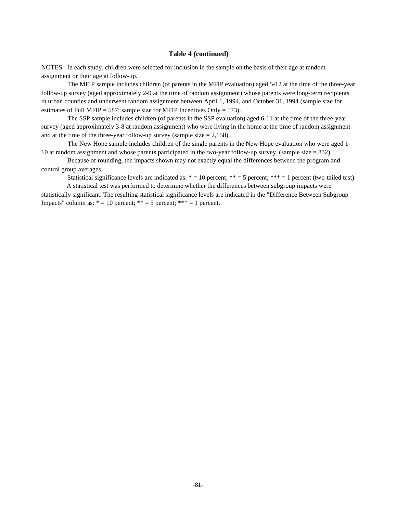#### **Table 4 (continued)**

NOTES: In each study, children were selected for inclusion in the sample on the basis of their age at random assignment or their age at follow-up.

 The MFIP sample includes children (of parents in the MFIP evaluation) aged 5-12 at the time of the three-year follow-up survey (aged approximately 2-9 at the time of random assignment) whose parents were long-term recipients in urban counties and underwent random assignment between April 1, 1994, and October 31, 1994 (sample size for estimates of Full MFIP = 587; sample size for MFIP Incentives Only = 573).

 The SSP sample includes children (of parents in the SSP evaluation) aged 6-11 at the time of the three-year survey (aged approximately 3-8 at random assignment) who were living in the home at the time of random assignment and at the time of the three-year follow-up survey (sample size  $= 2,158$ ).

 The New Hope sample includes children of the single parents in the New Hope evaluation who were aged 1- 10 at random assignment and whose parents participated in the two-year follow-up survey (sample size  $= 832$ ).

 Because of rounding, the impacts shown may not exactly equal the differences between the program and control group averages.

Statistical significance levels are indicated as:  $* = 10$  percent;  $** = 5$  percent;  $*** = 1$  percent (two-tailed test).

 A statistical test was performed to determine whether the differences between subgroup impacts were statistically significant. The resulting statistical significance levels are indicated in the "Difference Between Subgroup Impacts" column as:  $* = 10$  percent;  $** = 5$  percent;  $*** = 1$  percent.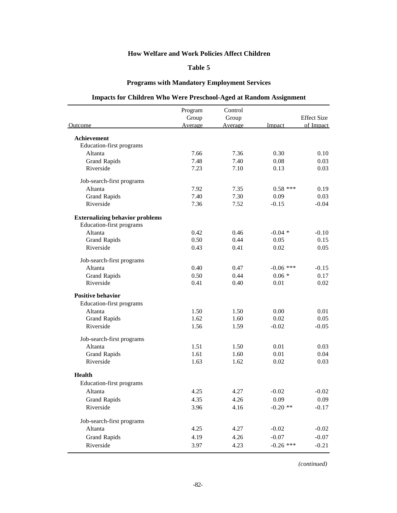## **Table 5**

## **Programs with Mandatory Employment Services**

# **Impacts for Children Who Were Preschool-Aged at Random Assignment**

|                                        | Program | Control |             |                    |
|----------------------------------------|---------|---------|-------------|--------------------|
|                                        | Group   | Group   |             | <b>Effect Size</b> |
| Outcome                                | Average | Average | Impact      | of Impact          |
| <b>Achievement</b>                     |         |         |             |                    |
| Education-first programs               |         |         |             |                    |
| Altanta                                | 7.66    | 7.36    | 0.30        | 0.10               |
| <b>Grand Rapids</b>                    | 7.48    | 7.40    | 0.08        | 0.03               |
| Riverside                              | 7.23    | 7.10    | 0.13        | 0.03               |
| Job-search-first programs              |         |         |             |                    |
| Altanta                                | 7.92    | 7.35    | $0.58$ ***  | 0.19               |
| <b>Grand Rapids</b>                    | 7.40    | 7.30    | 0.09        | 0.03               |
| Riverside                              | 7.36    | 7.52    | $-0.15$     | $-0.04$            |
| <b>Externalizing behavior problems</b> |         |         |             |                    |
| Education-first programs               |         |         |             |                    |
| Altanta                                | 0.42    | 0.46    | $-0.04$ *   | $-0.10$            |
| <b>Grand Rapids</b>                    | 0.50    | 0.44    | 0.05        | 0.15               |
| Riverside                              | 0.43    | 0.41    | 0.02        | 0.05               |
| Job-search-first programs              |         |         |             |                    |
| Altanta                                | 0.40    | 0.47    | $-0.06$ *** | $-0.15$            |
| <b>Grand Rapids</b>                    | 0.50    | 0.44    | $0.06*$     | 0.17               |
| Riverside                              | 0.41    | 0.40    | 0.01        | 0.02               |
| <b>Positive behavior</b>               |         |         |             |                    |
| Education-first programs               |         |         |             |                    |
| Altanta                                | 1.50    | 1.50    | 0.00        | 0.01               |
| <b>Grand Rapids</b>                    | 1.62    | 1.60    | 0.02        | 0.05               |
| Riverside                              | 1.56    | 1.59    | $-0.02$     | $-0.05$            |
| Job-search-first programs              |         |         |             |                    |
| Altanta                                | 1.51    | 1.50    | 0.01        | 0.03               |
| <b>Grand Rapids</b>                    | 1.61    | 1.60    | 0.01        | 0.04               |
| Riverside                              | 1.63    | 1.62    | 0.02        | 0.03               |
| Health                                 |         |         |             |                    |
| Education-first programs               |         |         |             |                    |
| Altanta                                | 4.25    | 4.27    | $-0.02$     | $-0.02$            |
| <b>Grand Rapids</b>                    | 4.35    | 4.26    | 0.09        | 0.09               |
| Riverside                              | 3.96    | 4.16    | $-0.20$ **  | $-0.17$            |
| Job-search-first programs              |         |         |             |                    |
| Altanta                                | 4.25    | 4.27    | $-0.02$     | $-0.02$            |
| <b>Grand Rapids</b>                    | 4.19    | 4.26    | $-0.07$     | $-0.07$            |
| Riverside                              | 3.97    | 4.23    | $-0.26$ *** | $-0.21$            |
|                                        |         |         |             |                    |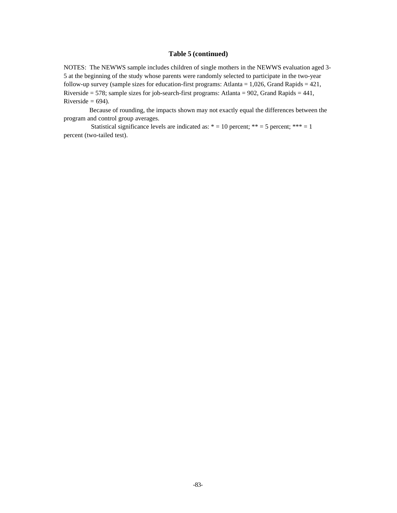#### **Table 5 (continued)**

NOTES: The NEWWS sample includes children of single mothers in the NEWWS evaluation aged 3- 5 at the beginning of the study whose parents were randomly selected to participate in the two-year follow-up survey (sample sizes for education-first programs: Atlanta = 1,026, Grand Rapids = 421, Riverside = 578; sample sizes for job-search-first programs: Atlanta = 902, Grand Rapids = 441, Riverside  $= 694$ ).

 Because of rounding, the impacts shown may not exactly equal the differences between the program and control group averages.

Statistical significance levels are indicated as:  $* = 10$  percent;  $** = 5$  percent; \*\*\* = 1 percent (two-tailed test).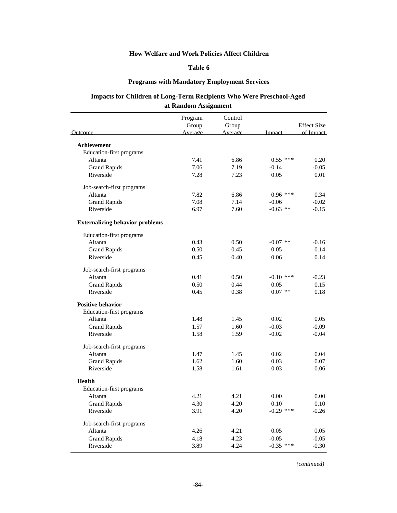## **Table 6**

## **Programs with Mandatory Employment Services**

## **Impacts for Children of Long-Term Recipients Who Were Preschool-Aged at Random Assignment**

|                                        | Program | Control |             |                    |
|----------------------------------------|---------|---------|-------------|--------------------|
|                                        | Group   | Group   |             | <b>Effect Size</b> |
| Outcome                                | Average | Average | Impact      | of Impact          |
| Achievement                            |         |         |             |                    |
| Education-first programs               |         |         |             |                    |
| Altanta                                | 7.41    | 6.86    | $0.55$ ***  | 0.20               |
| <b>Grand Rapids</b>                    | 7.06    | 7.19    | $-0.14$     | $-0.05$            |
| Riverside                              | 7.28    | 7.23    | 0.05        | 0.01               |
| Job-search-first programs              |         |         |             |                    |
| Altanta                                | 7.82    | 6.86    | $0.96$ ***  | 0.34               |
| <b>Grand Rapids</b>                    | 7.08    | 7.14    | $-0.06$     | $-0.02$            |
| Riverside                              | 6.97    | 7.60    | $-0.63$ **  | $-0.15$            |
| <b>Externalizing behavior problems</b> |         |         |             |                    |
| Education-first programs               |         |         |             |                    |
| Altanta                                | 0.43    | 0.50    | $-0.07$ **  | $-0.16$            |
| <b>Grand Rapids</b>                    | 0.50    | 0.45    | 0.05        | 0.14               |
| Riverside                              | 0.45    | 0.40    | 0.06        | 0.14               |
| Job-search-first programs              |         |         |             |                    |
| Altanta                                | 0.41    | 0.50    | $-0.10$ *** | $-0.23$            |
| <b>Grand Rapids</b>                    | 0.50    | 0.44    | 0.05        | 0.15               |
| Riverside                              | 0.45    | 0.38    | $0.07$ **   | 0.18               |
| Positive behavior                      |         |         |             |                    |
| Education-first programs               |         |         |             |                    |
| Altanta                                | 1.48    | 1.45    | 0.02        | 0.05               |
| <b>Grand Rapids</b>                    | 1.57    | 1.60    | $-0.03$     | $-0.09$            |
| Riverside                              | 1.58    | 1.59    | $-0.02$     | $-0.04$            |
| Job-search-first programs              |         |         |             |                    |
| Altanta                                | 1.47    | 1.45    | 0.02        | 0.04               |
| <b>Grand Rapids</b>                    | 1.62    | 1.60    | 0.03        | 0.07               |
| Riverside                              | 1.58    | 1.61    | $-0.03$     | $-0.06$            |
| <b>Health</b>                          |         |         |             |                    |
| <b>Education-first programs</b>        |         |         |             |                    |
| Altanta                                | 4.21    | 4.21    | 0.00        | 0.00               |
| <b>Grand Rapids</b>                    | 4.30    | 4.20    | 0.10        | 0.10               |
| Riverside                              | 3.91    | 4.20    | $-0.29$ *** | $-0.26$            |
| Job-search-first programs              |         |         |             |                    |
| Altanta                                | 4.26    | 4.21    | 0.05        | 0.05               |
| <b>Grand Rapids</b>                    | 4.18    | 4.23    | $-0.05$     | $-0.05$            |
| Riverside                              | 3.89    | 4.24    | $-0.35$ *** | $-0.30$            |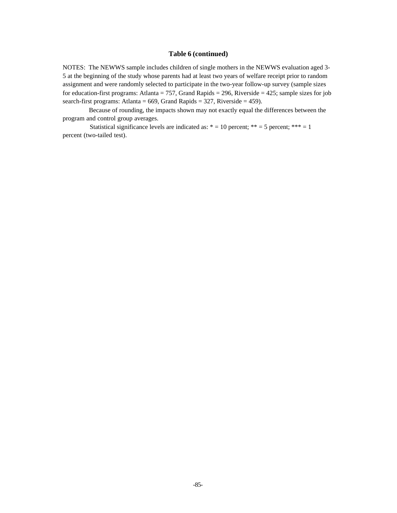#### **Table 6 (continued)**

NOTES: The NEWWS sample includes children of single mothers in the NEWWS evaluation aged 3- 5 at the beginning of the study whose parents had at least two years of welfare receipt prior to random assignment and were randomly selected to participate in the two-year follow-up survey (sample sizes for education-first programs: Atlanta = 757, Grand Rapids = 296, Riverside = 425; sample sizes for job search-first programs: Atlanta =  $669$ , Grand Rapids = 327, Riverside = 459).

 Because of rounding, the impacts shown may not exactly equal the differences between the program and control group averages.

Statistical significance levels are indicated as:  $* = 10$  percent;  $** = 5$  percent;  $*** = 1$ percent (two-tailed test).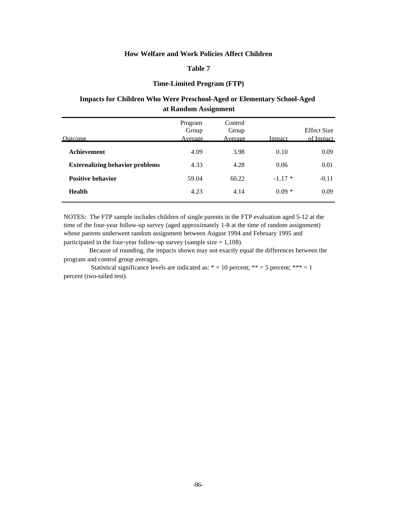### **Table 7**

#### **Time-Limited Program (FTP)**

### **Impacts for Children Who Were Preschool-Aged or Elementary School-Aged at Random Assignment**

| Program<br>Group<br>Average | Control<br>Group<br>Average | Impact   | Effect Size<br>of Impact |
|-----------------------------|-----------------------------|----------|--------------------------|
| 4.09                        | 3.98                        | 0.10     | 0.09                     |
| 4.33                        | 4.28                        | 0.06     | 0.01                     |
| 59.04                       | 60.22                       | $-1.17*$ | $-0.11$                  |
| 4.23                        | 4.14                        | $0.09*$  | 0.09                     |
|                             |                             |          |                          |

NOTES: The FTP sample includes children of single parents in the FTP evaluation aged 5-12 at the time of the four-year follow-up survey (aged approximately 1-8 at the time of random assignment) whose parents underwent random assignment between August 1994 and February 1995 and participated in the four-year follow-up survey (sample size  $= 1,108$ ).

 Because of rounding, the impacts shown may not exactly equal the differences between the program and control group averages.

Statistical significance levels are indicated as:  $* = 10$  percent; \*\*\* = 5 percent; \*\*\* = 1 percent (two-tailed test).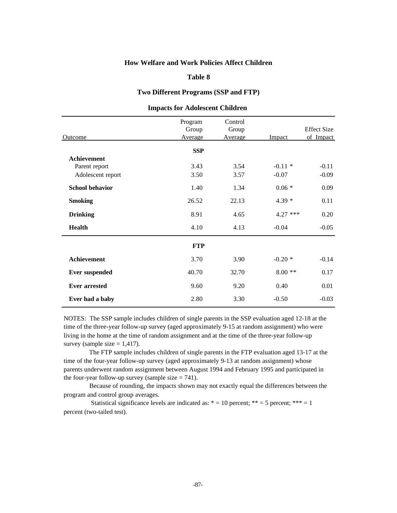#### **Table 8**

### **Two Different Programs (SSP and FTP)**

| Outcome                | Program<br>Group<br>Average | Control<br>Group<br>Average | Impact     | <b>Effect Size</b><br>of Impact |
|------------------------|-----------------------------|-----------------------------|------------|---------------------------------|
|                        | <b>SSP</b>                  |                             |            |                                 |
| <b>Achievement</b>     |                             |                             |            |                                 |
| Parent report          | 3.43                        | 3.54                        | $-0.11*$   | $-0.11$                         |
| Adolescent report      | 3.50                        | 3.57                        | $-0.07$    | $-0.09$                         |
| <b>School behavior</b> | 1.40                        | 1.34                        | $0.06 *$   | 0.09                            |
| <b>Smoking</b>         | 26.52                       | 22.13                       | $4.39*$    | 0.11                            |
| <b>Drinking</b>        | 8.91                        | 4.65                        | $4.27$ *** | 0.20                            |
| <b>Health</b>          | 4.10                        | 4.13                        | $-0.04$    | $-0.05$                         |
|                        | <b>FTP</b>                  |                             |            |                                 |
| <b>Achievement</b>     | 3.70                        | 3.90                        | $-0.20*$   | $-0.14$                         |
| <b>Ever suspended</b>  | 40.70                       | 32.70                       | $8.00**$   | 0.17                            |
| <b>Ever arrested</b>   | 9.60                        | 9.20                        | 0.40       | 0.01                            |
| Ever had a baby        | 2.80                        | 3.30                        | $-0.50$    | $-0.03$                         |

## **Impacts for Adolescent Children**

NOTES: The SSP sample includes children of single parents in the SSP evaluation aged 12-18 at the time of the three-year follow-up survey (aged approximately 9-15 at random assignment) who were living in the home at the time of random assignment and at the time of the three-year follow-up survey (sample size  $= 1,417$ ).

 The FTP sample includes children of single parents in the FTP evaluation aged 13-17 at the time of the four-year follow-up survey (aged approximately 9-13 at random assignment) whose parents underwent random assignment between August 1994 and February 1995 and participated in the four-year follow-up survey (sample size  $= 741$ ).

 Because of rounding, the impacts shown may not exactly equal the differences between the program and control group averages.

Statistical significance levels are indicated as:  $* = 10$  percent;  $** = 5$  percent;  $*** = 1$ percent (two-tailed test).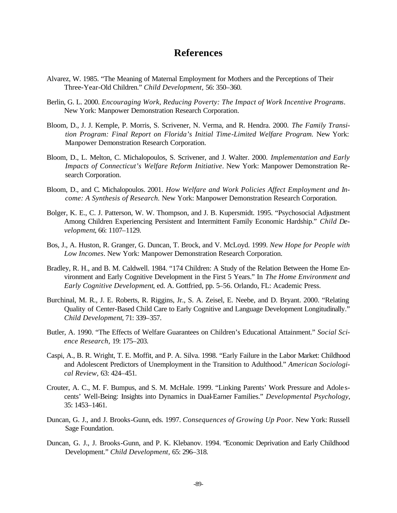# **References**

- Alvarez, W. 1985. "The Meaning of Maternal Employment for Mothers and the Perceptions of Their Three-Year-Old Children." *Child Development,* 56: 350–360.
- Berlin, G. L. 2000. *Encouraging Work, Reducing Poverty: The Impact of Work Incentive Programs*. New York: Manpower Demonstration Research Corporation.
- Bloom, D., J. J. Kemple, P. Morris, S. Scrivener, N. Verma, and R. Hendra. 2000. *The Family Transition Program: Final Report on Florida's Initial Time-Limited Welfare Program.* New York: Manpower Demonstration Research Corporation.
- Bloom, D., L. Melton, C. Michalopoulos, S. Scrivener, and J. Walter. 2000. *Implementation and Early Impacts of Connecticut's Welfare Reform Initiative*. New York: Manpower Demonstration Research Corporation.
- Bloom, D., and C. Michalopoulos. 2001. *How Welfare and Work Policies Affect Employment and Income: A Synthesis of Research.* New York: Manpower Demonstration Research Corporation.
- Bolger, K. E., C. J. Patterson, W. W. Thompson, and J. B. Kupersmidt. 1995. "Psychosocial Adjustment Among Children Experiencing Persistent and Intermittent Family Economic Hardship." *Child Development*, 66: 1107–1129.
- Bos, J., A. Huston, R. Granger, G. Duncan, T. Brock, and V. McLoyd. 1999. *New Hope for People with Low Incomes*. New York: Manpower Demonstration Research Corporation.
- Bradley, R. H., and B. M. Caldwell. 1984. "174 Children: A Study of the Relation Between the Home Environment and Early Cognitive Development in the First 5 Years." In *The Home Environment and Early Cognitive Development*, ed. A. Gottfried, pp. 5–56. Orlando, FL: Academic Press.
- Burchinal, M. R., J. E. Roberts, R. Riggins, Jr., S. A. Zeisel, E. Neebe, and D. Bryant. 2000. "Relating Quality of Center-Based Child Care to Early Cognitive and Language Development Longitudinally." *Child Development*, 71: 339–357.
- Butler, A. 1990. "The Effects of Welfare Guarantees on Children's Educational Attainment." *Social Science Research,* 19: 175–203.
- Caspi, A., B. R. Wright, T. E. Moffit, and P. A. Silva. 1998. "Early Failure in the Labor Market: Childhood and Adolescent Predictors of Unemployment in the Transition to Adulthood." *American Sociological Review,* 63: 424–451.
- Crouter, A. C., M. F. Bumpus, and S. M. McHale. 1999. "Linking Parents' Work Pressure and Adole scents' Well-Being: Insights into Dynamics in Dual-Earner Families." *Developmental Psychology*, 35: 1453–1461.
- Duncan, G. J., and J. Brooks-Gunn, eds. 1997. *Consequences of Growing Up Poor.* New York: Russell Sage Foundation.
- Duncan, G. J., J. Brooks-Gunn, and P. K. Klebanov. 1994. "Economic Deprivation and Early Childhood Development." *Child Development,* 65: 296–318.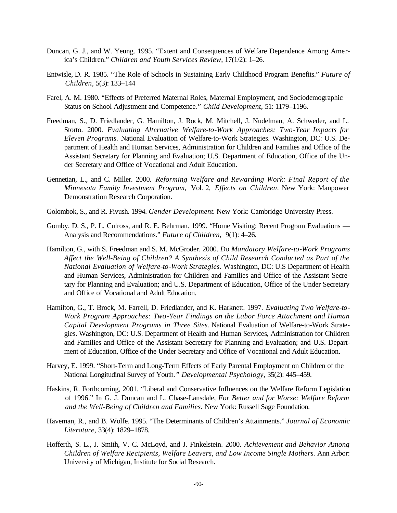- Duncan, G. J., and W. Yeung. 1995. "Extent and Consequences of Welfare Dependence Among America's Children." *Children and Youth Services Review*, 17(1/2): 1–26.
- Entwisle, D. R. 1985. "The Role of Schools in Sustaining Early Childhood Program Benefits." *Future of Children,* 5(3): 133–144
- Farel, A. M. 1980. "Effects of Preferred Maternal Roles, Maternal Employment, and Sociodemographic Status on School Adjustment and Competence." *Child Development,* 51: 1179–1196.
- Freedman, S., D. Friedlander, G. Hamilton, J. Rock, M. Mitchell, J. Nudelman, A. Schweder, and L. Storto. 2000. *Evaluating Alternative Welfare-to-Work Approaches: Two-Year Impacts for Eleven Programs.* National Evaluation of Welfare-to-Work Strategies. Washington, DC: U.S. Department of Health and Human Services, Administration for Children and Families and Office of the Assistant Secretary for Planning and Evaluation; U.S. Department of Education, Office of the Under Secretary and Office of Vocational and Adult Education.
- Gennetian, L., and C. Miller. 2000. *Reforming Welfare and Rewarding Work: Final Report of the Minnesota Family Investment Program,* Vol. 2, *Effects on Children*. New York: Manpower Demonstration Research Corporation.
- Golombok, S., and R. Fivush. 1994. *Gender Development*. New York: Cambridge University Press.
- Gomby, D. S., P. L. Culross, and R. E. Behrman. 1999. "Home Visiting: Recent Program Evaluations Analysis and Recommendations." *Future of Children,* 9(1): 4–26.
- Hamilton, G., with S. Freedman and S. M. McGroder. 2000. *Do Mandatory Welfare-to-Work Programs Affect the Well-Being of Children? A Synthesis of Child Research Conducted as Part of the National Evaluation of Welfare-to-Work Strategies*. Washington, DC: U.S Department of Health and Human Services, Administration for Children and Families and Office of the Assistant Secretary for Planning and Evaluation; and U.S. Department of Education, Office of the Under Secretary and Office of Vocational and Adult Education.
- Hamilton, G., T. Brock, M. Farrell, D. Friedlander, and K. Harknett. 1997. *Evaluating Two Welfare-to-Work Program Approaches: Two-Year Findings on the Labor Force Attachment and Human Capital Development Programs in Three Sites.* National Evaluation of Welfare-to-Work Strategies. Washington, DC: U.S. Department of Health and Human Services, Administration for Children and Families and Office of the Assistant Secretary for Planning and Evaluation; and U.S. Department of Education, Office of the Under Secretary and Office of Vocational and Adult Education.
- Harvey, E. 1999. "Short-Term and Long-Term Effects of Early Parental Employment on Children of the National Longitudinal Survey of Youth*." Developmental Psychology,* 35(2): 445–459.
- Haskins, R. Forthcoming, 2001. "Liberal and Conservative Influences on the Welfare Reform Legislation of 1996." In G. J. Duncan and L. Chase-Lansdale, *For Better and for Worse: Welfare Reform and the Well-Being of Children and Families.* New York: Russell Sage Foundation.
- Haveman, R., and B. Wolfe. 1995. "The Determinants of Children's Attainments." *Journal of Economic Literature,* 33(4): 1829–1878*.*
- Hofferth, S. L., J. Smith, V. C. McLoyd, and J. Finkelstein. 2000. *Achievement and Behavior Among Children of Welfare Recipients, Welfare Leavers, and Low Income Single Mothers.* Ann Arbor: University of Michigan, Institute for Social Research.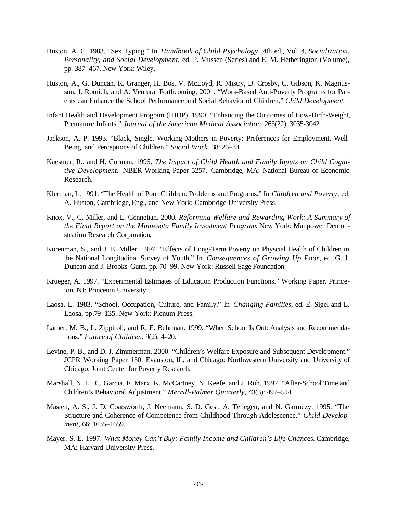- Huston, A. C. 1983. "Sex Typing." In *Handbook of Child Psychology,* 4th ed., Vol. 4, *Socialization, Personality, and Social Development,* ed. P. Mussen (Series) and E. M. Hetherington (Volume), pp. 387–467. New York: Wiley.
- Huston, A., G. Duncan, R. Granger, H. Bos, V. McLoyd, R. Mistry, D. Crosby, C. Gibson, K. Magnusson, J. Romich, and A. Ventura. Forthcoming, 2001. "Work-Based Anti-Poverty Programs for Parents can Enhance the School Performance and Social Behavior of Children." *Child Development.*
- Infant Health and Development Program (IHDP). 1990. "Enhancing the Outcomes of Low-Birth-Weight, Premature Infants." *Journal of the American Medical Association*, 263(22): 3035-3042.
- Jackson, A. P. 1993. "Black, Single, Working Mothers in Poverty: Preferences for Employment, Well-Being, and Perceptions of Children." *Social Work*, 38: 26–34.
- Kaestner, R., and H. Corman. 1995. *The Impact of Child Health and Family Inputs on Child Cognitive Development.* NBER Working Paper 5257. Cambridge, MA: National Bureau of Economic Research.
- Klerman, L. 1991. "The Health of Poor Children: Problems and Programs." In *Children and Poverty,* ed. A. Huston, Cambridge, Eng., and New York: Cambridge University Press.
- Knox, V., C. Miller, and L. Gennetian. 2000. *Reforming Welfare and Rewarding Work: A Summary of the Final Report on the Minnesota Family Investment Program*. New York: Manpower Demonstration Research Corporation.
- Korenman, S., and J. E. Miller. 1997. "Effects of Long-Term Poverty on Physcial Health of Children in the National Longitudinal Survey of Youth." In *Consequences of Growing Up Poor*, ed. G. J. Duncan and J. Brooks-Gunn, pp. 70–99. New York: Russell Sage Foundation.
- Krueger, A. 1997. "Experimental Estimates of Education Production Functions." Working Paper. Princeton, NJ: Princeton University.
- Laosa, L. 1983. "School, Occupation, Culture, and Family." In *Changing Families*, ed. E. Sigel and L. Laosa, pp.79–135. New York: Plenum Press.
- Larner, M. B., L. Zippiroli, and R. E. Behrman. 1999*.* "When School Is Out: Analysis and Recommendations." *Future of Children*, 9(2): 4–20.
- Levine, P. B., and D. J. Zimmerman. 2000. "Children's Welfare Exposure and Subsequent Development." JCPR Working Paper 130. Evanston, IL, and Chicago: Northwestern University and University of Chicago, Joint Center for Poverty Research.
- Marshall, N. L., C. Garcia, F. Marx, K. McCartney, N. Keefe, and J. Ruh. 1997. "After-School Time and Children's Behavioral Adjustment." *Merrill-Palmer Quarterly,* 43(3): 497–514.
- Masten, A. S., J. D. Coatsworth, J. Neemann, S. D. Gest, A. Tellegen, and N. Garmezy. 1995. "The Structure and Coherence of Competence from Childhood Through Adolescence." *Child Development,* 66: 1635–1659.
- Mayer, S. E. 1997. *What Money Can't Buy: Family Income and Children's Life Chanc*es. Cambridge, MA: Harvard University Press.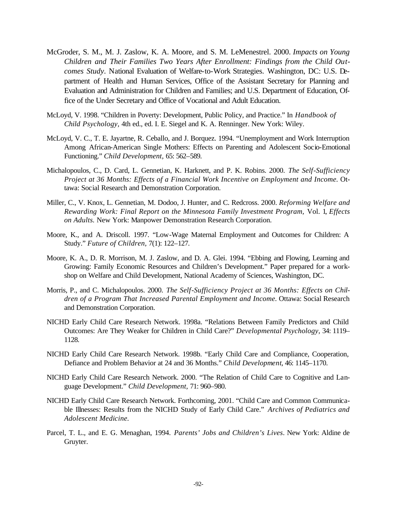- McGroder, S. M., M. J. Zaslow, K. A. Moore, and S. M. LeMenestrel. 2000. *Impacts on Young Children and Their Families Two Years After Enrollment: Findings from the Child Outcomes Study*. National Evaluation of Welfare-to-Work Strategies. Washington, DC: U.S. Department of Health and Human Services, Office of the Assistant Secretary for Planning and Evaluation and Administration for Children and Families; and U.S. Department of Education, Office of the Under Secretary and Office of Vocational and Adult Education.
- McLoyd, V. 1998. "Children in Poverty: Development, Public Policy, and Practice." In *Handbook of Child Psychology,* 4th ed., ed. I. E. Siegel and K. A. Renninger. New York: Wiley.
- McLoyd, V. C., T. E. Jayartne, R. Ceballo, and J. Borquez. 1994. "Unemployment and Work Interruption Among African-American Single Mothers: Effects on Parenting and Adolescent Socio-Emotional Functioning." *Child Development,* 65: 562–589.
- Michalopoulos, C., D. Card, L. Gennetian, K. Harknett, and P. K. Robins. 2000. *The Self-Sufficiency Project at 36 Months: Effects of a Financial Work Incentive on Employment and Income.* Ottawa: Social Research and Demonstration Corporation.
- Miller, C., V. Knox, L. Gennetian, M. Dodoo, J. Hunter, and C. Redcross. 2000. *Reforming Welfare and Rewarding Work: Final Report on the Minnesota Family Investment Program,* Vol. 1*, Effects on Adults.* New York: Manpower Demonstration Research Corporation.
- Moore, K., and A. Driscoll. 1997. "Low-Wage Maternal Employment and Outcomes for Children: A Study." *Future of Children,* 7(1): 122–127.
- Moore, K. A., D. R. Morrison, M. J. Zaslow, and D. A. Glei. 1994. "Ebbing and Flowing, Learning and Growing: Family Economic Resources and Children's Development." Paper prepared for a workshop on Welfare and Child Development, National Academy of Sciences, Washington, DC.
- Morris, P., and C. Michalopoulos. 2000. *The Self-Sufficiency Project at 36 Months: Effects on Children of a Program That Increased Parental Employment and Income.* Ottawa: Social Research and Demonstration Corporation.
- NICHD Early Child Care Research Network. 1998a. "Relations Between Family Predictors and Child Outcomes: Are They Weaker for Children in Child Care?" *Developmental Psychology,* 34: 1119– 1128.
- NICHD Early Child Care Research Network. 1998b. "Early Child Care and Compliance, Cooperation, Defiance and Problem Behavior at 24 and 36 Months." *Child Development*, 46: 1145–1170.
- NICHD Early Child Care Research Network. 2000. "The Relation of Child Care to Cognitive and Language Development." *Child Development,* 71: 960–980.
- NICHD Early Child Care Research Network. Forthcoming, 2001. "Child Care and Common Communicable Illnesses: Results from the NICHD Study of Early Child Care." *Archives of Pediatrics and Adolescent Medicine.*
- Parcel, T. L., and E. G. Menaghan, 1994. *Parents' Jobs and Children's Lives*. New York: Aldine de Gruyter.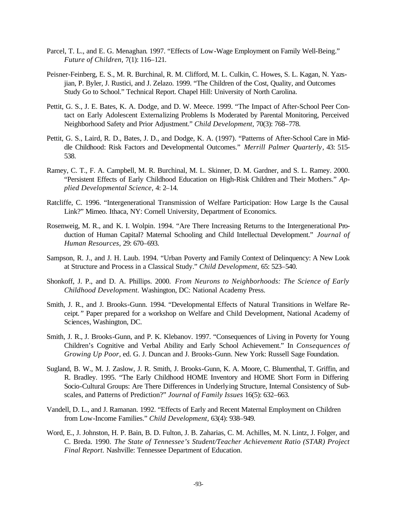- Parcel, T. L., and E. G. Menaghan. 1997. "Effects of Low-Wage Employment on Family Well-Being." *Future of Children,* 7(1): 116–121.
- Peisner-Feinberg, E. S., M. R. Burchinal, R. M. Clifford, M. L. Culkin, C. Howes, S. L. Kagan, N. Yazsjian, P. Byler, J. Rustici, and J. Zelazo. 1999. "The Children of the Cost, Quality, and Outcomes Study Go to School." Technical Report. Chapel Hill: University of North Carolina.
- Pettit, G. S., J. E. Bates, K. A. Dodge, and D. W. Meece. 1999. "The Impact of After-School Peer Contact on Early Adolescent Externalizing Problems Is Moderated by Parental Monitoring, Perceived Neighborhood Safety and Prior Adjustment." *Child Development,* 70(3): 768–778.
- Pettit, G. S., Laird, R. D., Bates, J. D., and Dodge, K. A. (1997). "Patterns of After-School Care in Middle Childhood: Risk Factors and Developmental Outcomes." *Merrill Palmer Quarterly*, 43: 515- 538.
- Ramey, C. T., F. A. Campbell, M. R. Burchinal, M. L. Skinner, D. M. Gardner, and S. L. Ramey. 2000. "Persistent Effects of Early Childhood Education on High-Risk Children and Their Mothers." *Applied Developmental Science,* 4: 2–14.
- Ratcliffe, C. 1996. "Intergenerational Transmission of Welfare Participation: How Large Is the Causal Link?" Mimeo. Ithaca, NY: Cornell University, Department of Economics.
- Rosenweig, M. R., and K. I. Wolpin. 1994. "Are There Increasing Returns to the Intergenerational Production of Human Capital? Maternal Schooling and Child Intellectual Development." *Journal of Human Resources,* 29: 670–693.
- Sampson, R. J., and J. H. Laub. 1994. "Urban Poverty and Family Context of Delinquency: A New Look at Structure and Process in a Classical Study." *Child Development,* 65: 523–540.
- Shonkoff, J. P., and D. A. Phillips. 2000. *From Neurons to Neighborhoods: The Science of Early Childhood Development.* Washington, DC: National Academy Press.
- Smith, J. R., and J. Brooks-Gunn. 1994. "Developmental Effects of Natural Transitions in Welfare Receipt*."* Paper prepared for a workshop on Welfare and Child Development, National Academy of Sciences, Washington, DC.
- Smith, J. R., J. Brooks-Gunn, and P. K. Klebanov. 1997. "Consequences of Living in Poverty for Young Children's Cognitive and Verbal Ability and Early School Achievement." In *Consequences of Growing Up Poor*, ed. G. J. Duncan and J. Brooks-Gunn. New York: Russell Sage Foundation.
- Sugland, B. W., M. J. Zaslow, J. R. Smith, J. Brooks-Gunn, K. A. Moore, C. Blumenthal, T. Griffin, and R. Bradley. 1995. "The Early Childhood HOME Inventory and HOME Short Form in Differing Socio-Cultural Groups: Are There Differences in Underlying Structure, Internal Consistency of Subscales, and Patterns of Prediction?" *Journal of Family Issues* 16(5): 632–663.
- Vandell, D. L., and J. Ramanan. 1992. "Effects of Early and Recent Maternal Employment on Children from Low-Income Families." *Child Development,* 63(4): 938–949.
- Word, E., J. Johnston, H. P. Bain, B. D. Fulton, J. B. Zaharias, C. M. Achilles, M. N. Lintz, J. Folger, and C. Breda. 1990. *The State of Tennessee's Student/Teacher Achievement Ratio (STAR) Project Final Report.* Nashville: Tennessee Department of Education.